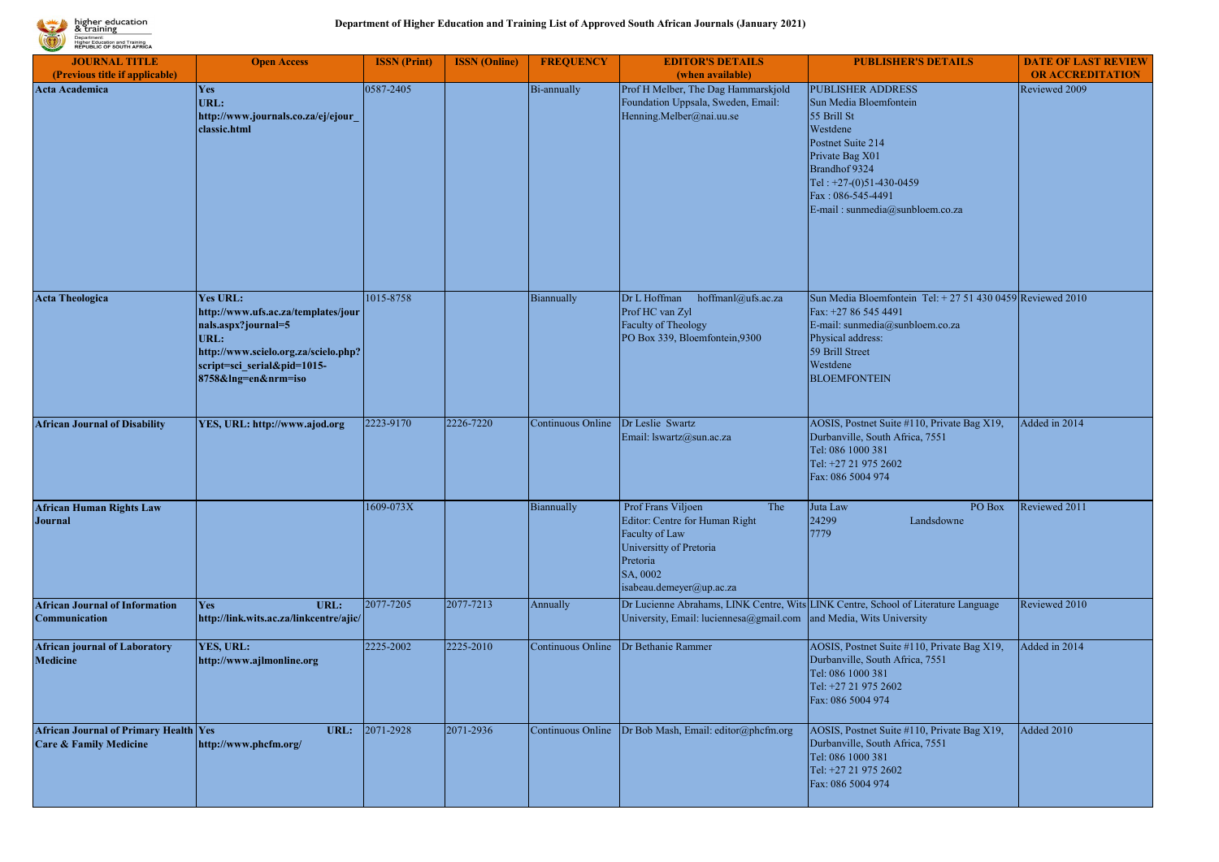

| <b>JOURNAL TITLE</b>                                                       | <b>Open Access</b>                                                                                                                                                                  | <b>ISSN</b> (Print) | <b>ISSN</b> (Online) | <b>FREQUENCY</b>  | <b>EDITOR'S DETAILS</b>                                                                                                                                      | <b>PUBLISHER'S DETAILS</b>                                                                                                                                                                                                | <b>DATE OF LAST REVIEW</b> |
|----------------------------------------------------------------------------|-------------------------------------------------------------------------------------------------------------------------------------------------------------------------------------|---------------------|----------------------|-------------------|--------------------------------------------------------------------------------------------------------------------------------------------------------------|---------------------------------------------------------------------------------------------------------------------------------------------------------------------------------------------------------------------------|----------------------------|
| (Previous title if applicable)                                             |                                                                                                                                                                                     |                     |                      |                   | (when available)                                                                                                                                             |                                                                                                                                                                                                                           | <b>OR ACCREDITATION</b>    |
| <b>Acta Academica</b>                                                      | Yes<br>URL:<br>http://www.journals.co.za/ej/ejour<br>classic.html                                                                                                                   | 0587-2405           |                      | Bi-annually       | Prof H Melber, The Dag Hammarskjold<br>Foundation Uppsala, Sweden, Email:<br>Henning.Melber@nai.uu.se                                                        | <b>PUBLISHER ADDRESS</b><br>Sun Media Bloemfontein<br>55 Brill St<br>Westdene<br>Postnet Suite 214<br>Private Bag X01<br>Brandhof 9324<br>Tel: +27-(0)51-430-0459<br>Fax: 086-545-4491<br>E-mail: sunmedia@sunbloem.co.za | Reviewed 2009              |
| <b>Acta Theologica</b>                                                     | <b>Yes URL:</b><br>http://www.ufs.ac.za/templates/jour<br>nals.aspx?journal=5<br>URL:<br>http://www.scielo.org.za/scielo.php?<br>script=sci serial&pid=1015-<br>8758&lng=en&nrm=iso | 1015-8758           |                      | Biannually        | Dr L Hoffman<br>hoffmanl@ufs.ac.za<br>Prof HC van Zyl<br>Faculty of Theology<br>PO Box 339, Bloemfontein, 9300                                               | Sun Media Bloemfontein Tel: + 27 51 430 0459 Reviewed 2010<br>Fax: +27 86 545 4491<br>E-mail: sunmedia@sunbloem.co.za<br>Physical address:<br>59 Brill Street<br>Westdene<br><b>BLOEMFONTEIN</b>                          |                            |
| <b>African Journal of Disability</b>                                       | YES, URL: http://www.ajod.org                                                                                                                                                       | 2223-9170           | 2226-7220            | Continuous Online | Dr Leslie Swartz<br>Email: lswartz@sun.ac.za                                                                                                                 | AOSIS, Postnet Suite #110, Private Bag X19,<br>Durbanville, South Africa, 7551<br>Tel: 086 1000 381<br>Tel: +27 21 975 2602<br>Fax: 086 5004 974                                                                          | Added in 2014              |
| <b>African Human Rights Law</b><br><b>Journal</b>                          |                                                                                                                                                                                     | 1609-073X           |                      | Biannually        | Prof Frans Viljoen<br>The<br>Editor: Centre for Human Right<br>Faculty of Law<br>Universitty of Pretoria<br>Pretoria<br>SA, 0002<br>isabeau.demeyer@up.ac.za | PO Box<br>Juta Law<br>24299<br>Landsdowne<br>7779                                                                                                                                                                         | Reviewed 2011              |
| <b>African Journal of Information</b><br>Communication                     | URL:<br>Yes<br>http://link.wits.ac.za/linkcentre/ajic/                                                                                                                              | 2077-7205           | 2077-7213            | Annually          | University, Email: luciennesa@gmail.com                                                                                                                      | Dr Lucienne Abrahams, LINK Centre, Wits LINK Centre, School of Literature Language<br>and Media, Wits University                                                                                                          | Reviewed 2010              |
| <b>African journal of Laboratory</b><br><b>Medicine</b>                    | YES, URL:<br>http://www.ajlmonline.org                                                                                                                                              | 2225-2002           | 2225-2010            | Continuous Online | Dr Bethanie Rammer                                                                                                                                           | AOSIS, Postnet Suite #110, Private Bag X19,<br>Durbanville, South Africa, 7551<br>Tel: 086 1000 381<br>Tel: +27 21 975 2602<br>Fax: 086 5004 974                                                                          | Added in 2014              |
| African Journal of Primary Health Yes<br><b>Care &amp; Family Medicine</b> | URL:<br>http://www.phcfm.org/                                                                                                                                                       | 2071-2928           | 2071-2936            | Continuous Online | Dr Bob Mash, Email: editor@phcfm.org                                                                                                                         | AOSIS, Postnet Suite #110, Private Bag X19,<br>Durbanville, South Africa, 7551<br>Tel: 086 1000 381<br>Tel: +27 21 975 2602<br>Fax: 086 5004 974                                                                          | Added 2010                 |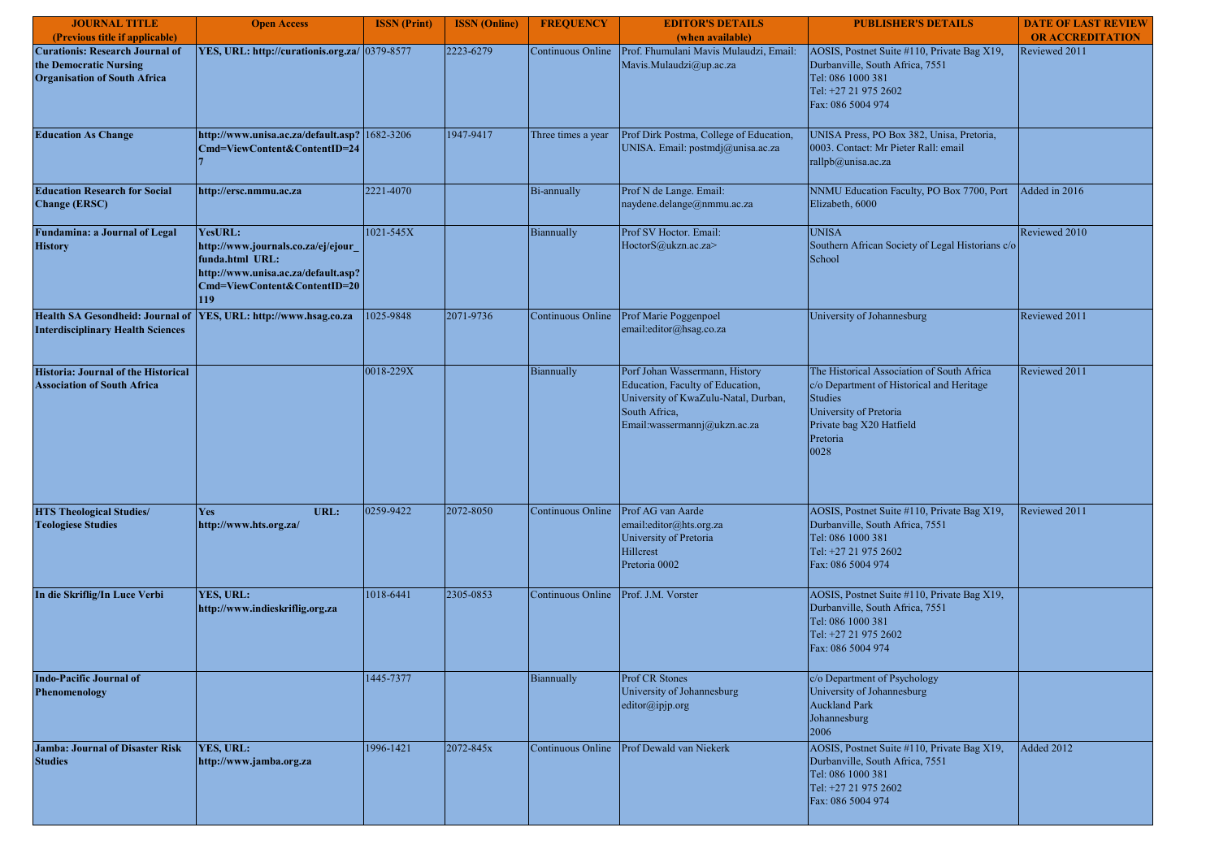| <b>JOURNAL TITLE</b><br>(Previous title if applicable)                                                  | <b>Open Access</b>                                                                                                                              | <b>ISSN</b> (Print) | <b>ISSN</b> (Online) | <b>FREQUENCY</b>   | <b>EDITOR'S DETAILS</b><br>(when available)                                                                                                                 | <b>PUBLISHER'S DETAILS</b>                                                                                                                                                          | <b>DATE OF LAST REVIEW</b><br><b>OR ACCREDITATION</b> |
|---------------------------------------------------------------------------------------------------------|-------------------------------------------------------------------------------------------------------------------------------------------------|---------------------|----------------------|--------------------|-------------------------------------------------------------------------------------------------------------------------------------------------------------|-------------------------------------------------------------------------------------------------------------------------------------------------------------------------------------|-------------------------------------------------------|
| <b>Curationis: Research Journal of</b><br>the Democratic Nursing<br><b>Organisation of South Africa</b> | YES, URL: http://curationis.org.za/ 0379-8577                                                                                                   |                     | 2223-6279            | Continuous Online  | Prof. Fhumulani Mavis Mulaudzi, Email:<br>Mavis.Mulaudzi@up.ac.za                                                                                           | AOSIS, Postnet Suite #110, Private Bag X19,<br>Durbanville, South Africa, 7551<br>Tel: 086 1000 381<br>Tel: +27 21 975 2602<br>Fax: 086 5004 974                                    | Reviewed 2011                                         |
| <b>Education As Change</b>                                                                              | http://www.unisa.ac.za/default.asp?<br>Cmd=ViewContent&ContentID=24                                                                             | 1682-3206           | 1947-9417            | Three times a year | Prof Dirk Postma, College of Education,<br>UNISA. Email: postmdj@unisa.ac.za                                                                                | UNISA Press, PO Box 382, Unisa, Pretoria,<br>0003. Contact: Mr Pieter Rall: email<br>rallpb@unisa.ac.za                                                                             |                                                       |
| <b>Education Research for Social</b><br><b>Change (ERSC)</b>                                            | http://ersc.nmmu.ac.za                                                                                                                          | 2221-4070           |                      | Bi-annually        | Prof N de Lange. Email:<br>naydene.delange@nmmu.ac.za                                                                                                       | NNMU Education Faculty, PO Box 7700, Port<br>Elizabeth, 6000                                                                                                                        | Added in 2016                                         |
| <b>Fundamina: a Journal of Legal</b><br><b>History</b>                                                  | YesURL:<br>http://www.journals.co.za/ej/ejour_<br>funda.html URL:<br>http://www.unisa.ac.za/default.asp?<br>Cmd=ViewContent&ContentID=20<br>119 | 1021-545X           |                      | Biannually         | Prof SV Hoctor. Email:<br>HoctorS@ukzn.ac.za>                                                                                                               | <b>UNISA</b><br>Southern African Society of Legal Historians c/o<br>School                                                                                                          | Reviewed 2010                                         |
| <b>Health SA Gesondheid: Journal of</b><br><b>Interdisciplinary Health Sciences</b>                     | YES, URL: http://www.hsag.co.za                                                                                                                 | 1025-9848           | 2071-9736            | Continuous Online  | Prof Marie Poggenpoel<br>email:editor@hsag.co.za                                                                                                            | University of Johannesburg                                                                                                                                                          | Reviewed 2011                                         |
| Historia: Journal of the Historical<br><b>Association of South Africa</b>                               |                                                                                                                                                 | 0018-229X           |                      | Biannually         | Porf Johan Wassermann, History<br>Education, Faculty of Education,<br>University of KwaZulu-Natal, Durban,<br>South Africa,<br>Email:wassermannj@ukzn.ac.za | The Historical Association of South Africa<br>c/o Department of Historical and Heritage<br><b>Studies</b><br>University of Pretoria<br>Private bag X20 Hatfield<br>Pretoria<br>0028 | Reviewed 2011                                         |
| <b>HTS Theological Studies/</b><br><b>Teologiese Studies</b>                                            | URL:<br>Yes<br>http://www.hts.org.za/                                                                                                           | 0259-9422           | 2072-8050            | Continuous Online  | Prof AG van Aarde<br>email:editor@hts.org.za<br>University of Pretoria<br>Hillcrest<br>Pretoria 0002                                                        | AOSIS, Postnet Suite #110, Private Bag X19,<br>Durbanville, South Africa, 7551<br>Tel: 086 1000 381<br>Tel: +27 21 975 2602<br>Fax: 086 5004 974                                    | Reviewed 2011                                         |
| In die Skriflig/In Luce Verbi                                                                           | YES, URL:<br>http://www.indieskriflig.org.za                                                                                                    | 1018-6441           | 2305-0853            | Continuous Online  | Prof. J.M. Vorster                                                                                                                                          | AOSIS, Postnet Suite #110, Private Bag X19,<br>Durbanville, South Africa, 7551<br>Tel: 086 1000 381<br>Tel: +27 21 975 2602<br>Fax: 086 5004 974                                    |                                                       |
| <b>Indo-Pacific Journal of</b><br>Phenomenology                                                         |                                                                                                                                                 | 1445-7377           |                      | Biannually         | Prof CR Stones<br>University of Johannesburg<br>editor@ipjp.org                                                                                             | c/o Department of Psychology<br>University of Johannesburg<br><b>Auckland Park</b><br>Johannesburg<br>2006                                                                          |                                                       |
| <b>Jamba: Journal of Disaster Risk</b><br><b>Studies</b>                                                | YES, URL:<br>http://www.jamba.org.za                                                                                                            | 1996-1421           | 2072-845x            | Continuous Online  | Prof Dewald van Niekerk                                                                                                                                     | AOSIS, Postnet Suite #110, Private Bag X19,<br>Durbanville, South Africa, 7551<br>Tel: 086 1000 381<br>Tel: +27 21 975 2602<br>Fax: 086 5004 974                                    | <b>Added 2012</b>                                     |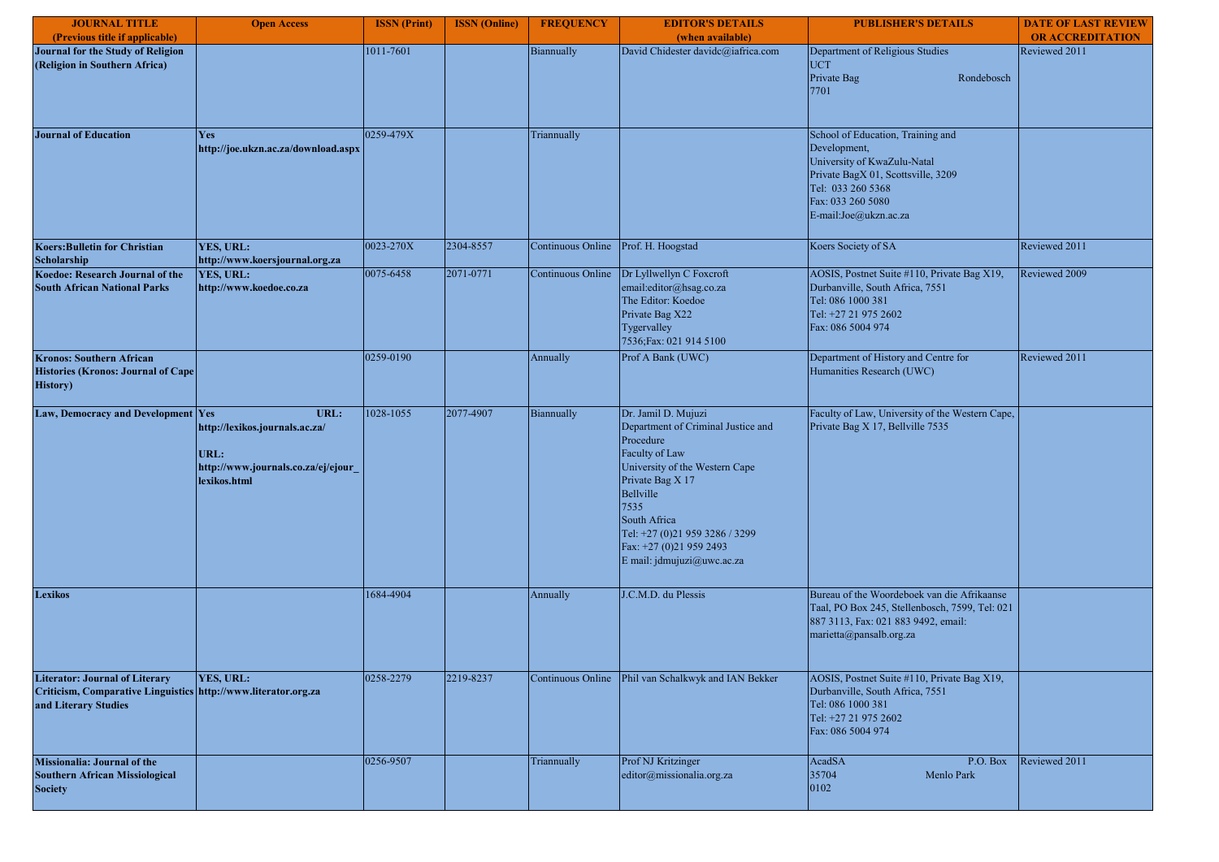| <b>JOURNAL TITLE</b>                                                                                                            | <b>Open Access</b>                                                                                   | <b>ISSN</b> (Print) | <b>ISSN</b> (Online) | <b>FREQUENCY</b>  | <b>EDITOR'S DETAILS</b>                                                                                                                                                                                                                                                        | <b>PUBLISHER'S DETAILS</b>                                                                                                                                                                | <b>DATE OF LAST REVIEW</b> |
|---------------------------------------------------------------------------------------------------------------------------------|------------------------------------------------------------------------------------------------------|---------------------|----------------------|-------------------|--------------------------------------------------------------------------------------------------------------------------------------------------------------------------------------------------------------------------------------------------------------------------------|-------------------------------------------------------------------------------------------------------------------------------------------------------------------------------------------|----------------------------|
| (Previous title if applicable)                                                                                                  |                                                                                                      |                     |                      |                   | (when available)                                                                                                                                                                                                                                                               |                                                                                                                                                                                           | <b>OR ACCREDITATION</b>    |
| Journal for the Study of Religion<br>(Religion in Southern Africa)                                                              |                                                                                                      | 1011-7601           |                      | Biannually        | David Chidester davidc@iafrica.com                                                                                                                                                                                                                                             | Department of Religious Studies<br><b>UCT</b><br>Private Bag<br>Rondebosch<br>7701                                                                                                        | Reviewed 2011              |
| <b>Journal of Education</b>                                                                                                     | Yes<br>http://joe.ukzn.ac.za/download.aspx                                                           | 0259-479X           |                      | Triannually       |                                                                                                                                                                                                                                                                                | School of Education, Training and<br>Development,<br>University of KwaZulu-Natal<br>Private BagX 01, Scottsville, 3209<br>Tel: 033 260 5368<br>Fax: 033 260 5080<br>E-mail:Joe@ukzn.ac.za |                            |
| <b>Koers: Bulletin for Christian</b><br>Scholarship                                                                             | YES, URL:<br>http://www.koersjournal.org.za                                                          | 0023-270X           | 2304-8557            | Continuous Online | Prof. H. Hoogstad                                                                                                                                                                                                                                                              | Koers Society of SA                                                                                                                                                                       | Reviewed 2011              |
| Koedoe: Research Journal of the<br><b>South African National Parks</b>                                                          | YES, URL:<br>http://www.koedoe.co.za                                                                 | 0075-6458           | 2071-0771            | Continuous Online | Dr Lyllwellyn C Foxcroft<br>email:editor@hsag.co.za<br>The Editor: Koedoe<br>Private Bag X22<br>Tygervalley<br>7536; Fax: 021 914 5100                                                                                                                                         | AOSIS, Postnet Suite #110, Private Bag X19,<br>Durbanville, South Africa, 7551<br>Tel: 086 1000 381<br>Tel: +27 21 975 2602<br>Fax: 086 5004 974                                          | Reviewed 2009              |
| <b>Kronos: Southern African</b><br><b>Histories (Kronos: Journal of Cape</b><br><b>History</b> )                                |                                                                                                      | 0259-0190           |                      | Annually          | Prof A Bank (UWC)                                                                                                                                                                                                                                                              | Department of History and Centre for<br>Humanities Research (UWC)                                                                                                                         | Reviewed 2011              |
| Law, Democracy and Development Yes                                                                                              | URL:<br>http://lexikos.journals.ac.za/<br>URL:<br>http://www.journals.co.za/ej/ejour<br>lexikos.html | 1028-1055           | 2077-4907            | Biannually        | Dr. Jamil D. Mujuzi<br>Department of Criminal Justice and<br>Procedure<br>Faculty of Law<br>University of the Western Cape<br>Private Bag X 17<br>Bellville<br>7535<br>South Africa<br>Tel: +27 (0)21 959 3286 / 3299<br>Fax: +27 (0)21 959 2493<br>E mail: jdmujuzi@uwc.ac.za | Faculty of Law, University of the Western Cape,<br>Private Bag X 17, Bellville 7535                                                                                                       |                            |
| <b>Lexikos</b>                                                                                                                  |                                                                                                      | 1684-4904           |                      | Annually          | J.C.M.D. du Plessis                                                                                                                                                                                                                                                            | Bureau of the Woordeboek van die Afrikaanse<br>Taal, PO Box 245, Stellenbosch, 7599, Tel: 021<br>887 3113, Fax: 021 883 9492, email:<br>marietta@pansalb.org.za                           |                            |
| <b>Literator: Journal of Literary</b><br>Criticism, Comparative Linguistics http://www.literator.org.za<br>and Literary Studies | YES, URL:                                                                                            | 0258-2279           | 2219-8237            |                   | Continuous Online Phil van Schalkwyk and IAN Bekker                                                                                                                                                                                                                            | AOSIS, Postnet Suite #110, Private Bag X19,<br>Durbanville, South Africa, 7551<br>Tel: 086 1000 381<br>Tel: +27 21 975 2602<br>Fax: 086 5004 974                                          |                            |
| <b>Missionalia: Journal of the</b><br><b>Southern African Missiological</b><br><b>Society</b>                                   |                                                                                                      | 0256-9507           |                      | Triannually       | Prof NJ Kritzinger<br>editor@missionalia.org.za                                                                                                                                                                                                                                | AcadSA<br>P.O. Box<br>35704<br>Menlo Park<br>0102                                                                                                                                         | Reviewed 2011              |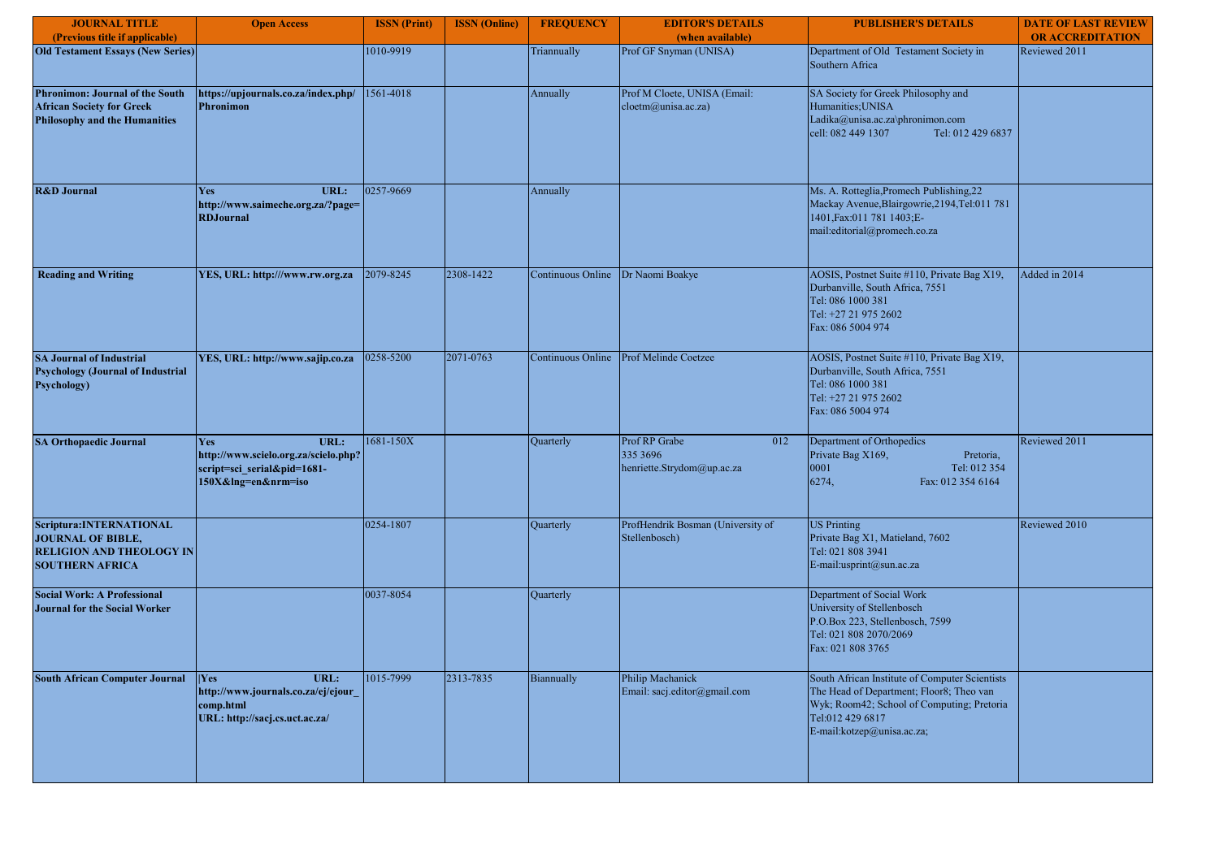| <b>JOURNAL TITLE</b>                                                                                               | <b>Open Access</b>                                                                                        | <b>ISSN</b> (Print) | <b>ISSN</b> (Online) | <b>FREQUENCY</b>  | <b>EDITOR'S DETAILS</b>                                        | <b>PUBLISHER'S DETAILS</b>                                                                                                                                                                 | <b>DATE OF LAST REVIEW</b> |
|--------------------------------------------------------------------------------------------------------------------|-----------------------------------------------------------------------------------------------------------|---------------------|----------------------|-------------------|----------------------------------------------------------------|--------------------------------------------------------------------------------------------------------------------------------------------------------------------------------------------|----------------------------|
| (Previous title if applicable)                                                                                     |                                                                                                           |                     |                      |                   | (when available)                                               |                                                                                                                                                                                            | <b>OR ACCREDITATION</b>    |
| <b>Old Testament Essays (New Series)</b>                                                                           |                                                                                                           | 1010-9919           |                      | Triannually       | Prof GF Snyman (UNISA)                                         | Department of Old Testament Society in<br>Southern Africa                                                                                                                                  | Reviewed 2011              |
| <b>Phronimon: Journal of the South</b><br><b>African Society for Greek</b><br><b>Philosophy and the Humanities</b> | https://upjournals.co.za/index.php/<br><b>Phronimon</b>                                                   | 1561-4018           |                      | Annually          | Prof M Cloete, UNISA (Email:<br>cloetm@unisa.ac.za)            | SA Society for Greek Philosophy and<br>Humanities; UNISA<br>Ladika@unisa.ac.za\phronimon.com<br>Tel: 012 429 6837<br>cell: 082 449 1307                                                    |                            |
| <b>R&amp;D Journal</b>                                                                                             | URL:<br><b>Yes</b><br>http://www.saimeche.org.za/?page=<br><b>RDJournal</b>                               | 0257-9669           |                      | Annually          |                                                                | Ms. A. Rotteglia, Promech Publishing, 22<br>Mackay Avenue, Blairgowrie, 2194, Tel: 011 781<br>1401, Fax: 011 781 1403; E-<br>mail:editorial@promech.co.za                                  |                            |
| <b>Reading and Writing</b>                                                                                         | YES, URL: http:///www.rw.org.za                                                                           | 2079-8245           | 2308-1422            | Continuous Online | Dr Naomi Boakye                                                | AOSIS, Postnet Suite #110, Private Bag X19,<br>Durbanville, South Africa, 7551<br>Tel: 086 1000 381<br>Tel: +27 21 975 2602<br>Fax: 086 5004 974                                           | Added in 2014              |
| <b>SA Journal of Industrial</b><br><b>Psychology (Journal of Industrial</b><br><b>Psychology</b> )                 | YES, URL: http://www.sajip.co.za                                                                          | 0258-5200           | 2071-0763            | Continuous Online | Prof Melinde Coetzee                                           | AOSIS, Postnet Suite #110, Private Bag X19,<br>Durbanville, South Africa, 7551<br>Tel: 086 1000 381<br>Tel: +27 21 975 2602<br>Fax: 086 5004 974                                           |                            |
| <b>SA Orthopaedic Journal</b>                                                                                      | URL:<br>Yes<br>http://www.scielo.org.za/scielo.php?<br>script=sci_serial&pid=1681-<br>150X&Ing=en&nrm=iso | 1681-150X           |                      | Quarterly         | Prof RP Grabe<br>012<br>335 3696<br>henriette.Strydom@up.ac.za | Department of Orthopedics<br>Private Bag X169,<br>Pretoria,<br>0001<br>Tel: 012 354<br>6274,<br>Fax: 012 354 6164                                                                          | Reviewed 2011              |
| Scriptura: INTERNATIONAL<br><b>JOURNAL OF BIBLE,</b><br><b>RELIGION AND THEOLOGY IN</b><br><b>SOUTHERN AFRICA</b>  |                                                                                                           | 0254-1807           |                      | Quarterly         | ProfHendrik Bosman (University of<br>Stellenbosch)             | <b>US Printing</b><br>Private Bag X1, Matieland, 7602<br>Tel: 021 808 3941<br>E-mail:usprint@sun.ac.za                                                                                     | Reviewed 2010              |
| <b>Social Work: A Professional</b><br><b>Journal for the Social Worker</b>                                         |                                                                                                           | 0037-8054           |                      | Quarterly         |                                                                | Department of Social Work<br>University of Stellenbosch<br>P.O.Box 223, Stellenbosch, 7599<br>Tel: 021 808 2070/2069<br>Fax: 021 808 3765                                                  |                            |
| <b>South African Computer Journal</b>                                                                              | Yes <br>URL:<br>http://www.journals.co.za/ej/ejour<br>comp.html<br>URL: http://sacj.cs.uct.ac.za/         | 1015-7999           | 2313-7835            | Biannually        | Philip Machanick<br>Email: sacj.editor@gmail.com               | South African Institute of Computer Scientists<br>The Head of Department; Floor8; Theo van<br>Wyk; Room42; School of Computing; Pretoria<br>Tel:012 429 6817<br>E-mail:kotzep@unisa.ac.za; |                            |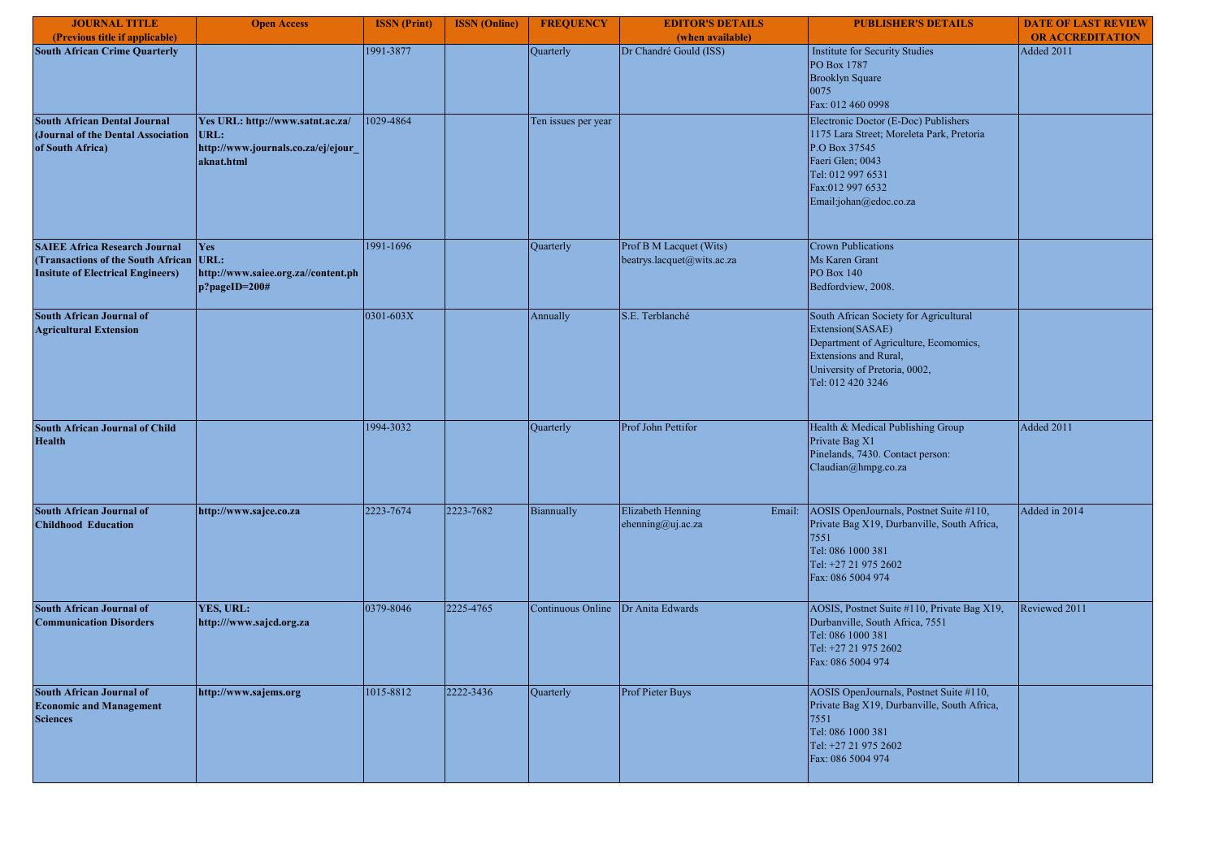| <b>JOURNAL TITLE</b>                                                                                                   | <b>Open Access</b>                                                                           | <b>ISSN</b> (Print) | <b>ISSN</b> (Online) | <b>FREQUENCY</b>    | <b>EDITOR'S DETAILS</b>                               | <b>PUBLISHER'S DETAILS</b>                                                                                                                                                                | <b>DATE OF LAST REVIEW</b> |
|------------------------------------------------------------------------------------------------------------------------|----------------------------------------------------------------------------------------------|---------------------|----------------------|---------------------|-------------------------------------------------------|-------------------------------------------------------------------------------------------------------------------------------------------------------------------------------------------|----------------------------|
| (Previous title if applicable)                                                                                         |                                                                                              |                     |                      |                     | (when available)                                      |                                                                                                                                                                                           | <b>OR ACCREDITATION</b>    |
| <b>South African Crime Quarterly</b>                                                                                   |                                                                                              | 1991-3877           |                      | Quarterly           | Dr Chandré Gould (ISS)                                | Institute for Security Studies<br>PO Box 1787<br><b>Brooklyn Square</b><br>0075<br>Fax: 012 460 0998                                                                                      | Added 2011                 |
| <b>South African Dental Journal</b><br>(Journal of the Dental Association<br>of South Africa)                          | Yes URL: http://www.satnt.ac.za/<br>URL:<br>http://www.journals.co.za/ej/ejour<br>aknat.html | 1029-4864           |                      | Ten issues per year |                                                       | Electronic Doctor (E-Doc) Publishers<br>1175 Lara Street; Moreleta Park, Pretoria<br>P.O Box 37545<br>Faeri Glen; 0043<br>Tel: 012 997 6531<br>Fax:012 997 6532<br>Email:johan@edoc.co.za |                            |
| <b>SAIEE Africa Research Journal</b><br>(Transactions of the South African<br><b>Insitute of Electrical Engineers)</b> | <b>Yes</b><br>URL:<br>http://www.saiee.org.za//content.ph<br>p?pageID=200#                   | 1991-1696           |                      | Quarterly           | Prof B M Lacquet (Wits)<br>beatrys.lacquet@wits.ac.za | <b>Crown Publications</b><br>Ms Karen Grant<br><b>PO Box 140</b><br>Bedfordview, 2008.                                                                                                    |                            |
| <b>South African Journal of</b><br><b>Agricultural Extension</b>                                                       |                                                                                              | 0301-603X           |                      | Annually            | S.E. Terblanché                                       | South African Society for Agricultural<br>Extension(SASAE)<br>Department of Agriculture, Ecomomics,<br><b>Extensions and Rural,</b><br>University of Pretoria, 0002,<br>Tel: 012 420 3246 |                            |
| <b>South African Journal of Child</b><br><b>Health</b>                                                                 |                                                                                              | 1994-3032           |                      | Quarterly           | Prof John Pettifor                                    | Health & Medical Publishing Group<br>Private Bag X1<br>Pinelands, 7430. Contact person:<br>Claudian@hmpg.co.za                                                                            | Added 2011                 |
| <b>South African Journal of</b><br><b>Childhood Education</b>                                                          | http://www.sajce.co.za                                                                       | 2223-7674           | 2223-7682            | Biannually          | <b>Elizabeth Henning</b><br>ehenning@uj.ac.za         | AOSIS OpenJournals, Postnet Suite #110,<br>Email:<br>Private Bag X19, Durbanville, South Africa,<br>7551<br>Tel: 086 1000 381<br>Tel: +27 21 975 2602<br>Fax: 086 5004 974                | Added in 2014              |
| <b>South African Journal of</b><br><b>Communication Disorders</b>                                                      | YES, URL:<br>http:///www.sajcd.org.za                                                        | 0379-8046           | 2225-4765            | Continuous Online   | Dr Anita Edwards                                      | AOSIS, Postnet Suite #110, Private Bag X19,<br>Durbanville, South Africa, 7551<br>Tel: 086 1000 381<br>Tel: +27 21 975 2602<br>Fax: 086 5004 974                                          | Reviewed 2011              |
| <b>South African Journal of</b><br><b>Economic and Management</b><br><b>Sciences</b>                                   | http://www.sajems.org                                                                        | 1015-8812           | 2222-3436            | Quarterly           | Prof Pieter Buys                                      | AOSIS OpenJournals, Postnet Suite #110,<br>Private Bag X19, Durbanville, South Africa,<br>7551<br>Tel: 086 1000 381<br>Tel: +27 21 975 2602<br>Fax: 086 5004 974                          |                            |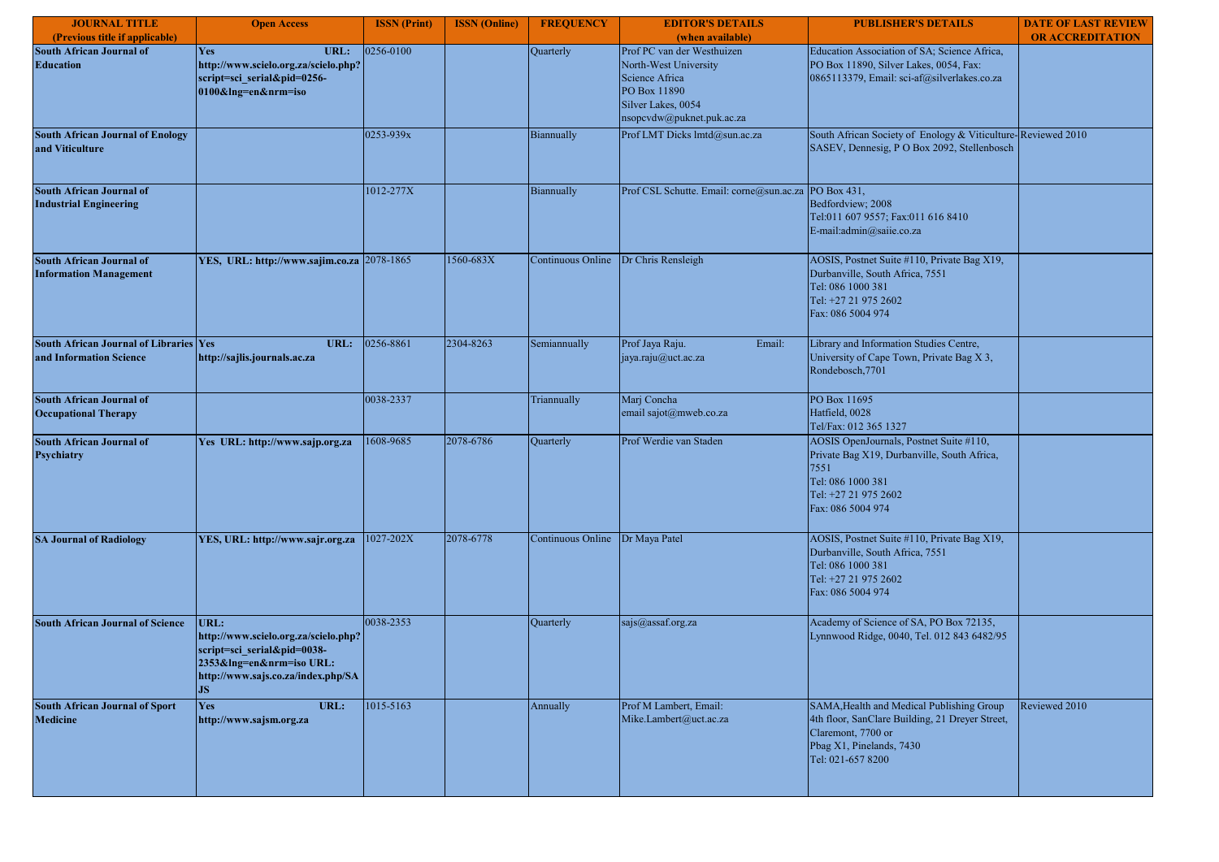| <b>JOURNAL TITLE</b>                                                     | <b>Open Access</b>                                                                                                                                         | <b>ISSN</b> (Print) | <b>ISSN</b> (Online) | <b>FREQUENCY</b>  | <b>EDITOR'S DETAILS</b>                                                                                                                  | <b>PUBLISHER'S DETAILS</b>                                                                                                                                          | <b>DATE OF LAST REVIEW</b> |
|--------------------------------------------------------------------------|------------------------------------------------------------------------------------------------------------------------------------------------------------|---------------------|----------------------|-------------------|------------------------------------------------------------------------------------------------------------------------------------------|---------------------------------------------------------------------------------------------------------------------------------------------------------------------|----------------------------|
| (Previous title if applicable)                                           |                                                                                                                                                            |                     |                      |                   | (when available)                                                                                                                         |                                                                                                                                                                     | <b>OR ACCREDITATION</b>    |
| <b>South African Journal of</b><br><b>Education</b>                      | <b>Yes</b><br>URL:<br>http://www.scielo.org.za/scielo.php?<br>script=sci_serial&pid=0256-<br>0100&Ing=en&nrm=iso                                           | 0256-0100           |                      | Quarterly         | Prof PC van der Westhuizen<br>North-West University<br>Science Africa<br>PO Box 11890<br>Silver Lakes, 0054<br>nsopcvdw@puknet.puk.ac.za | Education Association of SA; Science Africa,<br>PO Box 11890, Silver Lakes, 0054, Fax:<br>0865113379, Email: sci-af@silverlakes.co.za                               |                            |
| <b>South African Journal of Enology</b><br>and Viticulture               |                                                                                                                                                            | 0253-939x           |                      | Biannually        | Prof LMT Dicks lmtd@sun.ac.za                                                                                                            | South African Society of Enology & Viticulture-Reviewed 2010<br>SASEV, Dennesig, P O Box 2092, Stellenbosch                                                         |                            |
| <b>South African Journal of</b><br><b>Industrial Engineering</b>         |                                                                                                                                                            | 1012-277X           |                      | Biannually        | Prof CSL Schutte. Email: corne@sun.ac.za PO Box 431,                                                                                     | Bedfordview: 2008<br>Tel:011 607 9557; Fax:011 616 8410<br>E-mail:admin@saiie.co.za                                                                                 |                            |
| <b>South African Journal of</b><br><b>Information Management</b>         | YES, URL: http://www.sajim.co.za 2078-1865                                                                                                                 |                     | 1560-683X            |                   | Continuous Online Dr Chris Rensleigh                                                                                                     | AOSIS, Postnet Suite #110, Private Bag X19,<br>Durbanville, South Africa, 7551<br>Tel: 086 1000 381<br>Tel: +27 21 975 2602<br>Fax: 086 5004 974                    |                            |
| <b>South African Journal of Libraries Yes</b><br>and Information Science | URL:<br>http://sajlis.journals.ac.za                                                                                                                       | 0256-8861           | 2304-8263            | Semiannually      | Prof Jaya Raju.<br>Email:<br>jaya.raju@uct.ac.za                                                                                         | Library and Information Studies Centre,<br>University of Cape Town, Private Bag X 3,<br>Rondebosch.7701                                                             |                            |
| <b>South African Journal of</b><br><b>Occupational Therapy</b>           |                                                                                                                                                            | 0038-2337           |                      | Triannually       | Marj Concha<br>email sajot@mweb.co.za                                                                                                    | PO Box 11695<br>Hatfield, 0028<br>Tel/Fax: 012 365 1327                                                                                                             |                            |
| <b>South African Journal of</b><br>Psychiatry                            | Yes URL: http://www.sajp.org.za                                                                                                                            | 1608-9685           | 2078-6786            | Quarterly         | Prof Werdie van Staden                                                                                                                   | AOSIS OpenJournals, Postnet Suite #110,<br>Private Bag X19, Durbanville, South Africa,<br>7551<br>Tel: 086 1000 381<br>Tel: +27 21 975 2602<br>Fax: 086 5004 974    |                            |
| <b>SA Journal of Radiology</b>                                           | YES, URL: http://www.sajr.org.za                                                                                                                           | 1027-202X           | 2078-6778            | Continuous Online | Dr Maya Patel                                                                                                                            | AOSIS, Postnet Suite #110, Private Bag X19,<br>Durbanville, South Africa, 7551<br>Tel: 086 1000 381<br>Tel: +27 21 975 2602<br>Fax: 086 5004 974                    |                            |
| <b>South African Journal of Science</b>                                  | URL:<br>http://www.scielo.org.za/scielo.php?<br>script=sci_serial&pid=0038-<br>2353&lng=en&nrm=iso URL:<br>http://www.sajs.co.za/index.php/SA<br><b>JS</b> | 0038-2353           |                      | Quarterly         | sajs@assaf.org.za                                                                                                                        | Academy of Science of SA, PO Box 72135,<br>Lynnwood Ridge, 0040, Tel. 012 843 6482/95                                                                               |                            |
| <b>South African Journal of Sport</b><br><b>Medicine</b>                 | URL:<br>Yes<br>http://www.sajsm.org.za                                                                                                                     | 1015-5163           |                      | Annually          | Prof M Lambert, Email:<br>Mike.Lambert@uct.ac.za                                                                                         | SAMA, Health and Medical Publishing Group<br>4th floor, SanClare Building, 21 Dreyer Street,<br>Claremont, 7700 or<br>Pbag X1, Pinelands, 7430<br>Tel: 021-657 8200 | Reviewed 2010              |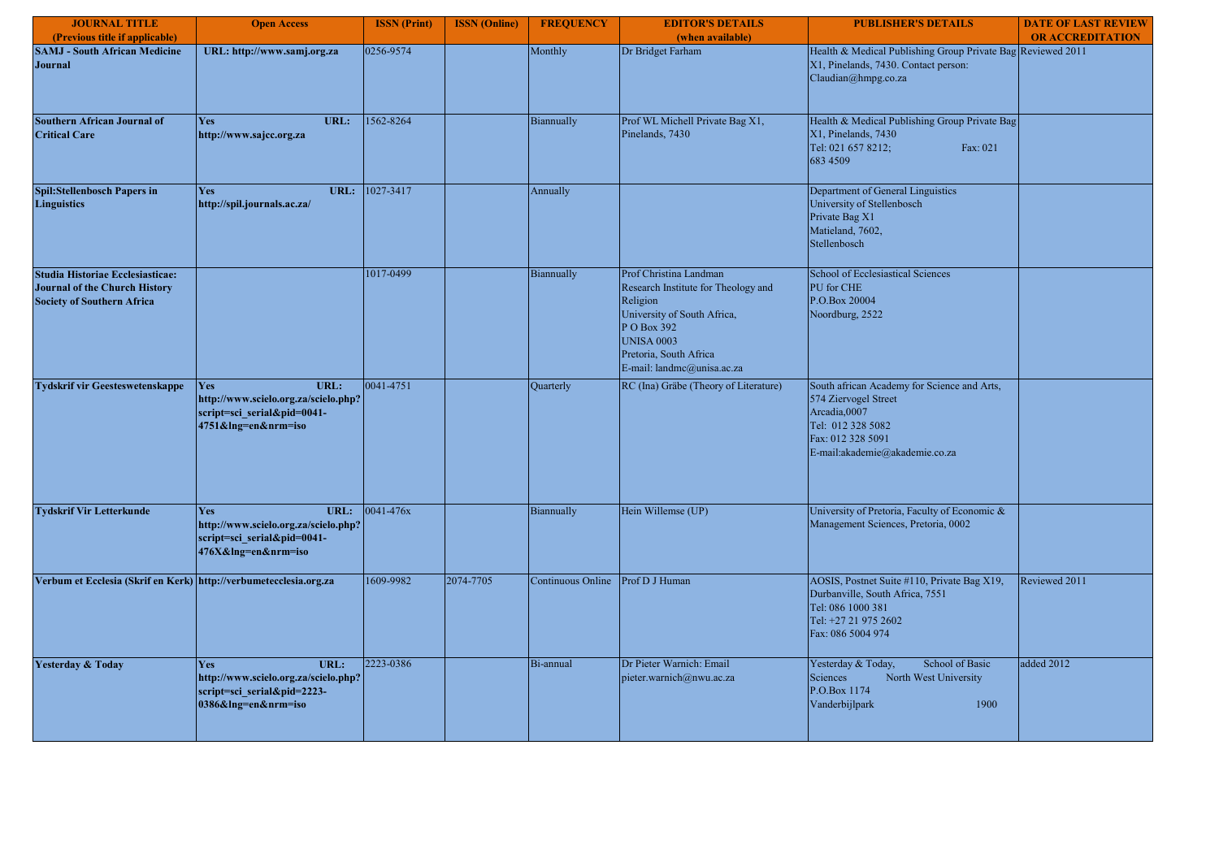| <b>JOURNAL TITLE</b>                                                                                                 | <b>Open Access</b>                                                                                               | <b>ISSN</b> (Print) | <b>ISSN</b> (Online) | <b>FREQUENCY</b>  | <b>EDITOR'S DETAILS</b>                                                                                                                                                                              | <b>PUBLISHER'S DETAILS</b>                                                                                                                                      | <b>DATE OF LAST REVIEW</b> |
|----------------------------------------------------------------------------------------------------------------------|------------------------------------------------------------------------------------------------------------------|---------------------|----------------------|-------------------|------------------------------------------------------------------------------------------------------------------------------------------------------------------------------------------------------|-----------------------------------------------------------------------------------------------------------------------------------------------------------------|----------------------------|
| (Previous title if applicable)                                                                                       |                                                                                                                  |                     |                      |                   | (when available)                                                                                                                                                                                     |                                                                                                                                                                 | <b>OR ACCREDITATION</b>    |
| <b>SAMJ - South African Medicine</b><br>Journal                                                                      | URL: http://www.samj.org.za                                                                                      | 0256-9574           |                      | Monthly           | Dr Bridget Farham                                                                                                                                                                                    | Health & Medical Publishing Group Private Bag Reviewed 2011<br>X1, Pinelands, 7430. Contact person:<br>Claudian@hmpg.co.za                                      |                            |
| <b>Southern African Journal of</b><br><b>Critical Care</b>                                                           | Yes<br>URL:<br>http://www.sajcc.org.za                                                                           | 1562-8264           |                      | Biannually        | Prof WL Michell Private Bag X1,<br>Pinelands, 7430                                                                                                                                                   | Health & Medical Publishing Group Private Bag<br>X1, Pinelands, 7430<br>Tel: 021 657 8212;<br>Fax: 021<br>683 4509                                              |                            |
| <b>Spil:Stellenbosch Papers in</b><br>Linguistics                                                                    | <b>Yes</b><br>http://spil.journals.ac.za/                                                                        | URL: 1027-3417      |                      | Annually          |                                                                                                                                                                                                      | Department of General Linguistics<br>University of Stellenbosch<br>Private Bag X1<br>Matieland, 7602,<br>Stellenbosch                                           |                            |
| <b>Studia Historiae Ecclesiasticae:</b><br><b>Journal of the Church History</b><br><b>Society of Southern Africa</b> |                                                                                                                  | 1017-0499           |                      | Biannually        | Prof Christina Landman<br>Research Institute for Theology and<br>Religion<br>University of South Africa,<br>P O Box 392<br><b>UNISA 0003</b><br>Pretoria, South Africa<br>E-mail: landmc@unisa.ac.za | <b>School of Ecclesiastical Sciences</b><br>PU for CHE<br>P.O.Box 20004<br>Noordburg, 2522                                                                      |                            |
| <b>Tydskrif vir Geesteswetenskappe</b>                                                                               | URL:<br><b>Yes</b><br>http://www.scielo.org.za/scielo.php?<br>script=sci_serial&pid=0041-<br>4751&lng=en&nrm=iso | 0041-4751           |                      | Quarterly         | RC (Ina) Gräbe (Theory of Literature)                                                                                                                                                                | South african Academy for Science and Arts,<br>574 Ziervogel Street<br>Arcadia,0007<br>Tel: 012 328 5082<br>Fax: 012 328 5091<br>E-mail:akademie@akademie.co.za |                            |
| <b>Tydskrif Vir Letterkunde</b>                                                                                      | URL:<br><b>Yes</b><br>http://www.scielo.org.za/scielo.php?<br>script=sci serial&pid=0041-<br>476X&Ing=en&nrm=iso | 0041-476x           |                      | Biannually        | Hein Willemse (UP)                                                                                                                                                                                   | University of Pretoria, Faculty of Economic &<br>Management Sciences, Pretoria, 0002                                                                            |                            |
| Verbum et Ecclesia (Skrif en Kerk)                                                                                   | http://verbumetecclesia.org.za                                                                                   | 1609-9982           | 2074-7705            | Continuous Online | Prof D J Human                                                                                                                                                                                       | AOSIS, Postnet Suite #110, Private Bag X19,<br>Durbanville, South Africa, 7551<br>Tel: 086 1000 381<br>Tel: +27 21 975 2602<br>Fax: 086 5004 974                | Reviewed 2011              |
| <b>Yesterday &amp; Today</b>                                                                                         | URL:<br><b>Yes</b><br>http://www.scielo.org.za/scielo.php?<br>script=sci serial&pid=2223-<br>0386&lng=en&nrm=iso | 2223-0386           |                      | Bi-annual         | Dr Pieter Warnich: Email<br>pieter.warnich@nwu.ac.za                                                                                                                                                 | School of Basic<br>Yesterday & Today,<br>Sciences<br>North West University<br>P.O.Box 1174<br>Vanderbijlpark<br>1900                                            | added 2012                 |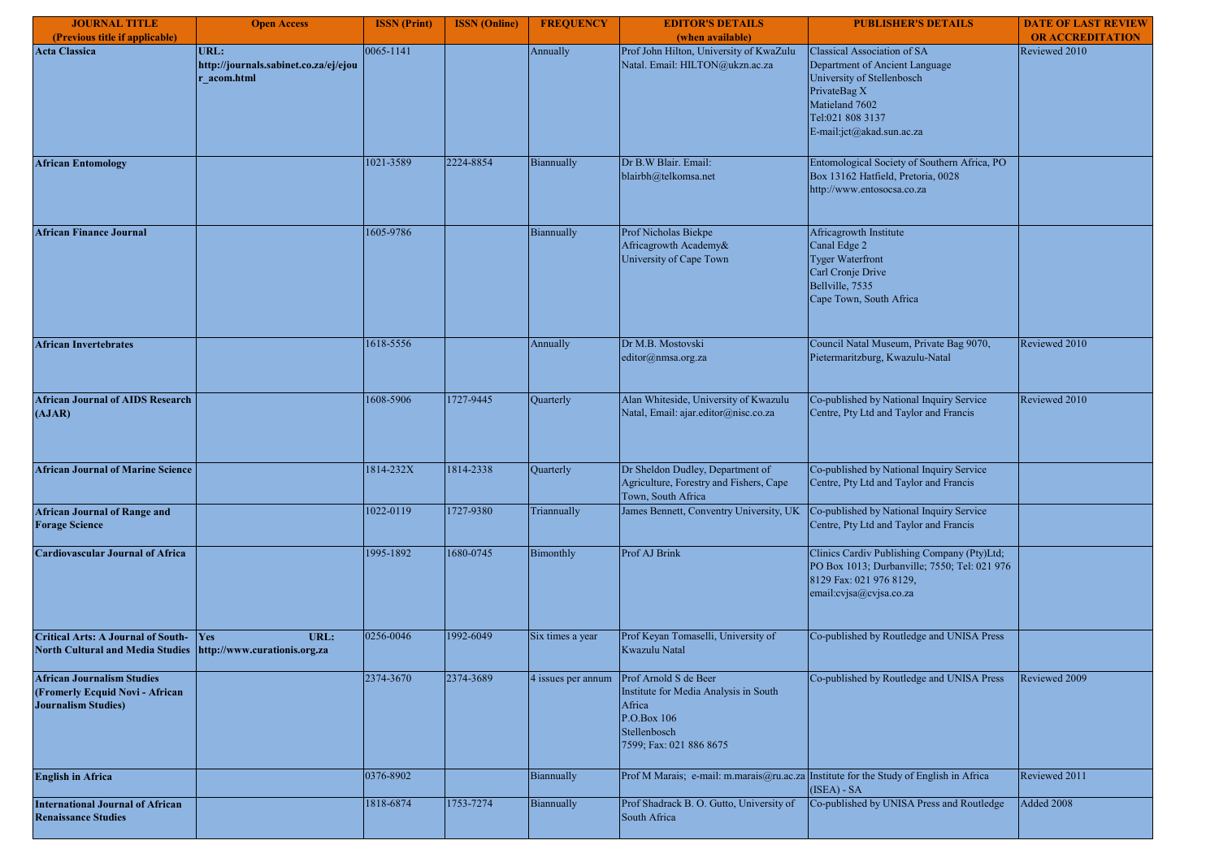| <b>JOURNAL TITLE</b>                                                                                         | <b>Open Access</b>                                           | <b>ISSN</b> (Print) | <b>ISSN</b> (Online) | <b>FREQUENCY</b>   | <b>EDITOR'S DETAILS</b>                                                                                                            | <b>PUBLISHER'S DETAILS</b>                                                                                                                                                     | <b>DATE OF LAST REVIEW</b> |
|--------------------------------------------------------------------------------------------------------------|--------------------------------------------------------------|---------------------|----------------------|--------------------|------------------------------------------------------------------------------------------------------------------------------------|--------------------------------------------------------------------------------------------------------------------------------------------------------------------------------|----------------------------|
| (Previous title if applicable)                                                                               |                                                              |                     |                      |                    | (when available)                                                                                                                   |                                                                                                                                                                                | <b>OR ACCREDITATION</b>    |
| <b>Acta Classica</b>                                                                                         | URL:<br>http://journals.sabinet.co.za/ej/ejou<br>r acom.html | 0065-1141           |                      | Annually           | Prof John Hilton, University of KwaZulu<br>Natal. Email: HILTON@ukzn.ac.za                                                         | Classical Association of SA<br>Department of Ancient Language<br>University of Stellenbosch<br>PrivateBag X<br>Matieland 7602<br>Tel:021 808 3137<br>E-mail:jct@akad.sun.ac.za | Reviewed 2010              |
| <b>African Entomology</b>                                                                                    |                                                              | 1021-3589           | 2224-8854            | Biannually         | Dr B.W Blair. Email:<br>blairbh@telkomsa.net                                                                                       | Entomological Society of Southern Africa, PO<br>Box 13162 Hatfield, Pretoria, 0028<br>http://www.entosocsa.co.za                                                               |                            |
| <b>African Finance Journal</b>                                                                               |                                                              | 1605-9786           |                      | Biannually         | Prof Nicholas Biekpe<br>Africagrowth Academy&<br>University of Cape Town                                                           | Africagrowth Institute<br>Canal Edge 2<br><b>Tyger Waterfront</b><br>Carl Cronje Drive<br>Bellville, 7535<br>Cape Town, South Africa                                           |                            |
| <b>African Invertebrates</b>                                                                                 |                                                              | 1618-5556           |                      | Annually           | Dr M.B. Mostovski<br>editor@nmsa.org.za                                                                                            | Council Natal Museum, Private Bag 9070,<br>Pietermaritzburg, Kwazulu-Natal                                                                                                     | Reviewed 2010              |
| <b>African Journal of AIDS Research</b><br>(AJAR)                                                            |                                                              | 1608-5906           | 1727-9445            | Quarterly          | Alan Whiteside, University of Kwazulu<br>Natal, Email: ajar.editor@nisc.co.za                                                      | Co-published by National Inquiry Service<br>Centre, Pty Ltd and Taylor and Francis                                                                                             | Reviewed 2010              |
| <b>African Journal of Marine Science</b>                                                                     |                                                              | 1814-232X           | 1814-2338            | Quarterly          | Dr Sheldon Dudley, Department of<br>Agriculture, Forestry and Fishers, Cape<br>Town, South Africa                                  | Co-published by National Inquiry Service<br>Centre, Pty Ltd and Taylor and Francis                                                                                             |                            |
| <b>African Journal of Range and</b><br><b>Forage Science</b>                                                 |                                                              | 1022-0119           | 1727-9380            | Triannually        | James Bennett, Conventry University, UK                                                                                            | Co-published by National Inquiry Service<br>Centre, Pty Ltd and Taylor and Francis                                                                                             |                            |
| <b>Cardiovascular Journal of Africa</b>                                                                      |                                                              | 1995-1892           | 1680-0745            | Bimonthly          | Prof AJ Brink                                                                                                                      | Clinics Cardiv Publishing Company (Pty)Ltd;<br>PO Box 1013; Durbanville; 7550; Tel: 021 976<br>8129 Fax: 021 976 8129,<br>email:cvjsa@cvjsa.co.za                              |                            |
| <b>Critical Arts: A Journal of South-</b><br>North Cultural and Media Studies   http://www.curationis.org.za | <b>Yes</b><br>URL:                                           | 0256-0046           | 1992-6049            | Six times a year   | Prof Keyan Tomaselli, University of<br>Kwazulu Natal                                                                               | Co-published by Routledge and UNISA Press                                                                                                                                      |                            |
| <b>African Journalism Studies</b><br>(Fromerly Ecquid Novi - African<br><b>Journalism Studies</b> )          |                                                              | 2374-3670           | 2374-3689            | 4 issues per annum | Prof Arnold S de Beer<br>Institute for Media Analysis in South<br>Africa<br>P.O.Box 106<br>Stellenbosch<br>7599; Fax: 021 886 8675 | Co-published by Routledge and UNISA Press                                                                                                                                      | Reviewed 2009              |
| <b>English in Africa</b>                                                                                     |                                                              | 0376-8902           |                      | Biannually         | Prof M Marais; e-mail: m.marais@ru.ac.za Institute for the Study of English in Africa                                              | (ISEA) - SA                                                                                                                                                                    | Reviewed 2011              |
| <b>International Journal of African</b><br><b>Renaissance Studies</b>                                        |                                                              | 1818-6874           | 1753-7274            | Biannually         | Prof Shadrack B. O. Gutto, University of<br>South Africa                                                                           | Co-published by UNISA Press and Routledge                                                                                                                                      | Added 2008                 |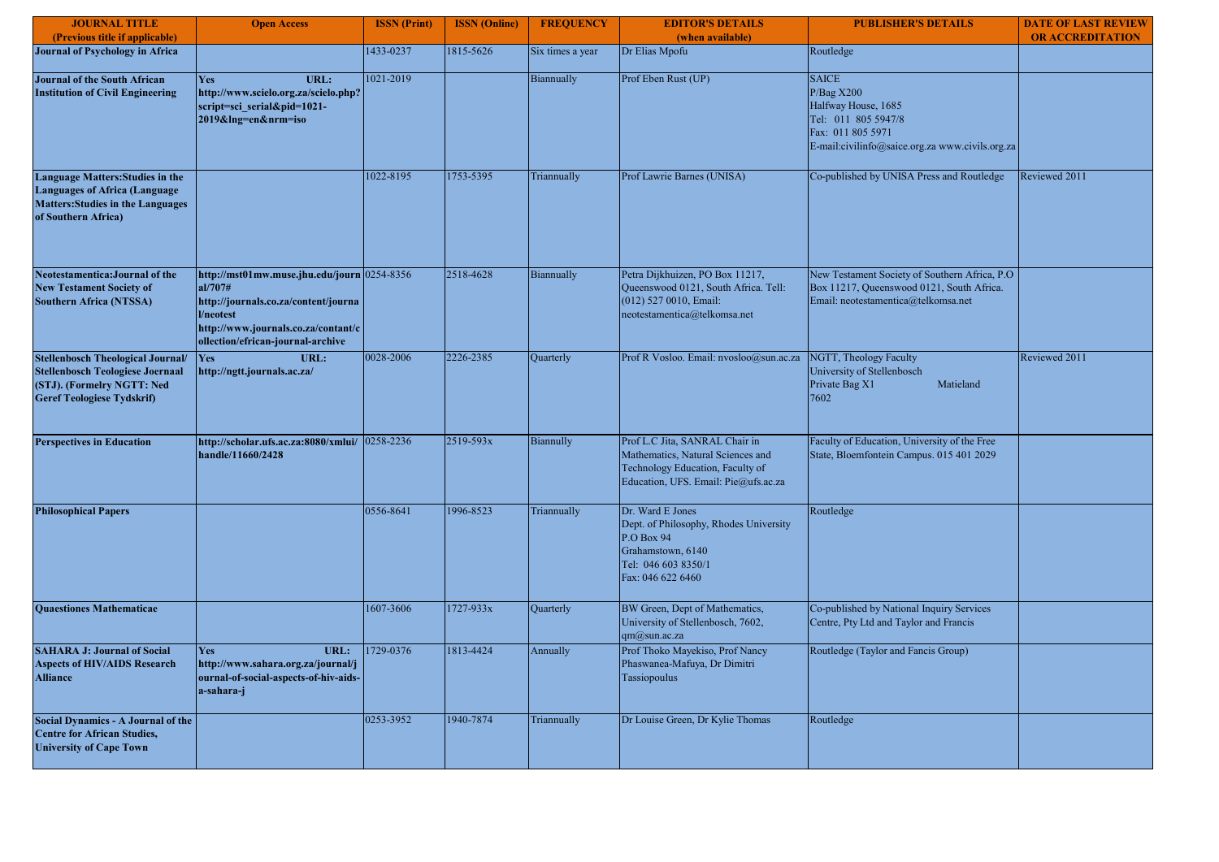| <b>JOURNAL TITLE</b><br>(Previous title if applicable)                                                                                          | <b>Open Access</b>                                                                                                                                                                      | <b>ISSN</b> (Print) | <b>ISSN</b> (Online) | <b>FREQUENCY</b>  | <b>EDITOR'S DETAILS</b><br>(when available)                                                                                                     | <b>PUBLISHER'S DETAILS</b>                                                                                                                       | <b>DATE OF LAST REVIEW</b><br><b>OR ACCREDITATION</b> |
|-------------------------------------------------------------------------------------------------------------------------------------------------|-----------------------------------------------------------------------------------------------------------------------------------------------------------------------------------------|---------------------|----------------------|-------------------|-------------------------------------------------------------------------------------------------------------------------------------------------|--------------------------------------------------------------------------------------------------------------------------------------------------|-------------------------------------------------------|
| <b>Journal of Psychology in Africa</b>                                                                                                          |                                                                                                                                                                                         | 1433-0237           | 1815-5626            | Six times a year  | Dr Elias Mpofu                                                                                                                                  | Routledge                                                                                                                                        |                                                       |
| <b>Journal of the South African</b><br><b>Institution of Civil Engineering</b>                                                                  | Yes<br>URL:<br>http://www.scielo.org.za/scielo.php?<br>script=sci serial&pid=1021-<br>2019&Ing=en&nrm=iso                                                                               | 1021-2019           |                      | <b>Biannually</b> | Prof Eben Rust (UP)                                                                                                                             | <b>SAICE</b><br>P/Bag X200<br>Halfway House, 1685<br>Tel: 011 805 5947/8<br>Fax: 011 805 5971<br>E-mail:civilinfo@saice.org.za www.civils.org.za |                                                       |
| Language Matters: Studies in the<br><b>Languages of Africa (Language</b><br><b>Matters:Studies in the Languages</b><br>of Southern Africa)      |                                                                                                                                                                                         | 1022-8195           | 1753-5395            | Triannually       | Prof Lawrie Barnes (UNISA)                                                                                                                      | Co-published by UNISA Press and Routledge                                                                                                        | Reviewed 2011                                         |
| Neotestamentica: Journal of the<br><b>New Testament Society of</b><br><b>Southern Africa (NTSSA)</b>                                            | http://mst01mw.muse.jhu.edu/journ 0254-8356<br>al/707#<br>http://journals.co.za/content/journa<br>l/neotest<br>http://www.journals.co.za/contant/c<br>ollection/efrican-journal-archive |                     | 2518-4628            | Biannually        | Petra Dijkhuizen, PO Box 11217,<br>Queenswood 0121, South Africa. Tell:<br>(012) 527 0010, Email:<br>neotestamentica@telkomsa.net               | New Testament Society of Southern Africa, P.O.<br>Box 11217, Queenswood 0121, South Africa.<br>Email: neotestamentica@telkomsa.net               |                                                       |
| Stellenbosch Theological Journal/<br><b>Stellenbosch Teologiese Joernaal</b><br>(STJ). (Formelry NGTT: Ned<br><b>Geref Teologiese Tydskrif)</b> | URL:<br><b>Yes</b><br>http://ngtt.journals.ac.za/                                                                                                                                       | 0028-2006           | 2226-2385            | Quarterly         | Prof R Vosloo. Email: nvosloo@sun.ac.za                                                                                                         | NGTT, Theology Faculty<br>University of Stellenbosch<br>Private Bag X1<br>Matieland<br>7602                                                      | Reviewed 2011                                         |
| <b>Perspectives in Education</b>                                                                                                                | http://scholar.ufs.ac.za:8080/xmlui/ 0258-2236<br>handle/11660/2428                                                                                                                     |                     | 2519-593x            | Biannully         | Prof L.C Jita, SANRAL Chair in<br>Mathematics, Natural Sciences and<br>Technology Education, Faculty of<br>Education, UFS. Email: Pie@ufs.ac.za | Faculty of Education, University of the Free<br>State, Bloemfontein Campus. 015 401 2029                                                         |                                                       |
| <b>Philosophical Papers</b>                                                                                                                     |                                                                                                                                                                                         | 0556-8641           | 1996-8523            | Triannually       | Dr. Ward E Jones<br>Dept. of Philosophy, Rhodes University<br>P.O Box 94<br>Grahamstown, 6140<br>Tel: 046 603 8350/1<br>Fax: 046 622 6460       | Routledge                                                                                                                                        |                                                       |
| <b>Ouaestiones Mathematicae</b>                                                                                                                 |                                                                                                                                                                                         | 1607-3606           | 1727-933x            | Quarterly         | BW Green, Dept of Mathematics,<br>University of Stellenbosch, 7602,<br>qm@sun.ac.za                                                             | Co-published by National Inquiry Services<br>Centre, Pty Ltd and Taylor and Francis                                                              |                                                       |
| <b>SAHARA J: Journal of Social</b><br><b>Aspects of HIV/AIDS Research</b><br><b>Alliance</b>                                                    | URL:<br><b>Yes</b><br>http://www.sahara.org.za/journal/j<br>ournal-of-social-aspects-of-hiv-aids-<br>a-sahara-j                                                                         | 1729-0376           | 1813-4424            | Annually          | Prof Thoko Mayekiso, Prof Nancy<br>Phaswanea-Mafuya, Dr Dimitri<br>Tassiopoulus                                                                 | Routledge (Taylor and Fancis Group)                                                                                                              |                                                       |
| Social Dynamics - A Journal of the<br><b>Centre for African Studies,</b><br><b>University of Cape Town</b>                                      |                                                                                                                                                                                         | 0253-3952           | 1940-7874            | Triannually       | Dr Louise Green, Dr Kylie Thomas                                                                                                                | Routledge                                                                                                                                        |                                                       |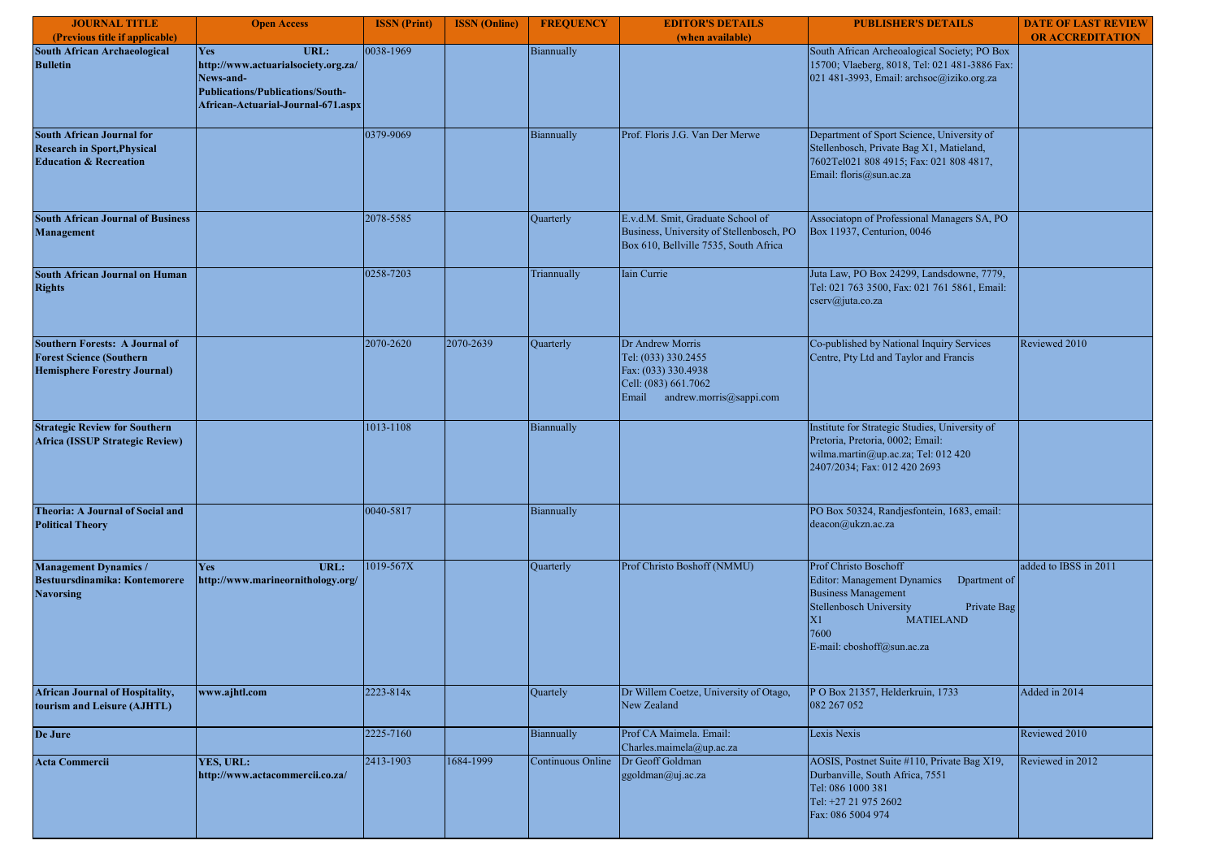| <b>JOURNAL TITLE</b>                                                                                            | <b>Open Access</b>                                                                                                                        | <b>ISSN</b> (Print) | <b>ISSN</b> (Online) | <b>FREQUENCY</b>  | <b>EDITOR'S DETAILS</b>                                                                                                    | <b>PUBLISHER'S DETAILS</b>                                                                                                                                                                                   | <b>DATE OF LAST REVIEW</b> |
|-----------------------------------------------------------------------------------------------------------------|-------------------------------------------------------------------------------------------------------------------------------------------|---------------------|----------------------|-------------------|----------------------------------------------------------------------------------------------------------------------------|--------------------------------------------------------------------------------------------------------------------------------------------------------------------------------------------------------------|----------------------------|
| (Previous title if applicable)                                                                                  |                                                                                                                                           |                     |                      |                   | (when available)                                                                                                           |                                                                                                                                                                                                              | <b>OR ACCREDITATION</b>    |
| South African Archaeological<br><b>Bulletin</b>                                                                 | URL:<br>Yes<br>http://www.actuarialsociety.org.za/<br>News-and-<br>Publications/Publications/South-<br>African-Actuarial-Journal-671.aspx | 0038-1969           |                      | Biannually        |                                                                                                                            | South African Archeoalogical Society; PO Box<br>15700; Vlaeberg, 8018, Tel: 021 481-3886 Fax:<br>021 481-3993, Email: archsoc@iziko.org.za                                                                   |                            |
| <b>South African Journal for</b><br><b>Research in Sport, Physical</b><br><b>Education &amp; Recreation</b>     |                                                                                                                                           | 0379-9069           |                      | Biannually        | Prof. Floris J.G. Van Der Merwe                                                                                            | Department of Sport Science, University of<br>Stellenbosch, Private Bag X1, Matieland,<br>7602Tel021 808 4915; Fax: 021 808 4817,<br>Email: floris@sun.ac.za                                                 |                            |
| <b>South African Journal of Business</b><br>Management                                                          |                                                                                                                                           | 2078-5585           |                      | Quarterly         | E.v.d.M. Smit, Graduate School of<br>Business, University of Stellenbosch, PO<br>Box 610, Bellville 7535, South Africa     | Associatopn of Professional Managers SA, PO<br>Box 11937, Centurion, 0046                                                                                                                                    |                            |
| <b>South African Journal on Human</b><br><b>Rights</b>                                                          |                                                                                                                                           | 0258-7203           |                      | Triannually       | Iain Currie                                                                                                                | Juta Law, PO Box 24299, Landsdowne, 7779,<br>Tel: 021 763 3500, Fax: 021 761 5861, Email:<br>cserv@juta.co.za                                                                                                |                            |
| <b>Southern Forests: A Journal of</b><br><b>Forest Science (Southern</b><br><b>Hemisphere Forestry Journal)</b> |                                                                                                                                           | 2070-2620           | 2070-2639            | Quarterly         | Dr Andrew Morris<br>Tel: (033) 330.2455<br>Fax: (033) 330.4938<br>Cell: (083) 661.7062<br>andrew.morris@sappi.com<br>Email | Co-published by National Inquiry Services<br>Centre, Pty Ltd and Taylor and Francis                                                                                                                          | Reviewed 2010              |
| <b>Strategic Review for Southern</b><br>Africa (ISSUP Strategic Review)                                         |                                                                                                                                           | 1013-1108           |                      | Biannually        |                                                                                                                            | Institute for Strategic Studies, University of<br>Pretoria, Pretoria, 0002; Email:<br>wilma.martin@up.ac.za; Tel: 012 420<br>2407/2034; Fax: 012 420 2693                                                    |                            |
| Theoria: A Journal of Social and<br><b>Political Theory</b>                                                     |                                                                                                                                           | 0040-5817           |                      | Biannually        |                                                                                                                            | PO Box 50324, Randjesfontein, 1683, email:<br>deacon@ukzn.ac.za                                                                                                                                              |                            |
| <b>Management Dynamics /</b><br><b>Bestuursdinamika: Kontemorere</b><br><b>Navorsing</b>                        | URL:<br>Yes<br>http://www.marineornithology.org/                                                                                          | 1019-567X           |                      | Quarterly         | Prof Christo Boshoff (NMMU)                                                                                                | Prof Christo Boschoff<br>Editor: Management Dynamics<br>Dpartment of<br><b>Business Management</b><br>Stellenbosch University<br>Private Bag<br>X1<br><b>MATIELAND</b><br>7600<br>E-mail: cboshoff@sun.ac.za | added to IBSS in 2011      |
| <b>African Journal of Hospitality,</b><br>tourism and Leisure (AJHTL)                                           | www.ajhtl.com                                                                                                                             | 2223-814x           |                      | Quartely          | Dr Willem Coetze, University of Otago,<br>New Zealand                                                                      | P O Box 21357, Helderkruin, 1733<br>082 267 052                                                                                                                                                              | Added in 2014              |
| De Jure                                                                                                         |                                                                                                                                           | 2225-7160           |                      | Biannually        | Prof CA Maimela. Email:<br>Charles.maimela@up.ac.za                                                                        | Lexis Nexis                                                                                                                                                                                                  | Reviewed 2010              |
| <b>Acta Commercii</b>                                                                                           | YES, URL:<br>http://www.actacommercii.co.za/                                                                                              | 2413-1903           | 1684-1999            | Continuous Online | Dr Geoff Goldman<br>ggoldman@uj.ac.za                                                                                      | AOSIS, Postnet Suite #110, Private Bag X19,<br>Durbanville, South Africa, 7551<br>Tel: 086 1000 381<br>Tel: +27 21 975 2602<br>Fax: 086 5004 974                                                             | Reviewed in 2012           |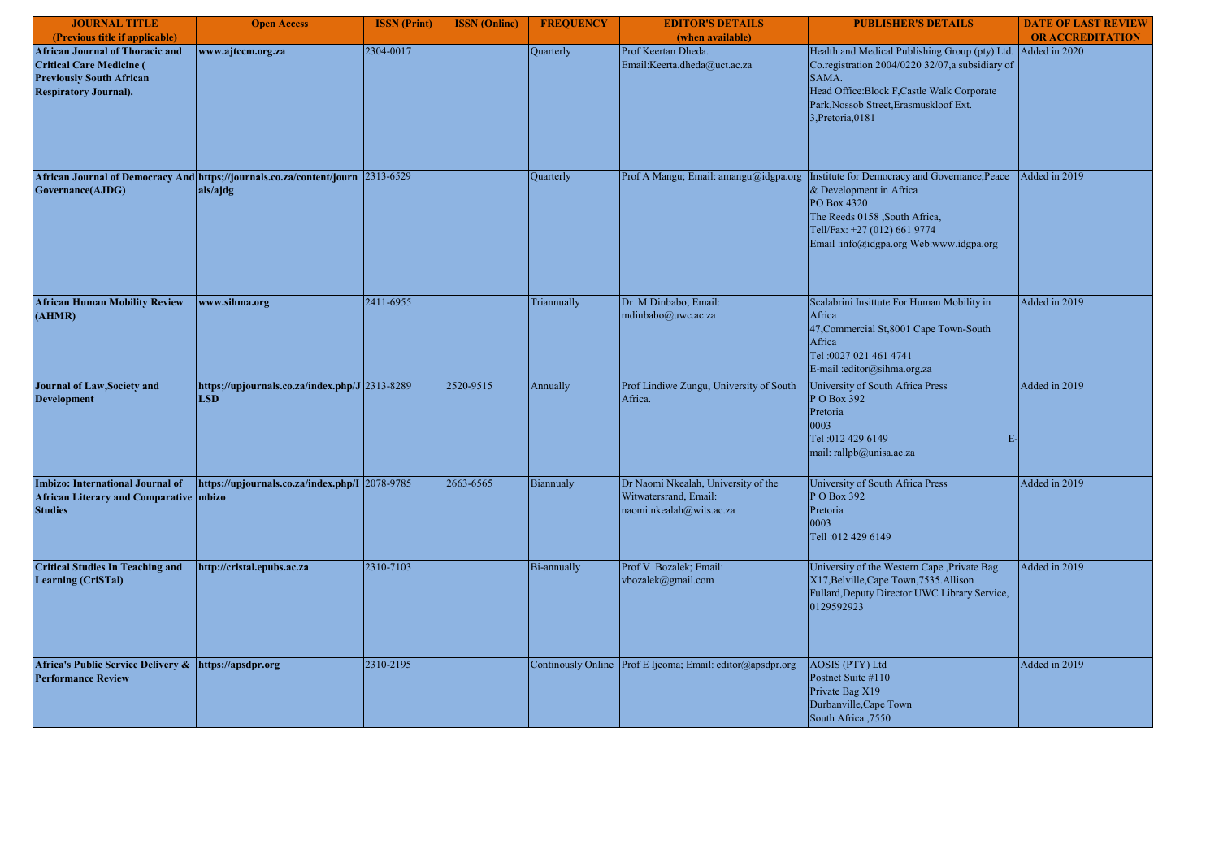| <b>JOURNAL TITLE</b>                                                                                                                         | <b>Open Access</b>                                                                          | <b>ISSN</b> (Print) | <b>ISSN</b> (Online) | <b>FREQUENCY</b>   | <b>EDITOR'S DETAILS</b>                                                                  | <b>PUBLISHER'S DETAILS</b>                                                                                                                                                                                                                  | <b>DATE OF LAST REVIEW</b> |
|----------------------------------------------------------------------------------------------------------------------------------------------|---------------------------------------------------------------------------------------------|---------------------|----------------------|--------------------|------------------------------------------------------------------------------------------|---------------------------------------------------------------------------------------------------------------------------------------------------------------------------------------------------------------------------------------------|----------------------------|
| (Previous title if applicable)                                                                                                               |                                                                                             |                     |                      |                    | (when available)                                                                         |                                                                                                                                                                                                                                             | <b>OR ACCREDITATION</b>    |
| <b>African Journal of Thoracic and</b><br><b>Critical Care Medicine (</b><br><b>Previously South African</b><br><b>Respiratory Journal).</b> | www.ajtccm.org.za                                                                           | 2304-0017           |                      | Quarterly          | Prof Keertan Dheda.<br>Email:Keerta.dheda@uct.ac.za                                      | Health and Medical Publishing Group (pty) Ltd.<br>Co.registration 2004/0220 32/07,a subsidiary of<br>SAMA.<br>Head Office: Block F, Castle Walk Corporate<br>Park, Nossob Street, Erasmuskloof Ext.<br>3, Pretoria, 0181                    | Added in 2020              |
| Governance(AJDG)                                                                                                                             | African Journal of Democracy And https;//journals.co.za/content/journ 2313-6529<br>als/ajdg |                     |                      | Quarterly          |                                                                                          | Prof A Mangu; Email: amangu@idgpa.org  Institute for Democracy and Governance, Peace<br>& Development in Africa<br>PO Box 4320<br>The Reeds 0158 , South Africa,<br>Tell/Fax: +27 (012) 661 9774<br>Email :info@idgpa.org Web:www.idgpa.org | Added in 2019              |
| <b>African Human Mobility Review</b><br>(AHMR)                                                                                               | www.sihma.org                                                                               | 2411-6955           |                      | Triannually        | Dr M Dinbabo; Email:<br>mdinbabo@uwc.ac.za                                               | Scalabrini Insittute For Human Mobility in<br>Africa<br>47, Commercial St, 8001 Cape Town-South<br>Africa<br>Tel: 0027 021 461 4741<br>E-mail :editor@sihma.org.za                                                                          | Added in 2019              |
| Journal of Law, Society and<br><b>Development</b>                                                                                            | https;//upjournals.co.za/index.php/J 2313-8289<br><b>LSD</b>                                |                     | 2520-9515            | Annually           | Prof Lindiwe Zungu, University of South<br>Africa.                                       | University of South Africa Press<br>P O Box 392<br>Pretoria<br>0003<br>Tel: 012 429 6149<br>$E-$<br>mail: rallpb@unisa.ac.za                                                                                                                | Added in 2019              |
| <b>Imbizo: International Journal of</b><br>African Literary and Comparative mbizo<br><b>Studies</b>                                          | https://upjournals.co.za/index.php/I 2078-9785                                              |                     | 2663-6565            | Biannualy          | Dr Naomi Nkealah, University of the<br>Witwatersrand, Email:<br>naomi.nkealah@wits.ac.za | University of South Africa Press<br>P O Box 392<br>Pretoria<br>0003<br>Tell: 012 429 6149                                                                                                                                                   | Added in 2019              |
| <b>Critical Studies In Teaching and</b><br><b>Learning (CriSTal)</b>                                                                         | http://cristal.epubs.ac.za                                                                  | 2310-7103           |                      | Bi-annually        | Prof V Bozalek; Email:<br>vbozalek@gmail.com                                             | University of the Western Cape , Private Bag<br>X17, Belville, Cape Town, 7535. Allison<br>Fullard, Deputy Director: UWC Library Service,<br>0129592923                                                                                     | Added in 2019              |
| Africa's Public Service Delivery &<br><b>Performance Review</b>                                                                              | https://apsdpr.org                                                                          | 2310-2195           |                      | Continously Online | Prof E Ijeoma; Email: editor@apsdpr.org                                                  | <b>AOSIS (PTY) Ltd</b><br>Postnet Suite #110<br>Private Bag X19<br>Durbanville, Cape Town<br>South Africa ,7550                                                                                                                             | Added in 2019              |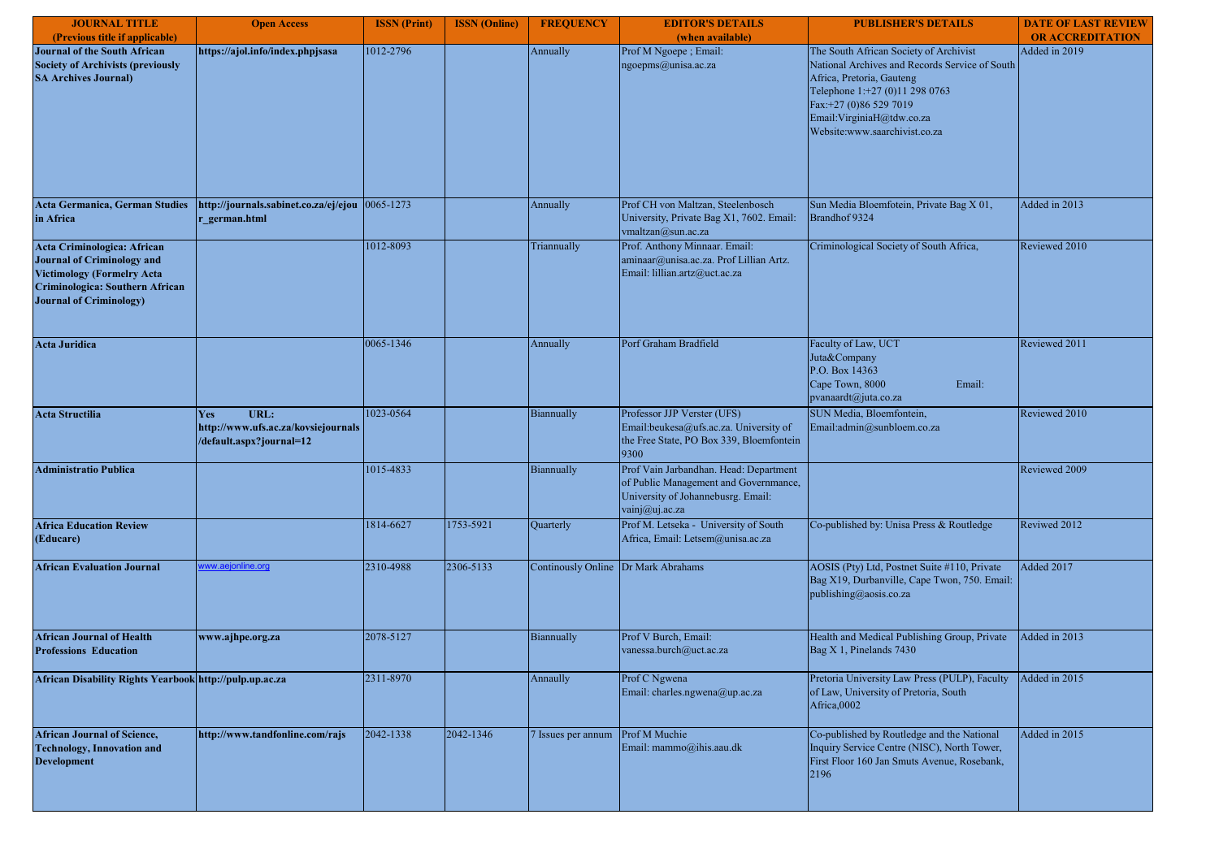| <b>JOURNAL TITLE</b>                                                                                                                                                       | <b>Open Access</b>                                                             | <b>ISSN</b> (Print) | <b>ISSN</b> (Online) | <b>FREQUENCY</b>          | <b>EDITOR'S DETAILS</b>                                                                                                                 | <b>PUBLISHER'S DETAILS</b>                                                                                                                                                                                                                      | <b>DATE OF LAST REVIEW</b> |
|----------------------------------------------------------------------------------------------------------------------------------------------------------------------------|--------------------------------------------------------------------------------|---------------------|----------------------|---------------------------|-----------------------------------------------------------------------------------------------------------------------------------------|-------------------------------------------------------------------------------------------------------------------------------------------------------------------------------------------------------------------------------------------------|----------------------------|
| (Previous title if applicable)                                                                                                                                             |                                                                                |                     |                      |                           | (when available)                                                                                                                        |                                                                                                                                                                                                                                                 | <b>OR ACCREDITATION</b>    |
| Journal of the South African<br><b>Society of Archivists (previously</b><br><b>SA Archives Journal)</b>                                                                    | https://ajol.info/index.phpjsasa                                               | 1012-2796           |                      | Annually                  | Prof M Ngoepe; Email:<br>ngoepms@unisa.ac.za                                                                                            | The South African Society of Archivist<br>National Archives and Records Service of South<br>Africa, Pretoria, Gauteng<br>Telephone 1:+27 (0)11 298 0763<br>Fax:+27 (0)86 529 7019<br>Email:VirginiaH@tdw.co.za<br>Website:www.saarchivist.co.za | Added in 2019              |
| <b>Acta Germanica, German Studies</b><br>in Africa                                                                                                                         | http://journals.sabinet.co.za/ej/ejou<br>r german.html                         | 0065-1273           |                      | Annually                  | Prof CH von Maltzan, Steelenbosch<br>University, Private Bag X1, 7602. Email:<br>vmaltzan@sun.ac.za                                     | Sun Media Bloemfotein, Private Bag X 01,<br>Brandhof 9324                                                                                                                                                                                       | Added in 2013              |
| Acta Criminologica: African<br><b>Journal of Criminology and</b><br><b>Victimology (Formelry Acta</b><br>Criminologica: Southern African<br><b>Journal of Criminology)</b> |                                                                                | 1012-8093           |                      | Triannually               | Prof. Anthony Minnaar. Email:<br>aminaar@unisa.ac.za. Prof Lillian Artz.<br>Email: lillian.artz@uct.ac.za                               | Criminological Society of South Africa,                                                                                                                                                                                                         | Reviewed 2010              |
| <b>Acta Juridica</b>                                                                                                                                                       |                                                                                | 0065-1346           |                      | Annually                  | Porf Graham Bradfield                                                                                                                   | Faculty of Law, UCT<br>Juta&Company<br>P.O. Box 14363<br>Cape Town, 8000<br>Email:<br>pvanaardt@juta.co.za                                                                                                                                      | Reviewed 2011              |
| <b>Acta Structilia</b>                                                                                                                                                     | URL:<br>Yes<br>http://www.ufs.ac.za/kovsiejournals<br>/default.aspx?journal=12 | 1023-0564           |                      | Biannually                | Professor JJP Verster (UFS)<br>Email:beukesa@ufs.ac.za. University of<br>the Free State, PO Box 339, Bloemfontein<br>9300               | SUN Media, Bloemfontein.<br>Email:admin@sunbloem.co.za                                                                                                                                                                                          | Reviewed 2010              |
| Administratio Publica                                                                                                                                                      |                                                                                | 1015-4833           |                      | Biannually                | Prof Vain Jarbandhan. Head: Department<br>of Public Management and Governmance,<br>University of Johannebusrg. Email:<br>vainj@uj.ac.za |                                                                                                                                                                                                                                                 | Reviewed 2009              |
| <b>Africa Education Review</b><br>(Educare)                                                                                                                                |                                                                                | 1814-6627           | 1753-5921            | Quarterly                 | Prof M. Letseka - University of South<br>Africa, Email: Letsem@unisa.ac.za                                                              | Co-published by: Unisa Press & Routledge                                                                                                                                                                                                        | Reviwed 2012               |
| <b>African Evaluation Journal</b>                                                                                                                                          | ww.aejonline.org                                                               | 2310-4988           | 2306-5133            | <b>Continously Online</b> | Dr Mark Abrahams                                                                                                                        | AOSIS (Pty) Ltd, Postnet Suite #110, Private<br>Bag X19, Durbanville, Cape Twon, 750. Email:<br>publishing@aosis.co.za                                                                                                                          | Added 2017                 |
| <b>African Journal of Health</b><br><b>Professions Education</b>                                                                                                           | www.ajhpe.org.za                                                               | 2078-5127           |                      | Biannually                | Prof V Burch, Email:<br>vanessa.burch@uct.ac.za                                                                                         | Health and Medical Publishing Group, Private<br>Bag X 1, Pinelands 7430                                                                                                                                                                         | Added in 2013              |
| African Disability Rights Yearbook http://pulp.up.ac.za                                                                                                                    |                                                                                | 2311-8970           |                      | Annaully                  | Prof C Ngwena<br>Email: charles.ngwena@up.ac.za                                                                                         | Pretoria University Law Press (PULP), Faculty<br>of Law, University of Pretoria, South<br>Africa,0002                                                                                                                                           | Added in 2015              |
| <b>African Journal of Science,</b><br><b>Technology, Innovation and</b><br><b>Development</b>                                                                              | http://www.tandfonline.com/rajs                                                | 2042-1338           | 2042-1346            | 7 Issues per annum        | Prof M Muchie<br>Email: mammo@ihis.aau.dk                                                                                               | Co-published by Routledge and the National<br>Inquiry Service Centre (NISC), North Tower,<br>First Floor 160 Jan Smuts Avenue, Rosebank,<br>2196                                                                                                | Added in 2015              |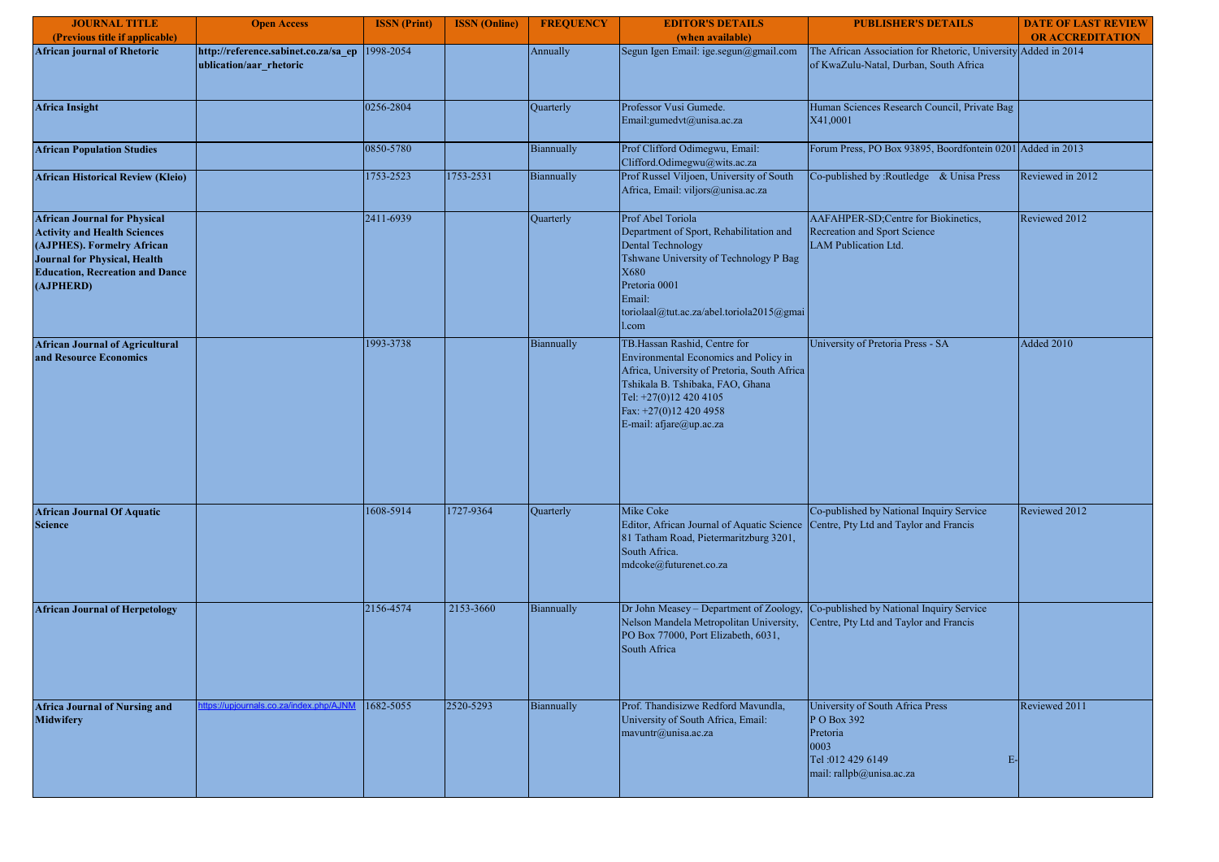| <b>JOURNAL TITLE</b>                                                                                                                                                                                   | <b>Open Access</b>                                              | <b>ISSN</b> (Print) | <b>ISSN</b> (Online) | <b>FREQUENCY</b> | <b>EDITOR'S DETAILS</b>                                                                                                                                                                                                                  | <b>PUBLISHER'S DETAILS</b>                                                                                                 | <b>DATE OF LAST REVIEW</b> |
|--------------------------------------------------------------------------------------------------------------------------------------------------------------------------------------------------------|-----------------------------------------------------------------|---------------------|----------------------|------------------|------------------------------------------------------------------------------------------------------------------------------------------------------------------------------------------------------------------------------------------|----------------------------------------------------------------------------------------------------------------------------|----------------------------|
| (Previous title if applicable)                                                                                                                                                                         |                                                                 |                     |                      |                  | (when available)                                                                                                                                                                                                                         |                                                                                                                            | <b>OR ACCREDITATION</b>    |
| <b>African journal of Rhetoric</b>                                                                                                                                                                     | http://reference.sabinet.co.za/sa ep<br>ublication/aar rhetoric | 1998-2054           |                      | Annually         | Segun Igen Email: ige.segun@gmail.com                                                                                                                                                                                                    | The African Association for Rhetoric, University Added in 2014<br>of KwaZulu-Natal, Durban, South Africa                   |                            |
| <b>Africa Insight</b>                                                                                                                                                                                  |                                                                 | 0256-2804           |                      | Quarterly        | Professor Vusi Gumede.<br>Email:gumedvt@unisa.ac.za                                                                                                                                                                                      | Human Sciences Research Council, Private Bag<br>X41,0001                                                                   |                            |
| <b>African Population Studies</b>                                                                                                                                                                      |                                                                 | 0850-5780           |                      | Biannually       | Prof Clifford Odimegwu, Email:<br>Clifford.Odimegwu@wits.ac.za                                                                                                                                                                           | Forum Press, PO Box 93895, Boordfontein 0201 Added in 2013                                                                 |                            |
| <b>African Historical Review (Kleio)</b>                                                                                                                                                               |                                                                 | 1753-2523           | 1753-2531            | Biannually       | Prof Russel Viljoen, University of South<br>Africa, Email: viljors@unisa.ac.za                                                                                                                                                           | Co-published by :Routledge & Unisa Press                                                                                   | Reviewed in 2012           |
| <b>African Journal for Physical</b><br><b>Activity and Health Sciences</b><br>(AJPHES). Formelry African<br><b>Journal for Physical, Health</b><br><b>Education, Recreation and Dance</b><br>(AJPHERD) |                                                                 | 2411-6939           |                      | Quarterly        | Prof Abel Toriola<br>Department of Sport, Rehabilitation and<br><b>Dental Technology</b><br>Tshwane University of Technology P Bag<br>X680<br>Pretoria 0001<br>Email:<br>toriolaal@tut.ac.za/abel.toriola2015@gmai<br>l.com              | AAFAHPER-SD;Centre for Biokinetics,<br>Recreation and Sport Science<br><b>LAM Publication Ltd.</b>                         | Reviewed 2012              |
| <b>African Journal of Agricultural</b><br>and Resource Economics                                                                                                                                       |                                                                 | 1993-3738           |                      | Biannually       | TB.Hassan Rashid, Centre for<br>Environmental Economics and Policy in<br>Africa, University of Pretoria, South Africa<br>Tshikala B. Tshibaka, FAO, Ghana<br>Tel: +27(0)12 420 4105<br>Fax: +27(0)12 420 4958<br>E-mail: afjare@up.ac.za | University of Pretoria Press - SA                                                                                          | <b>Added 2010</b>          |
| <b>African Journal Of Aquatic</b><br><b>Science</b>                                                                                                                                                    |                                                                 | 1608-5914           | 1727-9364            | Quarterly        | Mike Coke<br>Editor, African Journal of Aquatic Science<br>81 Tatham Road, Pietermaritzburg 3201,<br>South Africa.<br>mdcoke@futurenet.co.za                                                                                             | Co-published by National Inquiry Service<br>Centre, Pty Ltd and Taylor and Francis                                         | Reviewed 2012              |
| <b>African Journal of Herpetology</b>                                                                                                                                                                  |                                                                 | 2156-4574           | 2153-3660            | Biannually       | Dr John Measey - Department of Zoology,<br>Nelson Mandela Metropolitan University,<br>PO Box 77000, Port Elizabeth, 6031,<br>South Africa                                                                                                | Co-published by National Inquiry Service<br>Centre, Pty Ltd and Taylor and Francis                                         |                            |
| <b>Africa Journal of Nursing and</b><br><b>Midwifery</b>                                                                                                                                               | tps://upjournals.co.za/index.php/AJN                            | 1682-5055           | 2520-5293            | Biannually       | Prof. Thandisizwe Redford Mavundla,<br>University of South Africa, Email:<br>mavuntr@unisa.ac.za                                                                                                                                         | University of South Africa Press<br>P O Box 392<br>Pretoria<br>0003<br>Tel: 012 429 6149<br>E-<br>mail: rallpb@unisa.ac.za | Reviewed 2011              |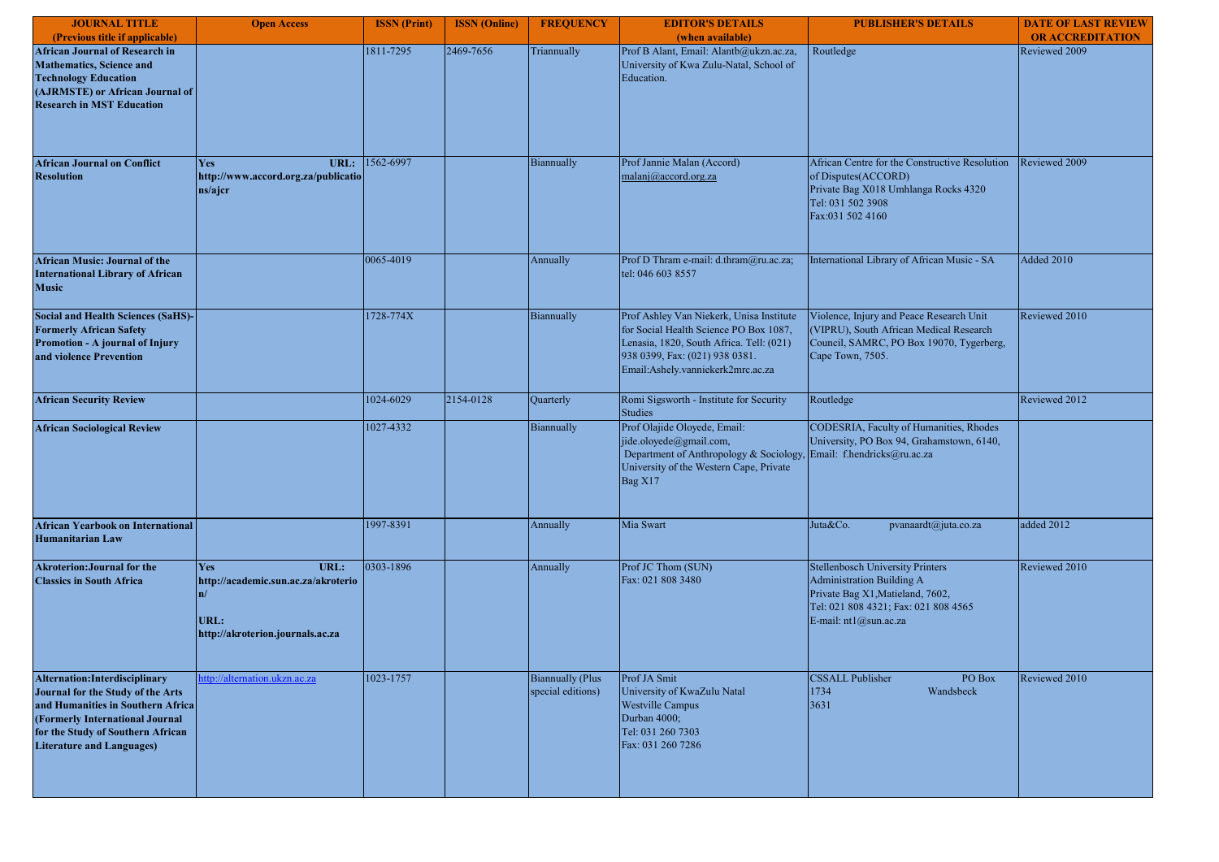| <b>JOURNAL TITLE</b>                                                                                                                                                                                                 | <b>Open Access</b>                                                                                          | <b>ISSN</b> (Print) | <b>ISSN</b> (Online) | <b>FREQUENCY</b>                             | <b>EDITOR'S DETAILS</b>                                                                                                                                                                               | <b>PUBLISHER'S DETAILS</b>                                                                                                                                                | <b>DATE OF LAST REVIEW</b> |
|----------------------------------------------------------------------------------------------------------------------------------------------------------------------------------------------------------------------|-------------------------------------------------------------------------------------------------------------|---------------------|----------------------|----------------------------------------------|-------------------------------------------------------------------------------------------------------------------------------------------------------------------------------------------------------|---------------------------------------------------------------------------------------------------------------------------------------------------------------------------|----------------------------|
| (Previous title if applicable)                                                                                                                                                                                       |                                                                                                             |                     |                      |                                              | (when available)                                                                                                                                                                                      |                                                                                                                                                                           | <b>OR ACCREDITATION</b>    |
| <b>African Journal of Research in</b><br><b>Mathematics</b> , Science and<br><b>Technology Education</b><br>(AJRMSTE) or African Journal of<br><b>Research in MST Education</b>                                      |                                                                                                             | 1811-7295           | 2469-7656            | Triannually                                  | Prof B Alant, Email: Alantb@ukzn.ac.za,<br>University of Kwa Zulu-Natal, School of<br>Education.                                                                                                      | Routledge                                                                                                                                                                 | Reviewed 2009              |
| <b>African Journal on Conflict</b><br><b>Resolution</b>                                                                                                                                                              | URL:<br><b>Yes</b><br>http://www.accord.org.za/publicatio<br>ns/ajcr                                        | 1562-6997           |                      | Biannually                                   | Prof Jannie Malan (Accord)<br>malanj@accord.org.za                                                                                                                                                    | African Centre for the Constructive Resolution<br>of Disputes(ACCORD)<br>Private Bag X018 Umhlanga Rocks 4320<br>Tel: 031 502 3908<br>Fax:031 502 4160                    | Reviewed 2009              |
| <b>African Music: Journal of the</b><br><b>International Library of African</b><br><b>Music</b>                                                                                                                      |                                                                                                             | 0065-4019           |                      | Annually                                     | Prof D Thram e-mail: d.thram@ru.ac.za;<br>tel: 046 603 8557                                                                                                                                           | International Library of African Music - SA                                                                                                                               | <b>Added 2010</b>          |
| <b>Social and Health Sciences (SaHS)-</b><br><b>Formerly African Safety</b><br>Promotion - A journal of Injury<br>and violence Prevention                                                                            |                                                                                                             | 1728-774X           |                      | Biannually                                   | Prof Ashley Van Niekerk, Unisa Institute<br>for Social Health Science PO Box 1087,<br>Lenasia, 1820, South Africa. Tell: (021)<br>938 0399, Fax: (021) 938 0381.<br>Email:Ashely.vanniekerk2mrc.ac.za | Violence, Injury and Peace Research Unit<br>(VIPRU), South African Medical Research<br>Council, SAMRC, PO Box 19070, Tygerberg,<br>Cape Town, 7505.                       | Reviewed 2010              |
| <b>African Security Review</b>                                                                                                                                                                                       |                                                                                                             | 1024-6029           | 2154-0128            | Quarterly                                    | Romi Sigsworth - Institute for Security<br><b>Studies</b>                                                                                                                                             | Routledge                                                                                                                                                                 | Reviewed 2012              |
| <b>African Sociological Review</b>                                                                                                                                                                                   |                                                                                                             | 1027-4332           |                      | Biannually                                   | Prof Olajide Oloyede, Email:<br>jide.oloyede@gmail.com,<br>Department of Anthropology & Sociology<br>University of the Western Cape, Private<br>Bag X17                                               | CODESRIA, Faculty of Humanities, Rhodes<br>University, PO Box 94, Grahamstown, 6140,<br>Email: f.hendricks@ru.ac.za                                                       |                            |
| <b>African Yearbook on International</b><br><b>Humanitarian Law</b>                                                                                                                                                  |                                                                                                             | 1997-8391           |                      | Annually                                     | Mia Swart                                                                                                                                                                                             | Juta&Co.<br>pvanaardt@juta.co.za                                                                                                                                          | added 2012                 |
| <b>Akroterion: Journal for the</b><br><b>Classics in South Africa</b>                                                                                                                                                | URL:<br><b>Yes</b><br>http://academic.sun.ac.za/akroterio<br>n/<br>URL:<br>http://akroterion.journals.ac.za | 0303-1896           |                      | Annually                                     | Prof JC Thom (SUN)<br>Fax: 021 808 3480                                                                                                                                                               | <b>Stellenbosch University Printers</b><br>Administration Building A<br>Private Bag X1, Matieland, 7602,<br>Tel: 021 808 4321; Fax: 021 808 4565<br>E-mail: nt1@sun.ac.za | Reviewed 2010              |
| Alternation: Interdisciplinary<br>Journal for the Study of the Arts<br>and Humanities in Southern Africa<br>(Formerly International Journal<br>for the Study of Southern African<br><b>Literature and Languages)</b> | ttp://alternation.ukzn.ac.za                                                                                | 1023-1757           |                      | <b>Biannually (Plus</b><br>special editions) | Prof JA Smit<br>University of KwaZulu Natal<br><b>Westville Campus</b><br>Durban 4000;<br>Tel: 031 260 7303<br>Fax: 031 260 7286                                                                      | <b>CSSALL Publisher</b><br>PO Box<br>Wandsbeck<br>1734<br>3631                                                                                                            | Reviewed 2010              |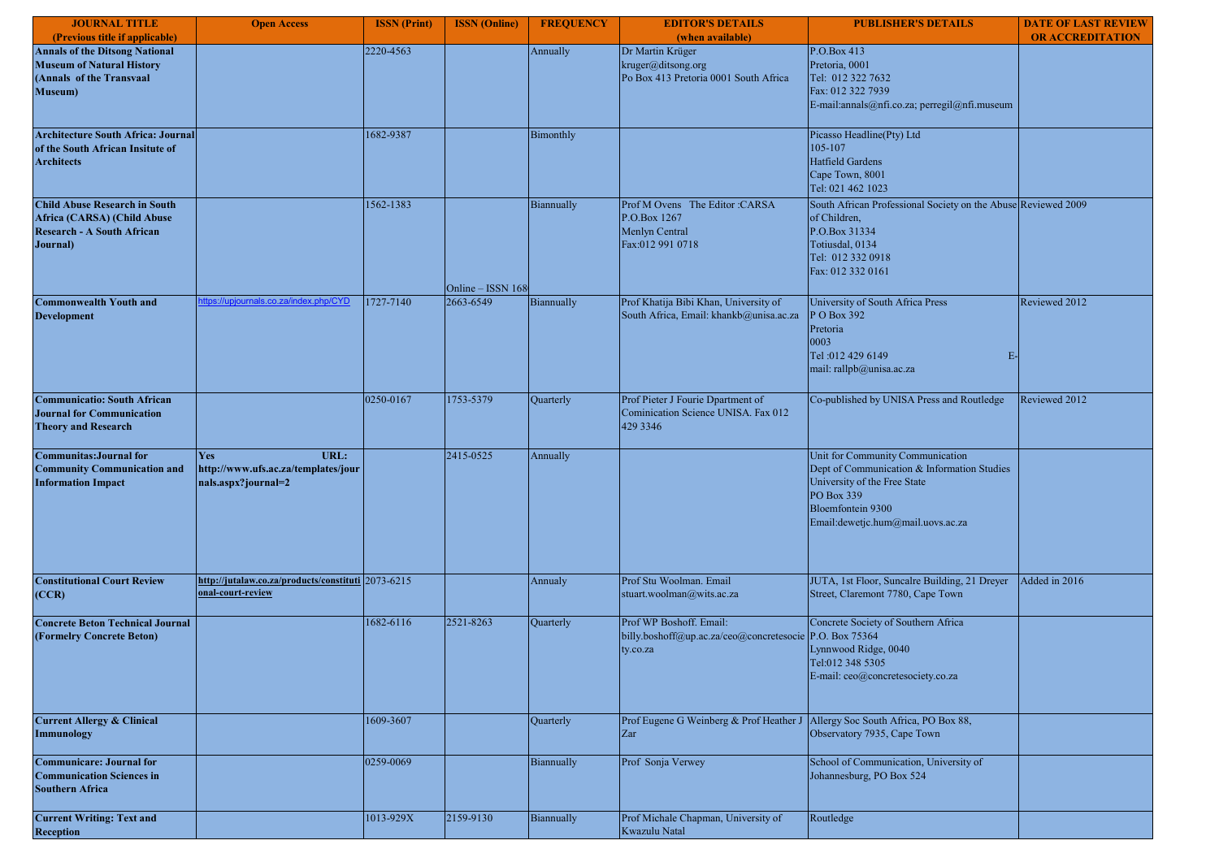| <b>JOURNAL TITLE</b>                                                                                                     | <b>Open Access</b>                                                        | <b>ISSN</b> (Print) | <b>ISSN</b> (Online) | <b>FREQUENCY</b> | <b>EDITOR'S DETAILS</b>                                                                        | <b>PUBLISHER'S DETAILS</b>                                                                                                                                                              | <b>DATE OF LAST REVIEW</b> |
|--------------------------------------------------------------------------------------------------------------------------|---------------------------------------------------------------------------|---------------------|----------------------|------------------|------------------------------------------------------------------------------------------------|-----------------------------------------------------------------------------------------------------------------------------------------------------------------------------------------|----------------------------|
| (Previous title if applicable)                                                                                           |                                                                           |                     |                      |                  | (when available)                                                                               |                                                                                                                                                                                         | <b>OR ACCREDITATION</b>    |
| <b>Annals of the Ditsong National</b><br><b>Museum of Natural History</b><br>(Annals of the Transvaal<br><b>Museum</b> ) |                                                                           | 2220-4563           |                      | Annually         | Dr Martin Krüger<br>kruger@ditsong.org<br>Po Box 413 Pretoria 0001 South Africa                | P.O.Box 413<br>Pretoria, 0001<br>Tel: 012 322 7632<br>Fax: 012 322 7939<br>E-mail:annals@nfi.co.za; perregil@nfi.museum                                                                 |                            |
| Architecture South Africa: Journal<br>of the South African Insitute of<br><b>Architects</b>                              |                                                                           | 1682-9387           |                      | Bimonthly        |                                                                                                | Picasso Headline(Pty) Ltd<br>105-107<br>Hatfield Gardens<br>Cape Town, 8001<br>Tel: 021 462 1023                                                                                        |                            |
| <b>Child Abuse Research in South</b><br>Africa (CARSA) (Child Abuse<br><b>Research - A South African</b><br>Journal)     |                                                                           | 1562-1383           | Online - ISSN 168    | Biannually       | Prof M Ovens The Editor: CARSA<br>P.O.Box 1267<br>Menlyn Central<br>Fax:012 991 0718           | South African Professional Society on the Abuse Reviewed 2009<br>of Children,<br>P.O.Box 31334<br>Totiusdal, 0134<br>Tel: 012 332 0918<br>Fax: 012 332 0161                             |                            |
| <b>Commonwealth Youth and</b><br><b>Development</b>                                                                      | ttps://upjournals.co.za/index.php/CYD                                     | 1727-7140           | 2663-6549            | Biannually       | Prof Khatija Bibi Khan, University of<br>South Africa, Email: khankb@unisa.ac.za               | University of South Africa Press<br>P O Box 392<br>Pretoria<br>0003<br>Tel: 012 429 6149<br>$E-$<br>mail: rallpb@unisa.ac.za                                                            | Reviewed 2012              |
| <b>Communicatio: South African</b><br><b>Journal for Communication</b><br><b>Theory and Research</b>                     |                                                                           | 0250-0167           | 1753-5379            | Quarterly        | Prof Pieter J Fourie Dpartment of<br>Cominication Science UNISA. Fax 012<br>429 3346           | Co-published by UNISA Press and Routledge                                                                                                                                               | Reviewed 2012              |
| <b>Communitas: Journal for</b><br><b>Community Communication and</b><br><b>Information Impact</b>                        | Yes<br>URL:<br>http://www.ufs.ac.za/templates/jour<br>nals.aspx?journal=2 |                     | 2415-0525            | Annually         |                                                                                                | Unit for Community Communication<br>Dept of Communication & Information Studies<br>University of the Free State<br>PO Box 339<br>Bloemfontein 9300<br>Email:dewetjc.hum@mail.uovs.ac.za |                            |
| <b>Constitutional Court Review</b><br>(CCR)                                                                              | http://jutalaw.co.za/products/constituti 2073-6215<br>nal-court-review    |                     |                      | Annualy          | Prof Stu Woolman. Email<br>stuart.woolman@wits.ac.za                                           | JUTA, 1st Floor, Suncalre Building, 21 Dreyer<br>Street, Claremont 7780, Cape Town                                                                                                      | Added in 2016              |
| <b>Concrete Beton Technical Journal</b><br>(Formelry Concrete Beton)                                                     |                                                                           | 1682-6116           | 2521-8263            | Quarterly        | Prof WP Boshoff. Email:<br>billy.boshoff@up.ac.za/ceo@concretesocie P.O. Box 75364<br>ty.co.za | Concrete Society of Southern Africa<br>Lynnwood Ridge, 0040<br>Tel:012 348 5305<br>E-mail: ceo@concretesociety.co.za                                                                    |                            |
| <b>Current Allergy &amp; Clinical</b><br>Immunology                                                                      |                                                                           | 1609-3607           |                      | Quarterly        | Prof Eugene G Weinberg & Prof Heather J Allergy Soc South Africa, PO Box 88,<br>Zar            | Observatory 7935, Cape Town                                                                                                                                                             |                            |
| <b>Communicare: Journal for</b><br><b>Communication Sciences in</b><br><b>Southern Africa</b>                            |                                                                           | 0259-0069           |                      | Biannually       | Prof Sonja Verwey                                                                              | School of Communication, University of<br>Johannesburg, PO Box 524                                                                                                                      |                            |
| <b>Current Writing: Text and</b><br><b>Reception</b>                                                                     |                                                                           | 1013-929X           | 2159-9130            | Biannually       | Prof Michale Chapman, University of<br>Kwazulu Natal                                           | Routledge                                                                                                                                                                               |                            |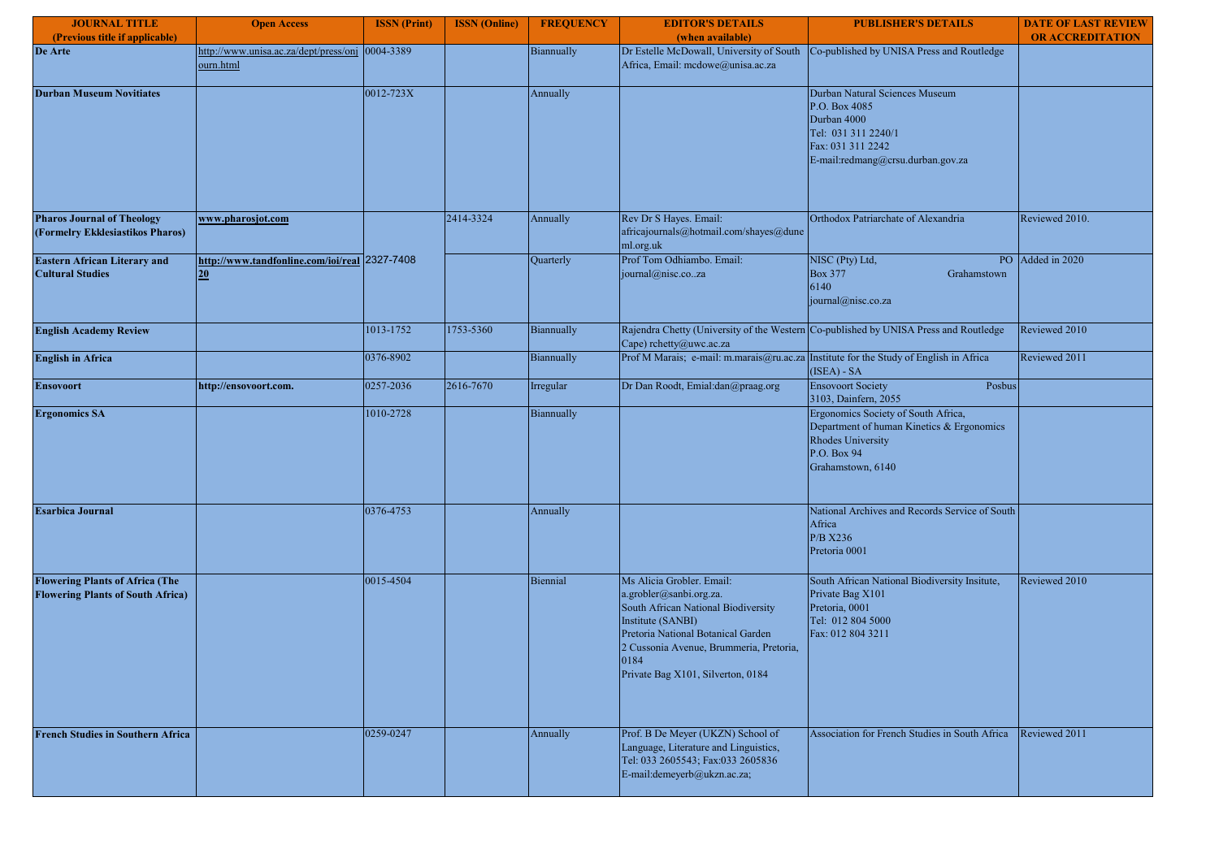| <b>JOURNAL TITLE</b>                                                               | <b>Open Access</b>                                           | <b>ISSN</b> (Print) | <b>ISSN</b> (Online) | <b>FREQUENCY</b> | <b>EDITOR'S DETAILS</b>                                                                                                                                                                                                                        | <b>PUBLISHER'S DETAILS</b>                                                                                                                       | <b>DATE OF LAST REVIEW</b> |
|------------------------------------------------------------------------------------|--------------------------------------------------------------|---------------------|----------------------|------------------|------------------------------------------------------------------------------------------------------------------------------------------------------------------------------------------------------------------------------------------------|--------------------------------------------------------------------------------------------------------------------------------------------------|----------------------------|
| (Previous title if applicable)                                                     |                                                              |                     |                      |                  | (when available)                                                                                                                                                                                                                               |                                                                                                                                                  | <b>OR ACCREDITATION</b>    |
| De Arte                                                                            | http://www.unisa.ac.za/dept/press/onj 0004-3389<br>ourn.html |                     |                      | Biannually       | Dr Estelle McDowall, University of South<br>Africa, Email: mcdowe@unisa.ac.za                                                                                                                                                                  | Co-published by UNISA Press and Routledge                                                                                                        |                            |
| <b>Durban Museum Novitiates</b>                                                    |                                                              | 0012-723X           |                      | Annually         |                                                                                                                                                                                                                                                | Durban Natural Sciences Museum<br>P.O. Box 4085<br>Durban 4000<br>Tel: 031 311 2240/1<br>Fax: 031 311 2242<br>E-mail:redmang@crsu.durban.gov.za  |                            |
| <b>Pharos Journal of Theology</b><br>(Formelry Ekklesiastikos Pharos)              | www.pharosjot.com                                            |                     | 2414-3324            | Annually         | Rev Dr S Hayes. Email:<br>africajournals@hotmail.com/shayes@dune<br>ml.org.uk                                                                                                                                                                  | Orthodox Patriarchate of Alexandria                                                                                                              | Reviewed 2010.             |
| <b>Eastern African Literary and</b><br><b>Cultural Studies</b>                     | http://www.tandfonline.com/ioi/real 2327-7408<br>20          |                     |                      | Quarterly        | Prof Tom Odhiambo. Email:<br>journal@nisc.coza                                                                                                                                                                                                 | NISC (Pty) Ltd,<br><b>Box 377</b><br>Grahamstown<br>6140<br>journal@nisc.co.za                                                                   | PO Added in 2020           |
| <b>English Academy Review</b>                                                      |                                                              | 1013-1752           | 1753-5360            | Biannually       | Cape) rchetty@uwc.ac.za                                                                                                                                                                                                                        | Rajendra Chetty (University of the Western Co-published by UNISA Press and Routledge                                                             | Reviewed 2010              |
| <b>English in Africa</b>                                                           |                                                              | 0376-8902           |                      | Biannually       | Prof M Marais; e-mail: m.marais@ru.ac.za Institute for the Study of English in Africa                                                                                                                                                          | (ISEA) - SA                                                                                                                                      | Reviewed 2011              |
| <b>Ensovoort</b>                                                                   | http://ensovoort.com.                                        | 0257-2036           | 2616-7670            | Irregular        | Dr Dan Roodt, Emial:dan@praag.org                                                                                                                                                                                                              | <b>Ensovoort Society</b><br>Posbus<br>3103, Dainfern, 2055                                                                                       |                            |
| <b>Ergonomics SA</b>                                                               |                                                              | 1010-2728           |                      | Biannually       |                                                                                                                                                                                                                                                | Ergonomics Society of South Africa,<br>Department of human Kinetics & Ergonomics<br><b>Rhodes University</b><br>P.O. Box 94<br>Grahamstown, 6140 |                            |
| <b>Esarbica Journal</b>                                                            |                                                              | 0376-4753           |                      | Annually         |                                                                                                                                                                                                                                                | National Archives and Records Service of South<br>Africa<br>P/B X236<br>Pretoria 0001                                                            |                            |
| <b>Flowering Plants of Africa (The</b><br><b>Flowering Plants of South Africa)</b> |                                                              | 0015-4504           |                      | Biennial         | Ms Alicia Grobler. Email:<br>a.grobler@sanbi.org.za.<br>South African National Biodiversity<br>Institute (SANBI)<br>Pretoria National Botanical Garden<br>2 Cussonia Avenue, Brummeria, Pretoria,<br>0184<br>Private Bag X101, Silverton, 0184 | South African National Biodiversity Insitute,<br>Private Bag X101<br>Pretoria, 0001<br>Tel: 012 804 5000<br>Fax: 012 804 3211                    | Reviewed 2010              |
| <b>French Studies in Southern Africa</b>                                           |                                                              | 0259-0247           |                      | Annually         | Prof. B De Meyer (UKZN) School of<br>Language, Literature and Linguistics,<br>Tel: 033 2605543; Fax:033 2605836<br>E-mail:demeyerb@ukzn.ac.za;                                                                                                 | Association for French Studies in South Africa                                                                                                   | Reviewed 2011              |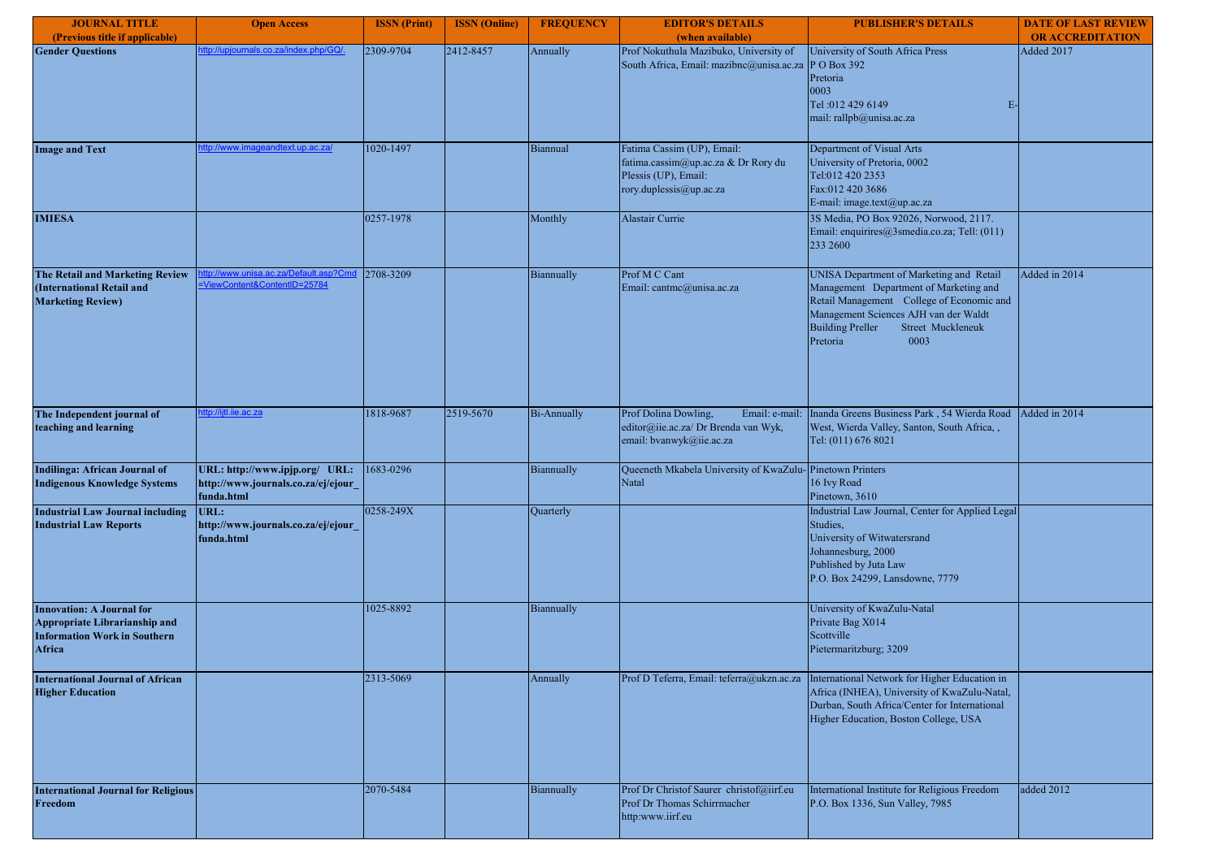| <b>JOURNAL TITLE</b>                                                                                               | <b>Open Access</b>                                                                 | <b>ISSN</b> (Print) | <b>ISSN</b> (Online) | <b>FREQUENCY</b>   | <b>EDITOR'S DETAILS</b>                                                                                              | <b>PUBLISHER'S DETAILS</b>                                                                                                                                                                                                                   | <b>DATE OF LAST REVIEW</b> |
|--------------------------------------------------------------------------------------------------------------------|------------------------------------------------------------------------------------|---------------------|----------------------|--------------------|----------------------------------------------------------------------------------------------------------------------|----------------------------------------------------------------------------------------------------------------------------------------------------------------------------------------------------------------------------------------------|----------------------------|
| (Previous title if applicable)                                                                                     |                                                                                    |                     |                      |                    | (when available)                                                                                                     |                                                                                                                                                                                                                                              | <b>OR ACCREDITATION</b>    |
| <b>Gender Questions</b>                                                                                            | tp://upjournals.co.za/index.php/GQ/.                                               | 2309-9704           | 2412-8457            | Annually           | Prof Nokuthula Mazibuko, University of<br>South Africa, Email: mazibnc@unisa.ac.za P O Box 392                       | University of South Africa Press<br>Pretoria<br>0003<br>Tel: 012 429 6149<br>E-<br>mail: rallpb@unisa.ac.za                                                                                                                                  | Added 2017                 |
| <b>Image and Text</b>                                                                                              | tp://www.imageandtext.up.ac.za/                                                    | 1020-1497           |                      | Biannual           | Fatima Cassim (UP), Email:<br>fatima.cassim@up.ac.za & Dr Rory du<br>Plessis (UP), Email:<br>rory.duplessis@up.ac.za | Department of Visual Arts<br>University of Pretoria, 0002<br>Tel:012 420 2353<br>Fax:012 420 3686<br>E-mail: image.text@up.ac.za                                                                                                             |                            |
| <b>IMIESA</b>                                                                                                      |                                                                                    | 0257-1978           |                      | Monthly            | Alastair Currie                                                                                                      | 3S Media, PO Box 92026, Norwood, 2117.<br>Email: enquirires@3smedia.co.za; Tell: (011)<br>233 2600                                                                                                                                           |                            |
| The Retail and Marketing Review<br>(International Retail and<br><b>Marketing Review)</b>                           | tp://www.unisa.ac.za/Default.asp?Cmd<br>ViewContent&ContentID=25784                | 2708-3209           |                      | Biannually         | Prof M C Cant<br>Email: cantmc@unisa.ac.za                                                                           | UNISA Department of Marketing and Retail<br>Management Department of Marketing and<br>Retail Management College of Economic and<br>Management Sciences AJH van der Waldt<br><b>Building Preller</b><br>Street Muckleneuk<br>Pretoria<br>0003 | Added in 2014              |
| The Independent journal of<br>teaching and learning                                                                | ttp://iitl.iie.ac.za                                                               | 1818-9687           | 2519-5670            | <b>Bi-Annually</b> | Prof Dolina Dowling,<br>Email: e-mail:<br>editor@iie.ac.za/ Dr Brenda van Wyk,<br>email: bvanwyk@iie.ac.za           | Inanda Greens Business Park, 54 Wierda Road<br>West, Wierda Valley, Santon, South Africa, ,<br>Tel: (011) 676 8021                                                                                                                           | Added in 2014              |
| Indilinga: African Journal of<br><b>Indigenous Knowledge Systems</b>                                               | URL: http://www.ipjp.org/ URL:<br>http://www.journals.co.za/ej/ejour<br>funda.html | 1683-0296           |                      | Biannually         | Queeneth Mkabela University of KwaZulu-Pinetown Printers<br>Natal                                                    | 16 Ivy Road<br>Pinetown, 3610                                                                                                                                                                                                                |                            |
| <b>Industrial Law Journal including</b><br><b>Industrial Law Reports</b>                                           | URL:<br>http://www.journals.co.za/ej/ejour<br>funda.html                           | 0258-249X           |                      | Quarterly          |                                                                                                                      | Industrial Law Journal, Center for Applied Legal<br>Studies,<br>University of Witwatersrand<br>Johannesburg, 2000<br>Published by Juta Law<br>P.O. Box 24299, Lansdowne, 7779                                                                |                            |
| <b>Innovation: A Journal for</b><br>Appropriate Librarianship and<br><b>Information Work in Southern</b><br>Africa |                                                                                    | 1025-8892           |                      | Biannually         |                                                                                                                      | University of KwaZulu-Natal<br>Private Bag X014<br>Scottville<br>Pietermaritzburg; 3209                                                                                                                                                      |                            |
| <b>International Journal of African</b><br><b>Higher Education</b>                                                 |                                                                                    | 2313-5069           |                      | Annually           | Prof D Teferra, Email: teferra@ukzn.ac.za                                                                            | International Network for Higher Education in<br>Africa (INHEA), University of KwaZulu-Natal,<br>Durban, South Africa/Center for International<br>Higher Education, Boston College, USA                                                      |                            |
| <b>International Journal for Religious</b><br>Freedom                                                              |                                                                                    | 2070-5484           |                      | Biannually         | Prof Dr Christof Saurer christof@iirf.eu<br>Prof Dr Thomas Schirrmacher<br>http:www.iirf.eu                          | International Institute for Religious Freedom<br>P.O. Box 1336, Sun Valley, 7985                                                                                                                                                             | added 2012                 |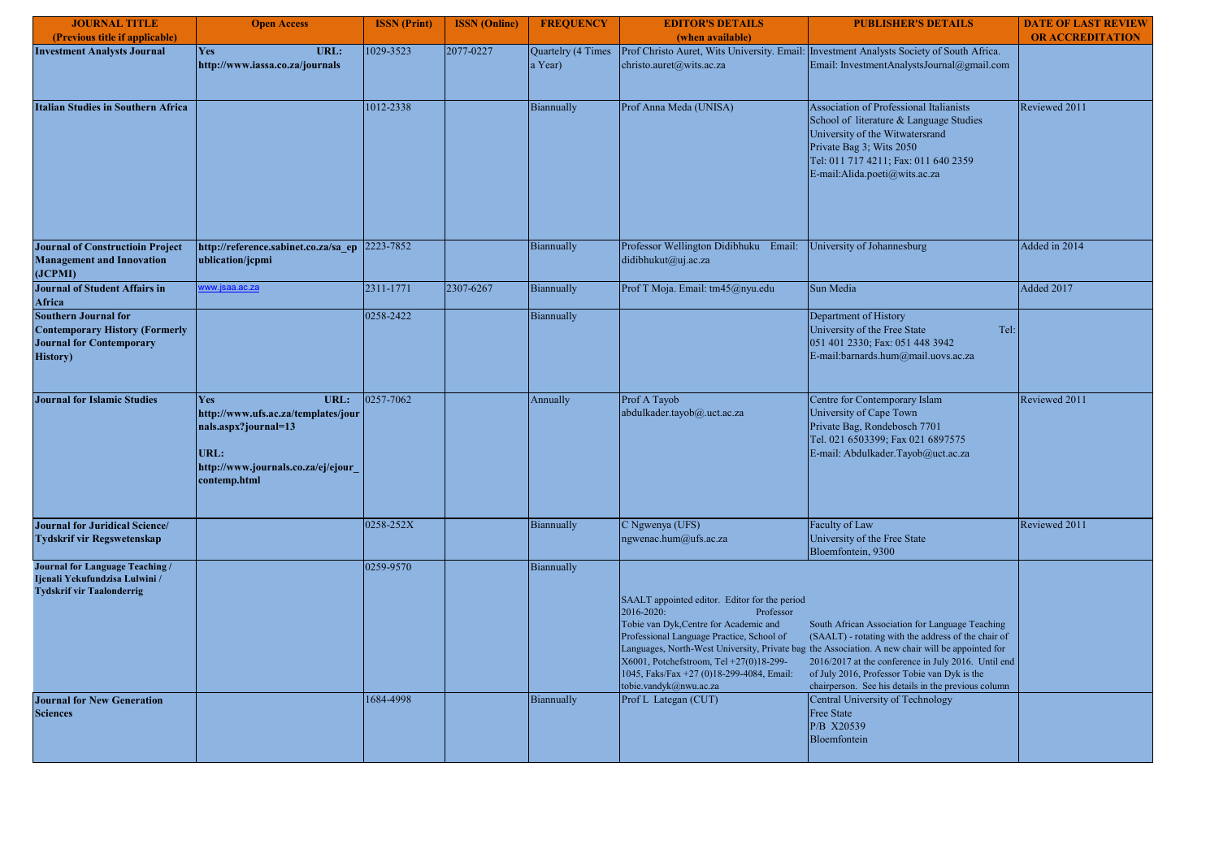| <b>JOURNAL TITLE</b>                                                                                                        | <b>Open Access</b>                                                                                                                              | <b>ISSN</b> (Print) | <b>ISSN</b> (Online) | <b>FREQUENCY</b>              | <b>EDITOR'S DETAILS</b>                                                                                                                                                                                                                                                           | <b>PUBLISHER'S DETAILS</b>                                                                                                                                                                                                                                                                                                                                               | <b>DATE OF LAST REVIEW</b> |
|-----------------------------------------------------------------------------------------------------------------------------|-------------------------------------------------------------------------------------------------------------------------------------------------|---------------------|----------------------|-------------------------------|-----------------------------------------------------------------------------------------------------------------------------------------------------------------------------------------------------------------------------------------------------------------------------------|--------------------------------------------------------------------------------------------------------------------------------------------------------------------------------------------------------------------------------------------------------------------------------------------------------------------------------------------------------------------------|----------------------------|
| (Previous title if applicable)                                                                                              |                                                                                                                                                 |                     |                      |                               | (when available)                                                                                                                                                                                                                                                                  |                                                                                                                                                                                                                                                                                                                                                                          | <b>OR ACCREDITATION</b>    |
| <b>Investment Analysts Journal</b>                                                                                          | <b>Yes</b><br>URL:<br>http://www.iassa.co.za/journals                                                                                           | 1029-3523           | 2077-0227            | Quartelry (4 Times<br>a Year) | christo.auret@wits.ac.za                                                                                                                                                                                                                                                          | Prof Christo Auret, Wits University. Email: Investment Analysts Society of South Africa.<br>Email: InvestmentAnalystsJournal@gmail.com                                                                                                                                                                                                                                   |                            |
| <b>Italian Studies in Southern Africa</b>                                                                                   |                                                                                                                                                 | 1012-2338           |                      | Biannually                    | Prof Anna Meda (UNISA)                                                                                                                                                                                                                                                            | Association of Professional Italianists<br>School of literature & Language Studies<br>University of the Witwatersrand<br>Private Bag 3; Wits 2050<br>Tel: 011 717 4211; Fax: 011 640 2359<br>E-mail:Alida.poeti@wits.ac.za                                                                                                                                               | Reviewed 2011              |
| <b>Journal of Constructioin Project</b><br><b>Management and Innovation</b><br>(JCPMI)                                      | http://reference.sabinet.co.za/sa ep<br>ublication/jcpmi                                                                                        | 2223-7852           |                      | Biannually                    | Professor Wellington Didibhuku Email:<br>didibhukut@uj.ac.za                                                                                                                                                                                                                      | University of Johannesburg                                                                                                                                                                                                                                                                                                                                               | Added in 2014              |
| <b>Journal of Student Affairs in</b><br>Africa                                                                              | ww.jsaa.ac.za                                                                                                                                   | 2311-1771           | 2307-6267            | Biannually                    | Prof T Moja. Email: tm45@nyu.edu                                                                                                                                                                                                                                                  | Sun Media                                                                                                                                                                                                                                                                                                                                                                | Added 2017                 |
| <b>Southern Journal for</b><br><b>Contemporary History (Formerly</b><br><b>Journal for Contemporary</b><br><b>History</b> ) |                                                                                                                                                 | 0258-2422           |                      | Biannually                    |                                                                                                                                                                                                                                                                                   | Department of History<br>University of the Free State<br>Tel:<br>051 401 2330; Fax: 051 448 3942<br>E-mail:barnards.hum@mail.uovs.ac.za                                                                                                                                                                                                                                  |                            |
| <b>Journal for Islamic Studies</b>                                                                                          | URL:<br><b>Yes</b><br>http://www.ufs.ac.za/templates/jour<br>nals.aspx?journal=13<br>URL:<br>http://www.journals.co.za/ej/ejour<br>contemp.html | 0257-7062           |                      | Annually                      | Prof A Tayob<br>abdulkader.tayob@.uct.ac.za                                                                                                                                                                                                                                       | Centre for Contemporary Islam<br>University of Cape Town<br>Private Bag, Rondebosch 7701<br>Tel. 021 6503399; Fax 021 6897575<br>E-mail: Abdulkader.Tayob@uct.ac.za                                                                                                                                                                                                      | Reviewed 2011              |
| Journal for Juridical Science/<br><b>Tydskrif vir Regswetenskap</b>                                                         |                                                                                                                                                 | 0258-252X           |                      | Biannually                    | C Ngwenya (UFS)<br>ngwenac.hum@ufs.ac.za                                                                                                                                                                                                                                          | Faculty of Law<br>University of the Free State<br>Bloemfontein, 9300                                                                                                                                                                                                                                                                                                     | Reviewed 2011              |
| Journal for Language Teaching /<br>Ijenali Yekufundzisa Lulwini /<br><b>Tydskrif vir Taalonderrig</b>                       |                                                                                                                                                 | 0259-9570           |                      | Biannually                    | SAALT appointed editor. Editor for the period<br>2016-2020:<br>Professor<br>Tobie van Dyk, Centre for Academic and<br>Professional Language Practice, School of<br>X6001, Potchefstroom, Tel +27(0)18-299-<br>1045, Faks/Fax +27 (0)18-299-4084, Email:<br>tobie.vandyk@nwu.ac.za | South African Association for Language Teaching<br>(SAALT) - rotating with the address of the chair of<br>Languages, North-West University, Private bag the Association. A new chair will be appointed for<br>2016/2017 at the conference in July 2016. Until end<br>of July 2016, Professor Tobie van Dyk is the<br>chairperson. See his details in the previous column |                            |
| <b>Journal for New Generation</b><br><b>Sciences</b>                                                                        |                                                                                                                                                 | 1684-4998           |                      | Biannually                    | Prof L Lategan (CUT)                                                                                                                                                                                                                                                              | Central University of Technology<br><b>Free State</b><br>P/B X20539<br>Bloemfontein                                                                                                                                                                                                                                                                                      |                            |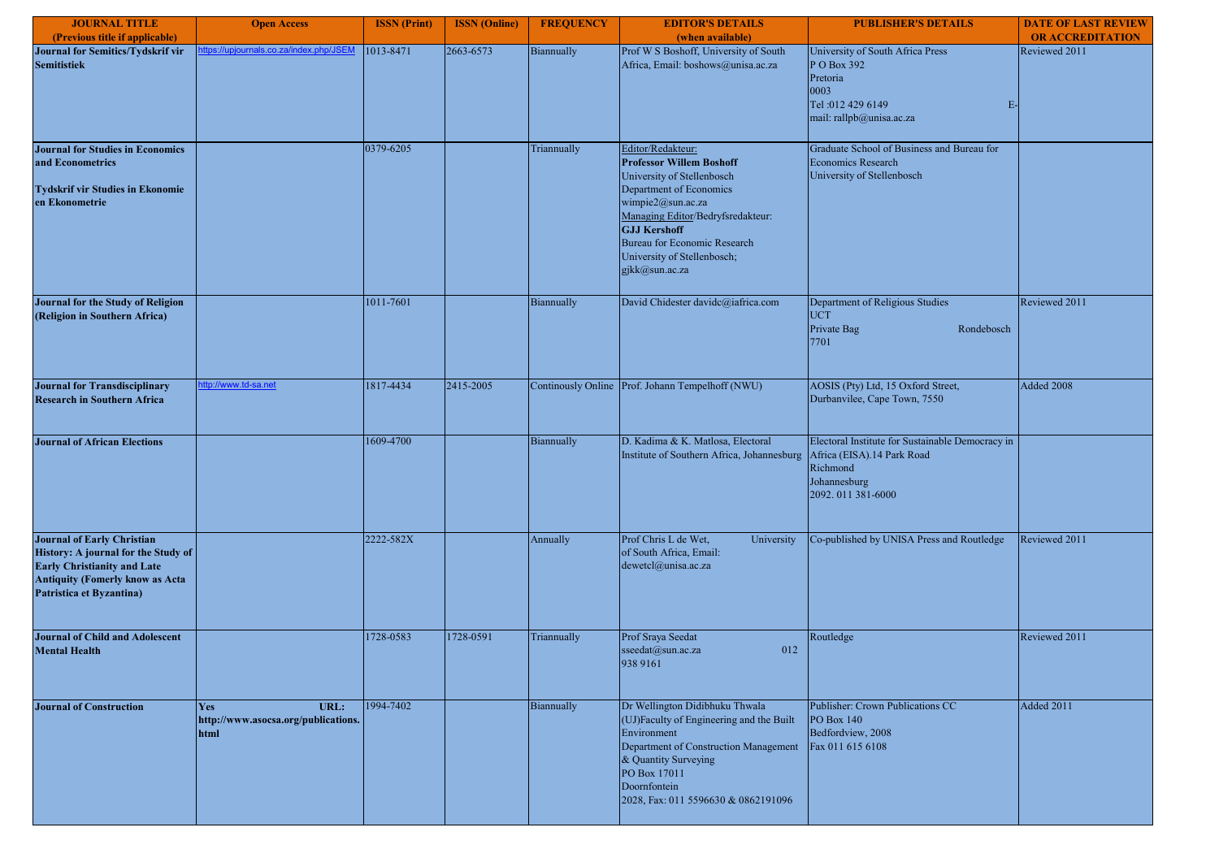| <b>JOURNAL TITLE</b>                                                                                                                                                                 | <b>Open Access</b>                                                | <b>ISSN</b> (Print) | <b>ISSN</b> (Online) | <b>FREQUENCY</b> | <b>EDITOR'S DETAILS</b>                                                                                                                                                                                                                                                                | <b>PUBLISHER'S DETAILS</b>                                                                                                 | <b>DATE OF LAST REVIEW</b> |
|--------------------------------------------------------------------------------------------------------------------------------------------------------------------------------------|-------------------------------------------------------------------|---------------------|----------------------|------------------|----------------------------------------------------------------------------------------------------------------------------------------------------------------------------------------------------------------------------------------------------------------------------------------|----------------------------------------------------------------------------------------------------------------------------|----------------------------|
| (Previous title if applicable)                                                                                                                                                       |                                                                   |                     |                      |                  | (when available)                                                                                                                                                                                                                                                                       |                                                                                                                            | <b>OR ACCREDITATION</b>    |
| Journal for Semitics/Tydskrif vir<br><b>Semitistiek</b>                                                                                                                              | tps://upjournals.co.za/index.php/JSEM                             | 1013-8471           | 2663-6573            | Biannually       | Prof W S Boshoff, University of South<br>Africa, Email: boshows@unisa.ac.za                                                                                                                                                                                                            | University of South Africa Press<br>P O Box 392<br>Pretoria<br>0003<br>Tel: 012 429 6149<br>E-<br>mail: rallpb@unisa.ac.za | Reviewed 2011              |
| <b>Journal for Studies in Economics</b><br>and Econometrics<br><b>Tydskrif vir Studies in Ekonomie</b><br>en Ekonometrie                                                             |                                                                   | 0379-6205           |                      | Triannually      | Editor/Redakteur:<br><b>Professor Willem Boshoff</b><br>University of Stellenbosch<br>Department of Economics<br>wimpie2@sun.ac.za<br>Managing Editor/Bedryfsredakteur:<br><b>GJJ Kershoff</b><br><b>Bureau for Economic Research</b><br>University of Stellenbosch;<br>gjkk@sun.ac.za | Graduate School of Business and Bureau for<br><b>Economics Research</b><br>University of Stellenbosch                      |                            |
| Journal for the Study of Religion<br>(Religion in Southern Africa)                                                                                                                   |                                                                   | 1011-7601           |                      | Biannually       | David Chidester davidc@iafrica.com                                                                                                                                                                                                                                                     | Department of Religious Studies<br><b>UCT</b><br>Private Bag<br>Rondebosch<br>7701                                         | Reviewed 2011              |
| <b>Journal for Transdisciplinary</b><br><b>Research in Southern Africa</b>                                                                                                           | ttp://www.td-sa.net                                               | 1817-4434           | 2415-2005            |                  | Continously Online Prof. Johann Tempelhoff (NWU)                                                                                                                                                                                                                                       | AOSIS (Pty) Ltd, 15 Oxford Street,<br>Durbanvilee, Cape Town, 7550                                                         | Added 2008                 |
| <b>Journal of African Elections</b>                                                                                                                                                  |                                                                   | 1609-4700           |                      | Biannually       | D. Kadima & K. Matlosa, Electoral<br>Institute of Southern Africa, Johannesburg Africa (EISA).14 Park Road                                                                                                                                                                             | Electoral Institute for Sustainable Democracy in<br>Richmond<br>Johannesburg<br>2092.011 381-6000                          |                            |
| <b>Journal of Early Christian</b><br>History: A journal for the Study of<br><b>Early Christianity and Late</b><br><b>Antiquity (Fomerly know as Acta</b><br>Patristica et Byzantina) |                                                                   | 2222-582X           |                      | Annually         | Prof Chris L de Wet,<br>University<br>of South Africa, Email:<br>dewetcl@unisa.ac.za                                                                                                                                                                                                   | Co-published by UNISA Press and Routledge                                                                                  | Reviewed 2011              |
| <b>Journal of Child and Adolescent</b><br><b>Mental Health</b>                                                                                                                       |                                                                   | 1728-0583           | 1728-0591            | Triannually      | Prof Sraya Seedat<br>sseedat@sun.ac.za<br>012<br>938 9161                                                                                                                                                                                                                              | Routledge                                                                                                                  | Reviewed 2011              |
| <b>Journal of Construction</b>                                                                                                                                                       | URL:<br><b>Yes</b><br>http://www.asocsa.org/publications.<br>html | 1994-7402           |                      | Biannually       | Dr Wellington Didibhuku Thwala<br>(UJ)Faculty of Engineering and the Built<br>Environment<br>Department of Construction Management<br>& Quantity Surveying<br>PO Box 17011<br>Doornfontein<br>2028, Fax: 011 5596630 & 0862191096                                                      | Publisher: Crown Publications CC<br>PO Box 140<br>Bedfordview, 2008<br>Fax 011 615 6108                                    | Added 2011                 |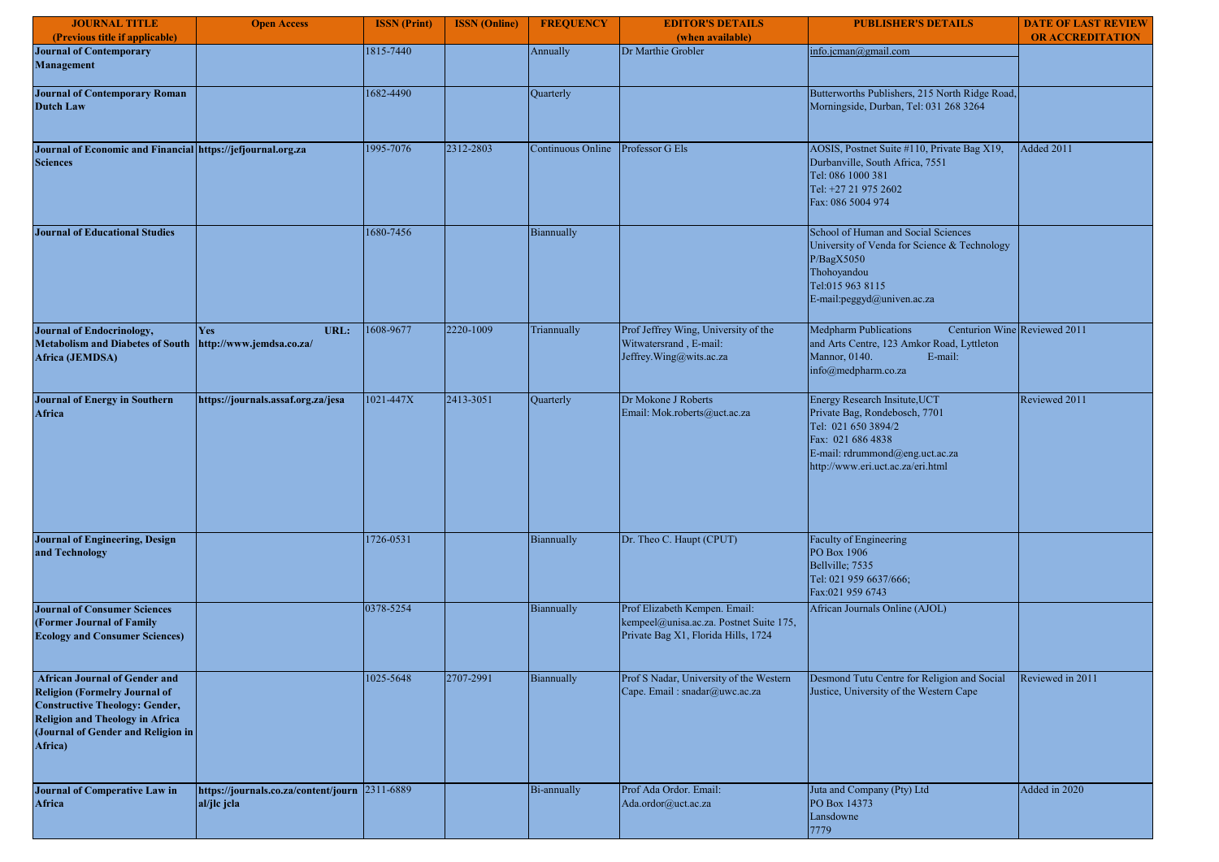| <b>JOURNAL TITLE</b>                                                                                                                                                                                             | <b>Open Access</b>                                            | <b>ISSN</b> (Print) | <b>ISSN</b> (Online) | <b>FREQUENCY</b>  | <b>EDITOR'S DETAILS</b>                                                                                         | <b>PUBLISHER'S DETAILS</b>                                                                                                                                                         | <b>DATE OF LAST REVIEW</b> |
|------------------------------------------------------------------------------------------------------------------------------------------------------------------------------------------------------------------|---------------------------------------------------------------|---------------------|----------------------|-------------------|-----------------------------------------------------------------------------------------------------------------|------------------------------------------------------------------------------------------------------------------------------------------------------------------------------------|----------------------------|
| (Previous title if applicable)                                                                                                                                                                                   |                                                               |                     |                      |                   | (when available)                                                                                                |                                                                                                                                                                                    | <b>OR ACCREDITATION</b>    |
| <b>Journal of Contemporary</b><br>Management                                                                                                                                                                     |                                                               | 1815-7440           |                      | Annually          | Dr Marthie Grobler                                                                                              | info.jcman@gmail.com                                                                                                                                                               |                            |
| <b>Journal of Contemporary Roman</b><br><b>Dutch Law</b>                                                                                                                                                         |                                                               | 1682-4490           |                      | Quarterly         |                                                                                                                 | Butterworths Publishers, 215 North Ridge Road,<br>Morningside, Durban, Tel: 031 268 3264                                                                                           |                            |
| Journal of Economic and Financial https://jefjournal.org.za<br><b>Sciences</b>                                                                                                                                   |                                                               | 1995-7076           | 2312-2803            | Continuous Online | Professor G Els                                                                                                 | AOSIS, Postnet Suite #110, Private Bag X19,<br>Durbanville, South Africa, 7551<br>Tel: 086 1000 381<br>Tel: +27 21 975 2602<br>Fax: 086 5004 974                                   | Added 2011                 |
| <b>Journal of Educational Studies</b>                                                                                                                                                                            |                                                               | 1680-7456           |                      | Biannually        |                                                                                                                 | School of Human and Social Sciences<br>University of Venda for Science & Technology<br>P/BagX5050<br>Thohoyandou<br>Tel:015 963 8115<br>E-mail:peggyd@univen.ac.za                 |                            |
| <b>Journal of Endocrinology,</b><br><b>Metabolism and Diabetes of South</b><br>Africa (JEMDSA)                                                                                                                   | URL:<br><b>Yes</b><br>http://www.jemdsa.co.za/                | 1608-9677           | 2220-1009            | Triannually       | Prof Jeffrey Wing, University of the<br>Witwatersrand, E-mail:<br>Jeffrey.Wing@wits.ac.za                       | <b>Medpharm Publications</b><br>Centurion Wine Reviewed 2011<br>and Arts Centre, 123 Amkor Road, Lyttleton<br>Mannor, 0140.<br>E-mail:<br>info@medpharm.co.za                      |                            |
| <b>Journal of Energy in Southern</b><br><b>Africa</b>                                                                                                                                                            | https://journals.assaf.org.za/jesa                            | 1021-447X           | 2413-3051            | Quarterly         | Dr Mokone J Roberts<br>Email: Mok.roberts@uct.ac.za                                                             | Energy Research Insitute, UCT<br>Private Bag, Rondebosch, 7701<br>Tel: 021 650 3894/2<br>Fax: 021 686 4838<br>E-mail: rdrummond@eng.uct.ac.za<br>http://www.eri.uct.ac.za/eri.html | Reviewed 2011              |
| Journal of Engineering, Design<br>and Technology                                                                                                                                                                 |                                                               | 1726-0531           |                      | Biannually        | Dr. Theo C. Haupt (CPUT)                                                                                        | Faculty of Engineering<br>PO Box 1906<br>Bellville; 7535<br>Tel: 021 959 6637/666;<br>Fax:021 959 6743                                                                             |                            |
| <b>Journal of Consumer Sciences</b><br>(Former Journal of Family<br><b>Ecology and Consumer Sciences)</b>                                                                                                        |                                                               | 0378-5254           |                      | Biannually        | Prof Elizabeth Kempen. Email:<br>kempeel@unisa.ac.za. Postnet Suite 175,<br>Private Bag X1, Florida Hills, 1724 | African Journals Online (AJOL)                                                                                                                                                     |                            |
| <b>African Journal of Gender and</b><br><b>Religion (Formelry Journal of</b><br><b>Constructive Theology: Gender,</b><br><b>Religion and Theology in Africa</b><br>(Journal of Gender and Religion in<br>Africa) |                                                               | 1025-5648           | 2707-2991            | Biannually        | Prof S Nadar, University of the Western<br>Cape. Email: snadar@uwc.ac.za                                        | Desmond Tutu Centre for Religion and Social<br>Justice, University of the Western Cape                                                                                             | Reviewed in 2011           |
| <b>Journal of Comperative Law in</b><br>Africa                                                                                                                                                                   | https://journals.co.za/content/journ 2311-6889<br>al/jlc jcla |                     |                      | Bi-annually       | Prof Ada Ordor. Email:<br>Ada.ordor@uct.ac.za                                                                   | Juta and Company (Pty) Ltd<br>PO Box 14373<br>Lansdowne<br>7779                                                                                                                    | Added in 2020              |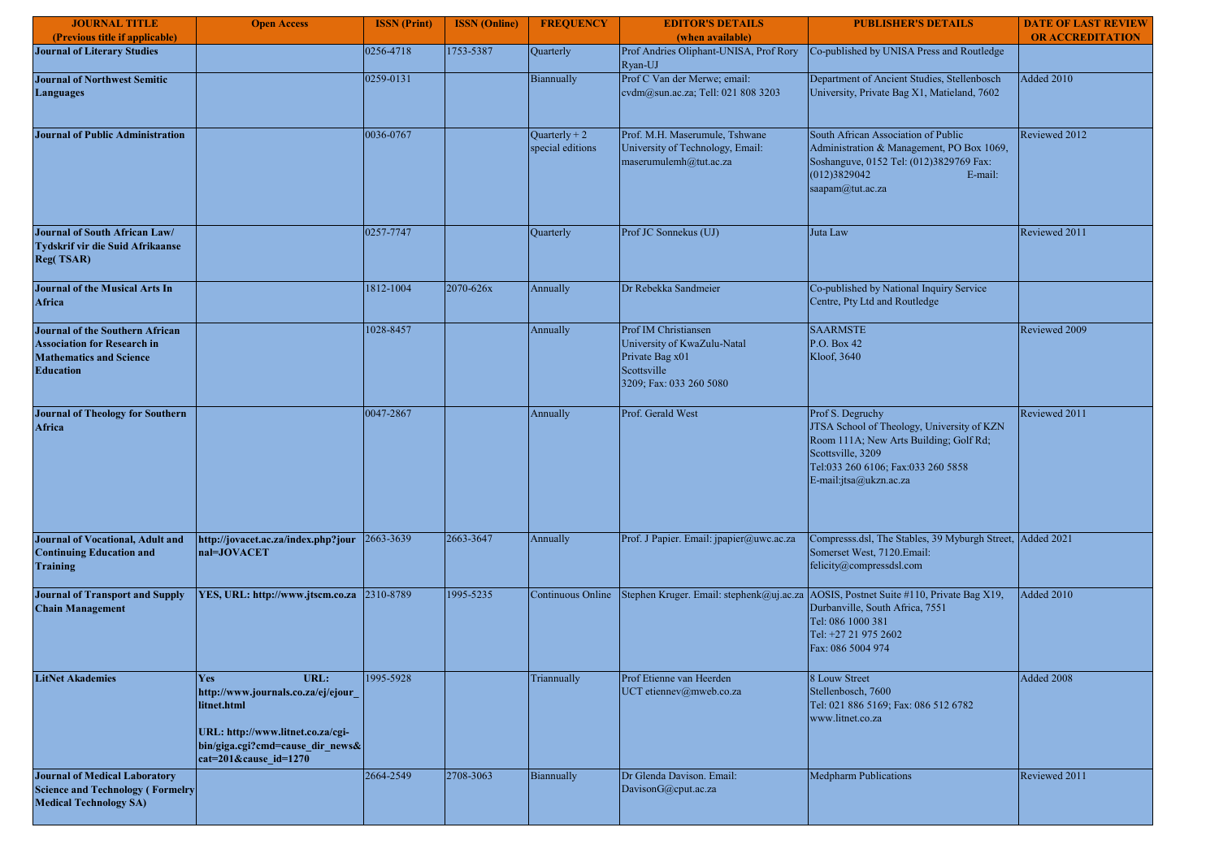| <b>JOURNAL TITLE</b>                                                                                                        | <b>Open Access</b>                                                                                                                                                      | <b>ISSN</b> (Print) | <b>ISSN</b> (Online) | <b>FREQUENCY</b>                    | <b>EDITOR'S DETAILS</b>                                                                                          | <b>PUBLISHER'S DETAILS</b>                                                                                                                                                                    | <b>DATE OF LAST REVIEW</b> |
|-----------------------------------------------------------------------------------------------------------------------------|-------------------------------------------------------------------------------------------------------------------------------------------------------------------------|---------------------|----------------------|-------------------------------------|------------------------------------------------------------------------------------------------------------------|-----------------------------------------------------------------------------------------------------------------------------------------------------------------------------------------------|----------------------------|
| (Previous title if applicable)                                                                                              |                                                                                                                                                                         |                     |                      |                                     | (when available)                                                                                                 |                                                                                                                                                                                               | <b>OR ACCREDITATION</b>    |
| <b>Journal of Literary Studies</b>                                                                                          |                                                                                                                                                                         | 0256-4718           | 1753-5387            | Quarterly                           | Prof Andries Oliphant-UNISA, Prof Rory<br>Ryan-UJ                                                                | Co-published by UNISA Press and Routledge                                                                                                                                                     |                            |
| <b>Journal of Northwest Semitic</b><br><b>Languages</b>                                                                     |                                                                                                                                                                         | 0259-0131           |                      | Biannually                          | Prof C Van der Merwe; email:<br>evdm@sun.ac.za; Tell: 021 808 3203                                               | Department of Ancient Studies, Stellenbosch<br>University, Private Bag X1, Matieland, 7602                                                                                                    | <b>Added 2010</b>          |
| <b>Journal of Public Administration</b>                                                                                     |                                                                                                                                                                         | 0036-0767           |                      | Quarterly + $2$<br>special editions | Prof. M.H. Maserumule, Tshwane<br>University of Technology, Email:<br>maserumulemh@tut.ac.za                     | South African Association of Public<br>Administration & Management, PO Box 1069,<br>Soshanguve, 0152 Tel: (012)3829769 Fax:<br>(012)3829042<br>E-mail:<br>saapam@tut.ac.za                    | Reviewed 2012              |
| Journal of South African Law/<br>Tydskrif vir die Suid Afrikaanse<br><b>Reg(TSAR)</b>                                       |                                                                                                                                                                         | 0257-7747           |                      | Quarterly                           | Prof JC Sonnekus (UJ)                                                                                            | Juta Law                                                                                                                                                                                      | Reviewed 2011              |
| <b>Journal of the Musical Arts In</b><br><b>Africa</b>                                                                      |                                                                                                                                                                         | 1812-1004           | 2070-626x            | Annually                            | Dr Rebekka Sandmeier                                                                                             | Co-published by National Inquiry Service<br>Centre, Pty Ltd and Routledge                                                                                                                     |                            |
| Journal of the Southern African<br><b>Association for Research in</b><br><b>Mathematics and Science</b><br><b>Education</b> |                                                                                                                                                                         | 1028-8457           |                      | Annually                            | Prof IM Christiansen<br>University of KwaZulu-Natal<br>Private Bag x01<br>Scottsville<br>3209; Fax: 033 260 5080 | <b>SAARMSTE</b><br>P.O. Box 42<br>Kloof, 3640                                                                                                                                                 | Reviewed 2009              |
| <b>Journal of Theology for Southern</b><br>Africa                                                                           |                                                                                                                                                                         | 0047-2867           |                      | Annually                            | Prof. Gerald West                                                                                                | Prof S. Degruchy<br>JTSA School of Theology, University of KZN<br>Room 111A; New Arts Building; Golf Rd;<br>Scottsville, 3209<br>Tel:033 260 6106; Fax:033 260 5858<br>E-mail:jtsa@ukzn.ac.za | Reviewed 2011              |
| Journal of Vocational, Adult and<br><b>Continuing Education and</b><br><b>Training</b>                                      | http://jovacet.ac.za/index.php?jour<br>nal=JOVACET                                                                                                                      | 2663-3639           | 2663-3647            | Annually                            | Prof. J Papier. Email: jpapier@uwc.ac.za                                                                         | Compresss.dsl, The Stables, 39 Myburgh Street, Added 2021<br>Somerset West, 7120.Email:<br>felicity@compressdsl.com                                                                           |                            |
| <b>Journal of Transport and Supply</b><br><b>Chain Management</b>                                                           | YES, URL: http://www.jtscm.co.za                                                                                                                                        | 2310-8789           | 1995-5235            | Continuous Online                   | Stephen Kruger. Email: stephenk@uj.ac.za                                                                         | AOSIS, Postnet Suite #110, Private Bag X19,<br>Durbanville, South Africa, 7551<br>Tel: 086 1000 381<br>Tel: +27 21 975 2602<br>Fax: 086 5004 974                                              | Added 2010                 |
| <b>LitNet Akademies</b>                                                                                                     | URL:<br>Yes<br>http://www.journals.co.za/ej/ejour<br>litnet.html<br>URL: http://www.litnet.co.za/cgi-<br>bin/giga.cgi?cmd=cause_dir_news&<br>$cat=201$ &cause $id=1270$ | 1995-5928           |                      | Triannually                         | Prof Etienne van Heerden<br>UCT etiennev@mweb.co.za                                                              | 8 Louw Street<br>Stellenbosch, 7600<br>Tel: 021 886 5169; Fax: 086 512 6782<br>www.litnet.co.za                                                                                               | Added 2008                 |
| <b>Journal of Medical Laboratory</b><br><b>Science and Technology (Formelry</b><br><b>Medical Technology SA)</b>            |                                                                                                                                                                         | 2664-2549           | 2708-3063            | Biannually                          | Dr Glenda Davison. Email:<br>DavisonG@cput.ac.za                                                                 | Medpharm Publications                                                                                                                                                                         | Reviewed 2011              |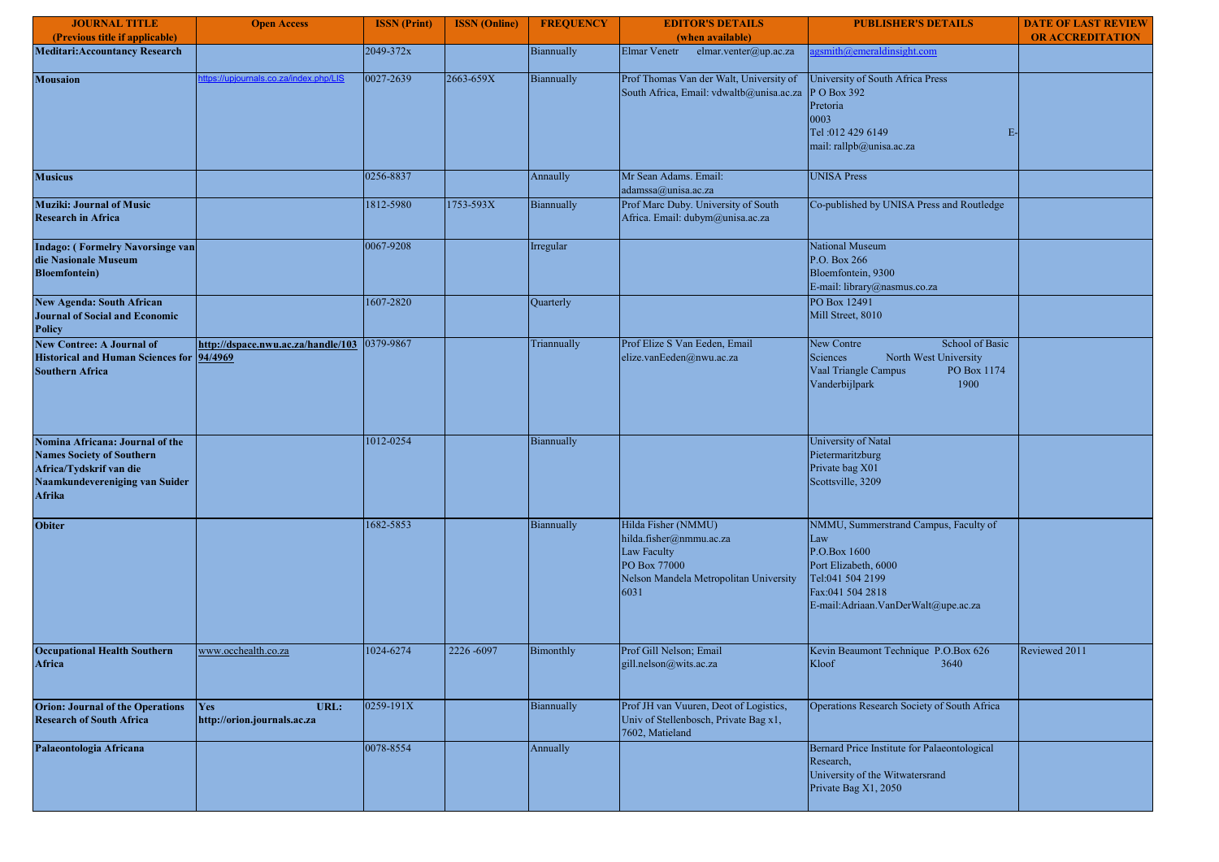| <b>JOURNAL TITLE</b>                                                                                                                       | <b>Open Access</b>                            | <b>ISSN</b> (Print) | <b>ISSN</b> (Online) | <b>FREQUENCY</b> | <b>EDITOR'S DETAILS</b>                                                                                                         | <b>PUBLISHER'S DETAILS</b>                                                                                                                                          | <b>DATE OF LAST REVIEW</b> |
|--------------------------------------------------------------------------------------------------------------------------------------------|-----------------------------------------------|---------------------|----------------------|------------------|---------------------------------------------------------------------------------------------------------------------------------|---------------------------------------------------------------------------------------------------------------------------------------------------------------------|----------------------------|
| (Previous title if applicable)                                                                                                             |                                               |                     |                      |                  | (when available)                                                                                                                |                                                                                                                                                                     | <b>OR ACCREDITATION</b>    |
| <b>Meditari: Accountancy Research</b>                                                                                                      |                                               | 2049-372x           |                      | Biannually       | Elmar Venetr<br>elmar.venter@up.ac.za                                                                                           | gsmith@emeraldinsight.com                                                                                                                                           |                            |
| <b>Mousaion</b>                                                                                                                            | ttps://upjournals.co.za/index.php/LIS         | 0027-2639           | 2663-659X            | Biannually       | Prof Thomas Van der Walt, University of<br>South Africa, Email: vdwaltb@unisa.ac.za                                             | University of South Africa Press<br>P O Box 392<br>Pretoria<br>0003<br>Tel: 012 429 6149<br>$E-$<br>mail: rallpb@unisa.ac.za                                        |                            |
| <b>Musicus</b>                                                                                                                             |                                               | 0256-8837           |                      | Annaully         | Mr Sean Adams. Email:<br>adamssa@unisa.ac.za                                                                                    | <b>UNISA Press</b>                                                                                                                                                  |                            |
| <b>Muziki: Journal of Music</b><br><b>Research in Africa</b>                                                                               |                                               | 1812-5980           | 1753-593X            | Biannually       | Prof Marc Duby. University of South<br>Africa. Email: dubym@unisa.ac.za                                                         | Co-published by UNISA Press and Routledge                                                                                                                           |                            |
| <b>Indago: (Formelry Navorsinge van</b><br>die Nasionale Museum<br><b>Bloemfontein</b> )                                                   |                                               | 0067-9208           |                      | Irregular        |                                                                                                                                 | National Museum<br>P.O. Box 266<br>Bloemfontein, 9300<br>E-mail: library@nasmus.co.za                                                                               |                            |
| <b>New Agenda: South African</b><br><b>Journal of Social and Economic</b><br><b>Policy</b>                                                 |                                               | 1607-2820           |                      | Quarterly        |                                                                                                                                 | PO Box 12491<br>Mill Street, 8010                                                                                                                                   |                            |
| <b>New Contree: A Journal of</b><br><b>Historical and Human Sciences for</b><br><b>Southern Africa</b>                                     | http://dspace.nwu.ac.za/handle/103<br>94/4969 | 0379-9867           |                      | Triannually      | Prof Elize S Van Eeden, Email<br>elize.vanEeden@nwu.ac.za                                                                       | New Contre<br>School of Basic<br>Sciences<br>North West University<br>Vaal Triangle Campus<br>PO Box 1174<br>Vanderbijlpark<br>1900                                 |                            |
| Nomina Africana: Journal of the<br><b>Names Society of Southern</b><br>Africa/Tydskrif van die<br>Naamkundevereniging van Suider<br>Afrika |                                               | 1012-0254           |                      | Biannually       |                                                                                                                                 | University of Natal<br>Pietermaritzburg<br>Private bag X01<br>Scottsville, 3209                                                                                     |                            |
| <b>Obiter</b>                                                                                                                              |                                               | 1682-5853           |                      | Biannually       | Hilda Fisher (NMMU)<br>hilda.fisher@nmmu.ac.za<br>Law Faculty<br>PO Box 77000<br>Nelson Mandela Metropolitan University<br>6031 | NMMU, Summerstrand Campus, Faculty of<br>Law<br>P.O.Box 1600<br>Port Elizabeth, 6000<br>Tel:041 504 2199<br>Fax:041 504 2818<br>E-mail:Adriaan.VanDerWalt@upe.ac.za |                            |
| <b>Occupational Health Southern</b><br>Africa                                                                                              | www.occhealth.co.za                           | 1024-6274           | 2226-6097            | Bimonthly        | Prof Gill Nelson; Email<br>gill.nelson@wits.ac.za                                                                               | Kevin Beaumont Technique P.O.Box 626<br>Kloof<br>3640                                                                                                               | Reviewed 2011              |
| <b>Orion: Journal of the Operations</b><br><b>Research of South Africa</b>                                                                 | Yes<br>URL:<br>http://orion.journals.ac.za    | 0259-191X           |                      | Biannually       | Prof JH van Vuuren, Deot of Logistics,<br>Univ of Stellenbosch, Private Bag x1,<br>7602, Matieland                              | Operations Research Society of South Africa                                                                                                                         |                            |
| Palaeontologia Africana                                                                                                                    |                                               | 0078-8554           |                      | Annually         |                                                                                                                                 | Bernard Price Institute for Palaeontological<br>Research,<br>University of the Witwatersrand<br>Private Bag X1, 2050                                                |                            |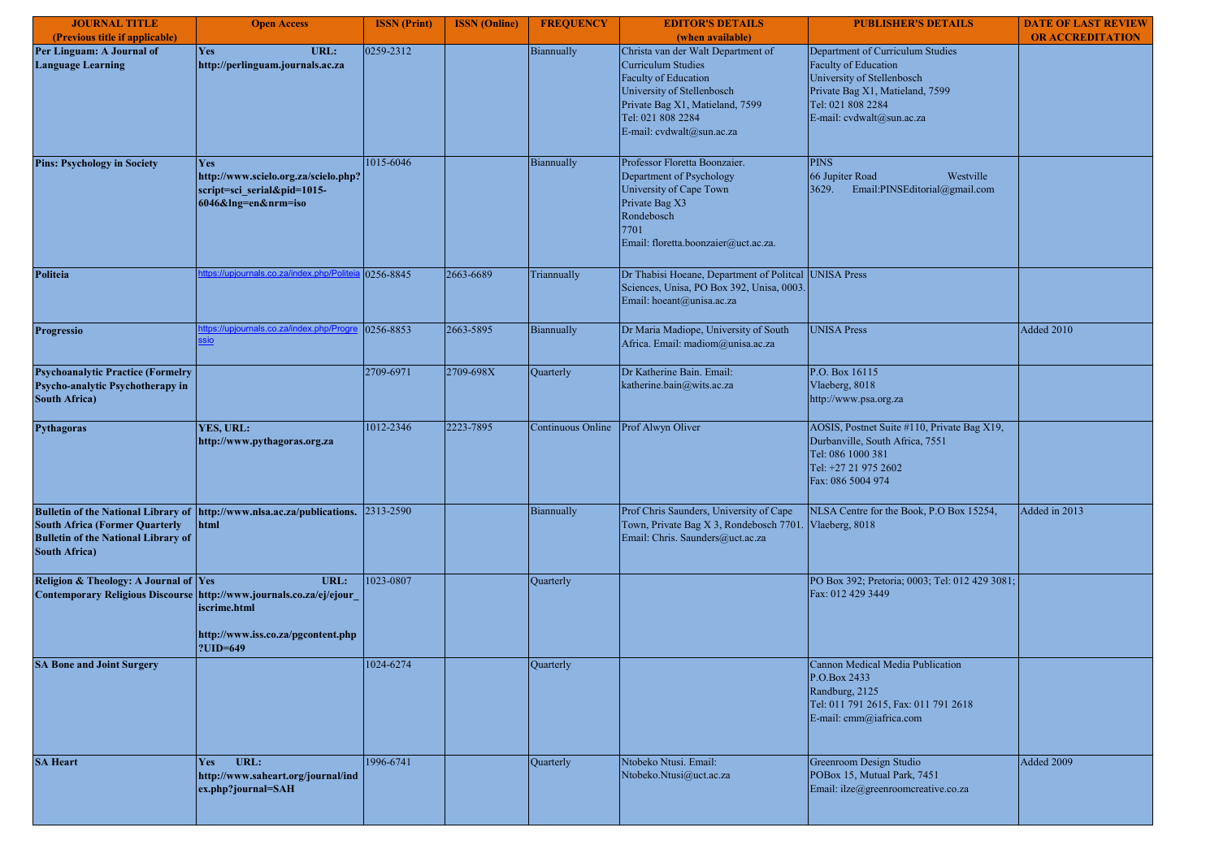| <b>JOURNAL TITLE</b>                                                                                        | <b>Open Access</b>                                                                                                                            | <b>ISSN</b> (Print) | <b>ISSN</b> (Online) | <b>FREQUENCY</b>  | <b>EDITOR'S DETAILS</b>                                                                                                                                                                                           | <b>PUBLISHER'S DETAILS</b>                                                                                                                                                  | <b>DATE OF LAST REVIEW</b> |
|-------------------------------------------------------------------------------------------------------------|-----------------------------------------------------------------------------------------------------------------------------------------------|---------------------|----------------------|-------------------|-------------------------------------------------------------------------------------------------------------------------------------------------------------------------------------------------------------------|-----------------------------------------------------------------------------------------------------------------------------------------------------------------------------|----------------------------|
| (Previous title if applicable)                                                                              |                                                                                                                                               |                     |                      |                   | (when available)                                                                                                                                                                                                  |                                                                                                                                                                             | <b>OR ACCREDITATION</b>    |
| Per Linguam: A Journal of<br><b>Language Learning</b>                                                       | <b>Yes</b><br>URL:<br>http://perlinguam.journals.ac.za                                                                                        | 0259-2312           |                      | Biannually        | Christa van der Walt Department of<br><b>Curriculum Studies</b><br><b>Faculty of Education</b><br>University of Stellenbosch<br>Private Bag X1, Matieland, 7599<br>Tel: 021 808 2284<br>E-mail: cvdwalt@sun.ac.za | Department of Curriculum Studies<br>Faculty of Education<br>University of Stellenbosch<br>Private Bag X1, Matieland, 7599<br>Tel: 021 808 2284<br>E-mail: cvdwalt@sun.ac.za |                            |
| <b>Pins: Psychology in Society</b>                                                                          | <b>Yes</b><br>http://www.scielo.org.za/scielo.php?<br>script=sci_serial&pid=1015-<br>6046&lng=en&nrm=iso                                      | 1015-6046           |                      | Biannually        | Professor Floretta Boonzaier.<br>Department of Psychology<br>University of Cape Town<br>Private Bag X3<br>Rondebosch<br>7701<br>Email: floretta.boonzaier@uct.ac.za.                                              | <b>PINS</b><br>66 Jupiter Road<br>Westville<br>Email:PINSEditorial@gmail.com<br>3629.                                                                                       |                            |
| Politeia                                                                                                    | tps://upjournals.co.za/index.php/Po                                                                                                           | 0256-8845           | 2663-6689            | Triannually       | Dr Thabisi Hoeane, Department of Politcal UNISA Press<br>Sciences, Unisa, PO Box 392, Unisa, 0003.<br>Email: hoeant@unisa.ac.za                                                                                   |                                                                                                                                                                             |                            |
| <b>Progressio</b>                                                                                           | .co.za/index.php/Pr<br>sio                                                                                                                    | 0256-8853           | 2663-5895            | Biannually        | Dr Maria Madiope, University of South<br>Africa. Email: madiom@unisa.ac.za                                                                                                                                        | <b>UNISA Press</b>                                                                                                                                                          | Added 2010                 |
| <b>Psychoanalytic Practice (Formelry</b><br>Psycho-analytic Psychotherapy in<br><b>South Africa)</b>        |                                                                                                                                               | 2709-6971           | 2709-698X            | Quarterly         | Dr Katherine Bain. Email:<br>katherine.bain@wits.ac.za                                                                                                                                                            | P.O. Box 16115<br>Vlaeberg, 8018<br>http://www.psa.org.za                                                                                                                   |                            |
| <b>Pythagoras</b>                                                                                           | YES, URL:<br>http://www.pythagoras.org.za                                                                                                     | 1012-2346           | 2223-7895            | Continuous Online | Prof Alwyn Oliver                                                                                                                                                                                                 | AOSIS, Postnet Suite #110, Private Bag X19,<br>Durbanville, South Africa, 7551<br>Tel: 086 1000 381<br>Tel: +27 21 975 2602<br>Fax: 086 5004 974                            |                            |
| <b>South Africa (Former Quarterly</b><br><b>Bulletin of the National Library of</b><br><b>South Africa)</b> | Bulletin of the National Library of  http://www.nlsa.ac.za/publications. 2313-2590<br>html                                                    |                     |                      | Biannually        | Prof Chris Saunders, University of Cape<br>Town, Private Bag X 3, Rondebosch 7701<br>Email: Chris. Saunders@uct.ac.za                                                                                             | NLSA Centre for the Book, P.O Box 15254,<br>Vlaeberg, 8018                                                                                                                  | Added in 2013              |
| Religion & Theology: A Journal of Yes                                                                       | URL:<br>Contemporary Religious Discourse http://www.journals.co.za/ej/ejour<br>iscrime.html<br>http://www.iss.co.za/pgcontent.php<br>?UID=649 | 1023-0807           |                      | Quarterly         |                                                                                                                                                                                                                   | PO Box 392; Pretoria; 0003; Tel: 012 429 3081;<br>Fax: 012 429 3449                                                                                                         |                            |
| <b>SA Bone and Joint Surgery</b>                                                                            |                                                                                                                                               | 1024-6274           |                      | Quarterly         |                                                                                                                                                                                                                   | Cannon Medical Media Publication<br>P.O.Box 2433<br>Randburg, 2125<br>Tel: 011 791 2615, Fax: 011 791 2618<br>E-mail: cmm@iafrica.com                                       |                            |
| <b>SA Heart</b>                                                                                             | URL:<br><b>Yes</b><br>http://www.saheart.org/journal/ind<br>ex.php?journal=SAH                                                                | 1996-6741           |                      | Quarterly         | Ntobeko Ntusi. Email:<br>Ntobeko.Ntusi@uct.ac.za                                                                                                                                                                  | Greenroom Design Studio<br>POBox 15, Mutual Park, 7451<br>Email: ilze@greenroomcreative.co.za                                                                               | Added 2009                 |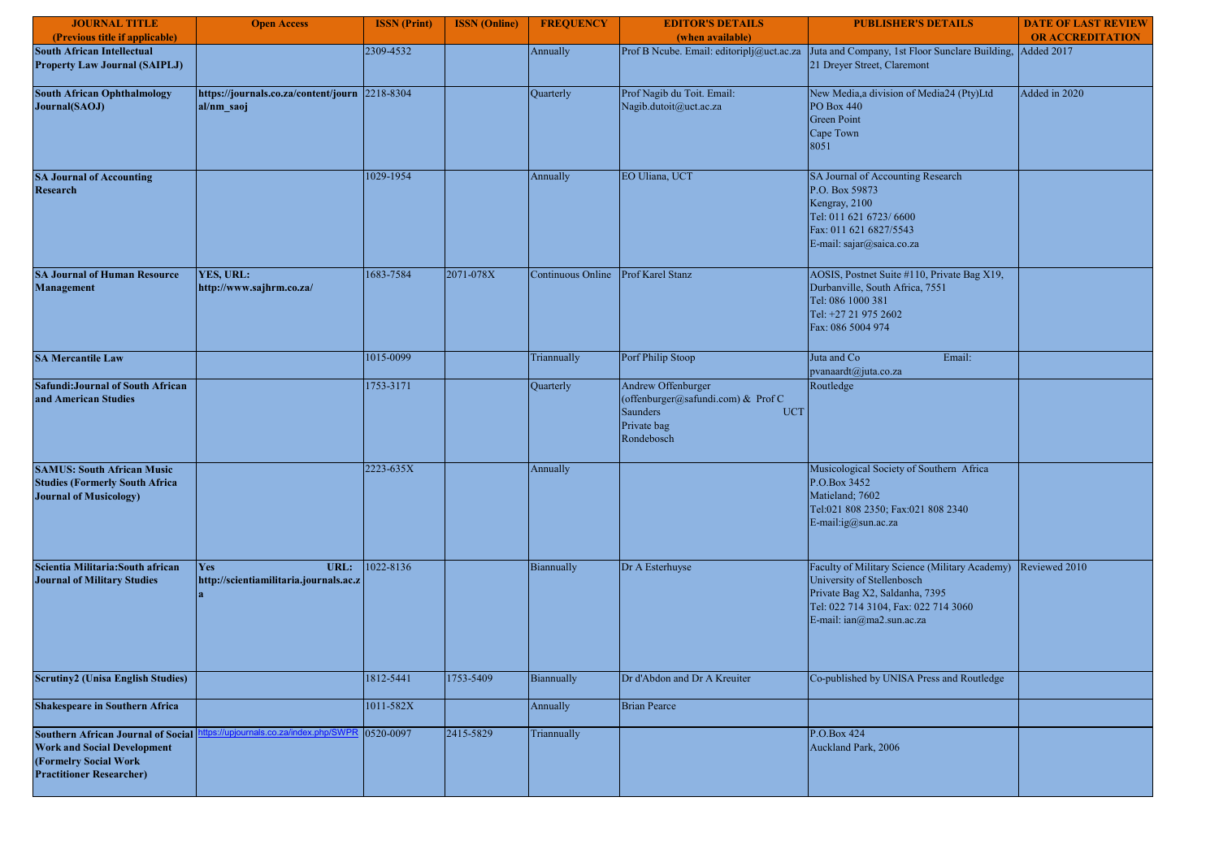| <b>JOURNAL TITLE</b>                                                                                                                        | <b>Open Access</b>                                           | <b>ISSN</b> (Print) | <b>ISSN</b> (Online) | <b>FREQUENCY</b>  | <b>EDITOR'S DETAILS</b>                                                                                         | <b>PUBLISHER'S DETAILS</b>                                                                                                                                                          | <b>DATE OF LAST REVIEW</b> |
|---------------------------------------------------------------------------------------------------------------------------------------------|--------------------------------------------------------------|---------------------|----------------------|-------------------|-----------------------------------------------------------------------------------------------------------------|-------------------------------------------------------------------------------------------------------------------------------------------------------------------------------------|----------------------------|
| (Previous title if applicable)                                                                                                              |                                                              |                     |                      |                   | (when available)                                                                                                |                                                                                                                                                                                     | <b>OR ACCREDITATION</b>    |
| <b>South African Intellectual</b><br><b>Property Law Journal (SAIPLJ)</b>                                                                   |                                                              | 2309-4532           |                      | Annually          |                                                                                                                 | Prof B Neube. Email: editoriplj@uct.ac.za Juta and Company, 1st Floor Sunclare Building, Added 2017<br>21 Dreyer Street, Claremont                                                  |                            |
| <b>South African Ophthalmology</b><br>Journal(SAOJ)                                                                                         | https://journals.co.za/content/journ 2218-8304<br>al/nm_saoj |                     |                      | Quarterly         | Prof Nagib du Toit. Email:<br>Nagib.dutoit@uct.ac.za                                                            | New Media,a division of Media24 (Pty)Ltd<br><b>PO</b> Box 440<br><b>Green Point</b><br>Cape Town<br>8051                                                                            | Added in 2020              |
| <b>SA Journal of Accounting</b><br><b>Research</b>                                                                                          |                                                              | 1029-1954           |                      | Annually          | EO Uliana, UCT                                                                                                  | SA Journal of Accounting Research<br>P.O. Box 59873<br>Kengray, 2100<br>Tel: 011 621 6723/ 6600<br>Fax: 011 621 6827/5543<br>E-mail: sajar@saica.co.za                              |                            |
| <b>SA Journal of Human Resource</b><br>Management                                                                                           | YES, URL:<br>http://www.sajhrm.co.za/                        | 1683-7584           | 2071-078X            | Continuous Online | Prof Karel Stanz                                                                                                | AOSIS, Postnet Suite #110, Private Bag X19,<br>Durbanville, South Africa, 7551<br>Tel: 086 1000 381<br>Tel: +27 21 975 2602<br>Fax: 086 5004 974                                    |                            |
| <b>SA Mercantile Law</b>                                                                                                                    |                                                              | 1015-0099           |                      | Triannually       | Porf Philip Stoop                                                                                               | Juta and Co<br>Email:<br>pvanaardt@juta.co.za                                                                                                                                       |                            |
| <b>Safundi: Journal of South African</b><br>and American Studies                                                                            |                                                              | 1753-3171           |                      | Quarterly         | Andrew Offenburger<br>(offenburger@safundi.com) & Prof C<br>Saunders<br><b>UCT</b><br>Private bag<br>Rondebosch | Routledge                                                                                                                                                                           |                            |
| <b>SAMUS: South African Music</b><br><b>Studies (Formerly South Africa</b><br><b>Journal of Musicology)</b>                                 |                                                              | 2223-635X           |                      | Annually          |                                                                                                                 | Musicological Society of Southern Africa<br>P.O.Box 3452<br>Matieland; 7602<br>Tel:021 808 2350; Fax:021 808 2340<br>E-mail:ig@sun.ac.za                                            |                            |
| Scientia Militaria: South african<br><b>Journal of Military Studies</b>                                                                     | URL:<br><b>Yes</b><br>http://scientiamilitaria.journals.ac.z | 1022-8136           |                      | Biannually        | Dr A Esterhuyse                                                                                                 | Faculty of Military Science (Military Academy)<br>University of Stellenbosch<br>Private Bag X2, Saldanha, 7395<br>Tel: 022 714 3104, Fax: 022 714 3060<br>E-mail: ian@ma2.sun.ac.za | Reviewed 2010              |
| <b>Scrutiny2 (Unisa English Studies)</b>                                                                                                    |                                                              | 1812-5441           | 1753-5409            | Biannually        | Dr d'Abdon and Dr A Kreuiter                                                                                    | Co-published by UNISA Press and Routledge                                                                                                                                           |                            |
| <b>Shakespeare in Southern Africa</b>                                                                                                       |                                                              | 1011-582X           |                      | Annually          | <b>Brian Pearce</b>                                                                                             |                                                                                                                                                                                     |                            |
| <b>Southern African Journal of Social</b><br><b>Work and Social Development</b><br>(Formelry Social Work<br><b>Practitioner Researcher)</b> | ps://upiournals.co.za/index.php                              | 0520-0097           | 2415-5829            | Triannually       |                                                                                                                 | P.O.Box 424<br>Auckland Park, 2006                                                                                                                                                  |                            |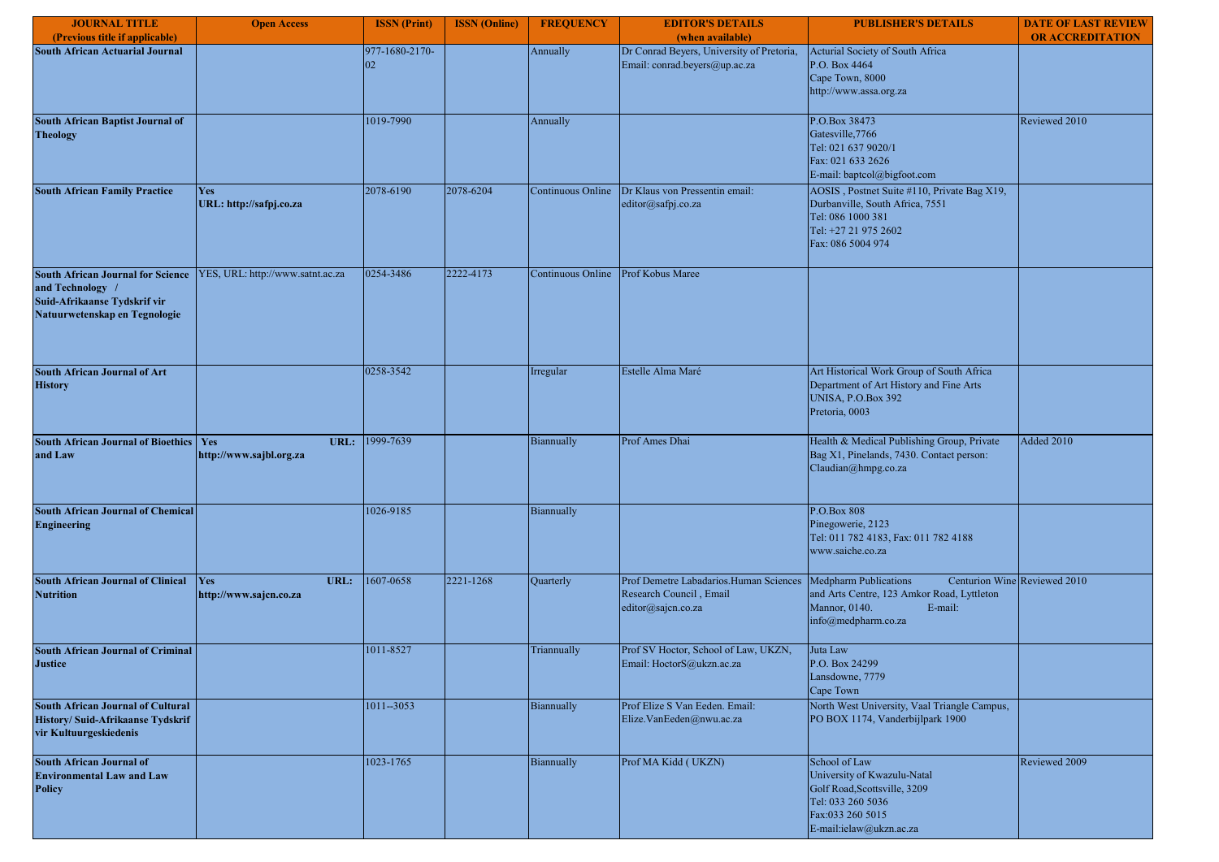| <b>JOURNAL TITLE</b><br>(Previous title if applicable)                                                                        | <b>Open Access</b>                     | <b>ISSN</b> (Print)  | <b>ISSN</b> (Online) | <b>FREQUENCY</b>  | <b>EDITOR'S DETAILS</b><br>(when available)                                                 | <b>PUBLISHER'S DETAILS</b>                                                                                                                       | <b>DATE OF LAST REVIEW</b><br><b>OR ACCREDITATION</b> |
|-------------------------------------------------------------------------------------------------------------------------------|----------------------------------------|----------------------|----------------------|-------------------|---------------------------------------------------------------------------------------------|--------------------------------------------------------------------------------------------------------------------------------------------------|-------------------------------------------------------|
| <b>South African Actuarial Journal</b>                                                                                        |                                        | 977-1680-2170-<br>02 |                      | Annually          | Dr Conrad Beyers, University of Pretoria,<br>Email: conrad.beyers@up.ac.za                  | Acturial Society of South Africa<br>P.O. Box 4464<br>Cape Town, 8000<br>http://www.assa.org.za                                                   |                                                       |
| South African Baptist Journal of<br><b>Theology</b>                                                                           |                                        | 1019-7990            |                      | Annually          |                                                                                             | P.O.Box 38473<br>Gatesville, 7766<br>Tel: 021 637 9020/1<br>Fax: 021 633 2626<br>E-mail: baptcol@bigfoot.com                                     | Reviewed 2010                                         |
| <b>South African Family Practice</b>                                                                                          | Yes<br>URL: http://safpj.co.za         | 2078-6190            | 2078-6204            | Continuous Online | Dr Klaus von Pressentin email:<br>editor@safpj.co.za                                        | AOSIS, Postnet Suite #110, Private Bag X19,<br>Durbanville, South Africa, 7551<br>Tel: 086 1000 381<br>Tel: +27 21 975 2602<br>Fax: 086 5004 974 |                                                       |
| <b>South African Journal for Science</b><br>and Technology /<br>Suid-Afrikaanse Tydskrif vir<br>Natuurwetenskap en Tegnologie | YES, URL: http://www.satnt.ac.za       | 0254-3486            | 2222-4173            | Continuous Online | Prof Kobus Maree                                                                            |                                                                                                                                                  |                                                       |
| <b>South African Journal of Art</b><br><b>History</b>                                                                         |                                        | 0258-3542            |                      | Irregular         | Estelle Alma Maré                                                                           | Art Historical Work Group of South Africa<br>Department of Art History and Fine Arts<br><b>UNISA, P.O.Box 392</b><br>Pretoria, 0003              |                                                       |
| <b>South African Journal of Bioethics</b><br>and Law                                                                          | Yes<br>URL:<br>http://www.sajbl.org.za | 1999-7639            |                      | Biannually        | Prof Ames Dhai                                                                              | Health & Medical Publishing Group, Private<br>Bag X1, Pinelands, 7430. Contact person:<br>Claudian@hmpg.co.za                                    | Added 2010                                            |
| <b>South African Journal of Chemical</b><br><b>Engineering</b>                                                                |                                        | 1026-9185            |                      | Biannually        |                                                                                             | P.O.Box 808<br>Pinegowerie, 2123<br>Tel: 011 782 4183, Fax: 011 782 4188<br>www.saiche.co.za                                                     |                                                       |
| South African Journal of Clinical Yes<br><b>Nutrition</b>                                                                     | URL:<br>http://www.sajcn.co.za         | 1607-0658            | 2221-1268            | Quarterly         | Prof Demetre Labadarios.Human Sciences<br>Research Council, Email<br>editor@sajcn.co.za     | <b>Medpharm Publications</b><br>and Arts Centre, 123 Amkor Road, Lyttleton<br>Mannor, 0140.<br>E-mail:<br>info@medpharm.co.za                    | Centurion Wine Reviewed 2010                          |
| <b>South African Journal of Criminal</b><br><b>Justice</b>                                                                    |                                        | 1011-8527            |                      | Triannually       | Prof SV Hoctor, School of Law, UKZN,<br>$\label{eq:Email} \text{Email: HoctorS@ukzn.ac.za}$ | Juta Law<br>P.O. Box 24299<br>Lansdowne, 7779<br>Cape Town                                                                                       |                                                       |
| <b>South African Journal of Cultural</b><br>History/ Suid-Afrikaanse Tydskrif<br>vir Kultuurgeskiedenis                       |                                        | $1011 - 3053$        |                      | Biannually        | Prof Elize S Van Eeden. Email:<br>Elize.VanEeden@nwu.ac.za                                  | North West University, Vaal Triangle Campus,<br>PO BOX 1174, Vanderbijlpark 1900                                                                 |                                                       |
| <b>South African Journal of</b><br><b>Environmental Law and Law</b><br><b>Policy</b>                                          |                                        | 1023-1765            |                      | Biannually        | Prof MA Kidd (UKZN)                                                                         | School of Law<br>University of Kwazulu-Natal<br>Golf Road, Scottsville, 3209<br>Tel: 033 260 5036<br>Fax:033 260 5015<br>E-mail:ielaw@ukzn.ac.za | Reviewed 2009                                         |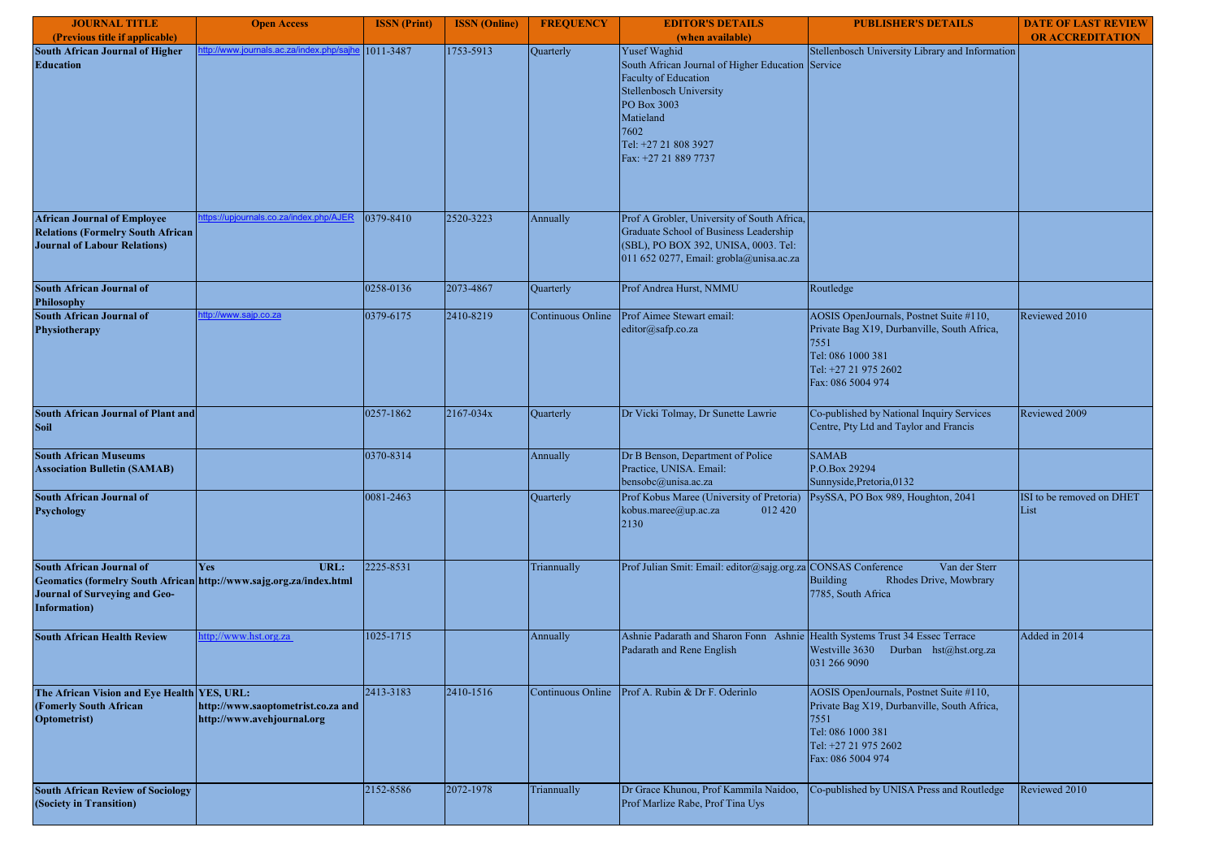| <b>JOURNAL TITLE</b>                                                                                                                                    | <b>Open Access</b>                                               | <b>ISSN</b> (Print) | <b>ISSN</b> (Online) | <b>FREQUENCY</b>  | <b>EDITOR'S DETAILS</b>                                                                                                                                                  | <b>PUBLISHER'S DETAILS</b>                                                                                                                                       | <b>DATE OF LAST REVIEW</b>        |
|---------------------------------------------------------------------------------------------------------------------------------------------------------|------------------------------------------------------------------|---------------------|----------------------|-------------------|--------------------------------------------------------------------------------------------------------------------------------------------------------------------------|------------------------------------------------------------------------------------------------------------------------------------------------------------------|-----------------------------------|
| (Previous title if applicable)                                                                                                                          |                                                                  |                     |                      |                   | (when available)                                                                                                                                                         |                                                                                                                                                                  | <b>OR ACCREDITATION</b>           |
| South African Journal of Higher<br><b>Education</b>                                                                                                     | <u>p://www.journals.ac.za/index.php.</u>                         | 1011-3487           | 1753-5913            | Quarterly         | Yusef Waghid<br>South African Journal of Higher Education Service<br>Faculty of Education<br>Stellenbosch University                                                     | Stellenbosch University Library and Information                                                                                                                  |                                   |
|                                                                                                                                                         |                                                                  |                     |                      |                   | PO Box 3003<br>Matieland<br>7602<br>Tel: +27 21 808 3927<br>Fax: +27 21 889 7737                                                                                         |                                                                                                                                                                  |                                   |
|                                                                                                                                                         |                                                                  |                     |                      |                   |                                                                                                                                                                          |                                                                                                                                                                  |                                   |
| <b>African Journal of Employee</b><br><b>Relations (Formelry South African</b><br><b>Journal of Labour Relations)</b>                                   | tps://upjournals.co.za/index.php/AJER                            | 0379-8410           | 2520-3223            | Annually          | Prof A Grobler, University of South Africa,<br>Graduate School of Business Leadership<br>(SBL), PO BOX 392, UNISA, 0003. Tel:<br>011 652 0277, Email: grobla@unisa.ac.za |                                                                                                                                                                  |                                   |
| <b>South African Journal of</b><br><b>Philosophy</b>                                                                                                    |                                                                  | 0258-0136           | 2073-4867            | Quarterly         | Prof Andrea Hurst, NMMU                                                                                                                                                  | Routledge                                                                                                                                                        |                                   |
| <b>South African Journal of</b><br>Physiotherapy                                                                                                        | <u>tp://www.sajp.co.za</u>                                       | 0379-6175           | 2410-8219            | Continuous Online | Prof Aimee Stewart email:<br>editor@safp.co.za                                                                                                                           | AOSIS OpenJournals, Postnet Suite #110,<br>Private Bag X19, Durbanville, South Africa,<br>7551<br>Tel: 086 1000 381<br>Tel: +27 21 975 2602<br>Fax: 086 5004 974 | Reviewed 2010                     |
| <b>South African Journal of Plant and</b><br><b>Soil</b>                                                                                                |                                                                  | 0257-1862           | 2167-034x            | Quarterly         | Dr Vicki Tolmay, Dr Sunette Lawrie                                                                                                                                       | Co-published by National Inquiry Services<br>Centre, Pty Ltd and Taylor and Francis                                                                              | Reviewed 2009                     |
| <b>South African Museums</b><br><b>Association Bulletin (SAMAB)</b>                                                                                     |                                                                  | 0370-8314           |                      | Annually          | Dr B Benson, Department of Police<br>Practice, UNISA. Email:<br>bensobc@unisa.ac.za                                                                                      | <b>SAMAB</b><br>P.O.Box 29294<br>Sunnyside, Pretoria, 0132                                                                                                       |                                   |
| <b>South African Journal of</b><br><b>Psychology</b>                                                                                                    |                                                                  | 0081-2463           |                      | Quarterly         | Prof Kobus Maree (University of Pretoria)<br>kobus.maree@up.ac.za<br>012 420<br>2130                                                                                     | PsySSA, PO Box 989, Houghton, 2041                                                                                                                               | ISI to be removed on DHET<br>List |
| South African Journal of<br>Geomatics (formelry South African http://www.sajg.org.za/index.html<br><b>Journal of Surveying and Geo-</b><br>Information) | Yes<br>URL:                                                      | 2225-8531           |                      | Triannually       | Prof Julian Smit: Email: editor@sajg.org.za CONSAS Conference                                                                                                            | Van der Sterr<br><b>Building</b><br>Rhodes Drive, Mowbrary<br>7785, South Africa                                                                                 |                                   |
| <b>South African Health Review</b>                                                                                                                      | ttp://www.hst.org.za                                             | 1025-1715           |                      | Annually          | Ashnie Padarath and Sharon Fonn Ashnie Health Systems Trust 34 Essec Terrace<br>Padarath and Rene English                                                                | Westville 3630 Durban hst@hst.org.za<br>031 266 9090                                                                                                             | Added in 2014                     |
| The African Vision and Eye Health YES, URL:<br>(Fomerly South African<br><b>Optometrist)</b>                                                            | http://www.saoptometrist.co.za and<br>http://www.avehjournal.org | 2413-3183           | 2410-1516            | Continuous Online | Prof A. Rubin & Dr F. Oderinlo                                                                                                                                           | AOSIS OpenJournals, Postnet Suite #110,<br>Private Bag X19, Durbanville, South Africa,<br>7551<br>Tel: 086 1000 381<br>Tel: +27 21 975 2602<br>Fax: 086 5004 974 |                                   |
| <b>South African Review of Sociology</b><br>(Society in Transition)                                                                                     |                                                                  | 2152-8586           | 2072-1978            | Triannually       | Dr Grace Khunou, Prof Kammila Naidoo,<br>Prof Marlize Rabe, Prof Tina Uys                                                                                                | Co-published by UNISA Press and Routledge                                                                                                                        | Reviewed 2010                     |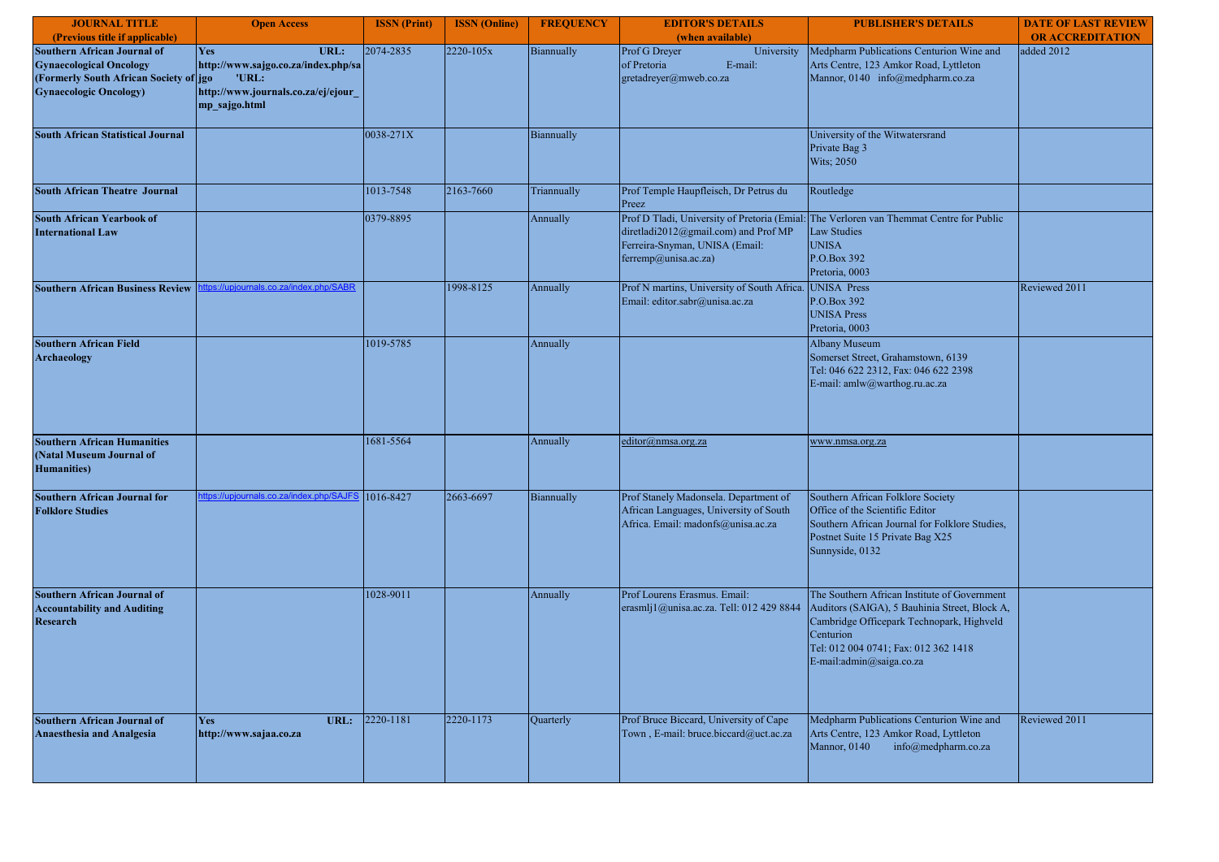| <b>JOURNAL TITLE</b>                                                                                                                             | <b>Open Access</b>                                                                                                  | <b>ISSN</b> (Print) | <b>ISSN</b> (Online) | <b>FREQUENCY</b> | <b>EDITOR'S DETAILS</b>                                                                                               | <b>PUBLISHER'S DETAILS</b>                                                                                                                                                                                                  | <b>DATE OF LAST REVIEW</b> |
|--------------------------------------------------------------------------------------------------------------------------------------------------|---------------------------------------------------------------------------------------------------------------------|---------------------|----------------------|------------------|-----------------------------------------------------------------------------------------------------------------------|-----------------------------------------------------------------------------------------------------------------------------------------------------------------------------------------------------------------------------|----------------------------|
| (Previous title if applicable)                                                                                                                   |                                                                                                                     |                     |                      |                  | (when available)                                                                                                      |                                                                                                                                                                                                                             | <b>OR ACCREDITATION</b>    |
| <b>Southern African Journal of</b><br><b>Gynaecological Oncology</b><br>(Formerly South African Society of jgo<br><b>Gynaecologic Oncology</b> ) | Yes<br>URL:<br>http://www.sajgo.co.za/index.php/sa<br>'URL:<br>http://www.journals.co.za/ej/ejour_<br>mp sajgo.html | 2074-2835           | 2220-105x            | Biannually       | Prof G Dreyer<br>University<br>of Pretoria<br>E-mail:<br>gretadreyer@mweb.co.za                                       | Medpharm Publications Centurion Wine and<br>Arts Centre, 123 Amkor Road, Lyttleton<br>Mannor, 0140 info@medpharm.co.za                                                                                                      | added 2012                 |
| <b>South African Statistical Journal</b>                                                                                                         |                                                                                                                     | 0038-271X           |                      | Biannually       |                                                                                                                       | University of the Witwatersrand<br>Private Bag 3<br>Wits; 2050                                                                                                                                                              |                            |
| <b>South African Theatre Journal</b>                                                                                                             |                                                                                                                     | 1013-7548           | 2163-7660            | Triannually      | Prof Temple Haupfleisch, Dr Petrus du<br>Preez                                                                        | Routledge                                                                                                                                                                                                                   |                            |
| <b>South African Yearbook of</b><br><b>International Law</b>                                                                                     |                                                                                                                     | 0379-8895           |                      | Annually         | diretladi2012@gmail.com) and Prof MP<br>Ferreira-Snyman, UNISA (Email:<br>ferremp@unisa.ac.za)                        | Prof D Tladi, University of Pretoria (Emial: The Verloren van Themmat Centre for Public<br><b>Law Studies</b><br><b>UNISA</b><br>P.O.Box 392<br>Pretoria, 0003                                                              |                            |
| <b>Southern African Business Review</b>                                                                                                          | //upjournals.co.za/index.ph                                                                                         |                     | 1998-8125            | Annually         | Prof N martins, University of South Africa.<br>Email: editor.sabr@unisa.ac.za                                         | UNISA Press<br>P.O.Box 392<br><b>UNISA Press</b><br>Pretoria, 0003                                                                                                                                                          | Reviewed 2011              |
| <b>Southern African Field</b><br><b>Archaeology</b>                                                                                              |                                                                                                                     | 1019-5785           |                      | Annually         |                                                                                                                       | <b>Albany Museum</b><br>Somerset Street, Grahamstown, 6139<br>Tel: 046 622 2312, Fax: 046 622 2398<br>E-mail: amlw@warthog.ru.ac.za                                                                                         |                            |
| <b>Southern African Humanities</b><br>(Natal Museum Journal of<br><b>Humanities</b> )                                                            |                                                                                                                     | 1681-5564           |                      | Annually         | editor@nmsa.org.za                                                                                                    | www.nmsa.org.za                                                                                                                                                                                                             |                            |
| <b>Southern African Journal for</b><br><b>Folklore Studies</b>                                                                                   | tps://upjournals.co.za/index.php/SAJF9                                                                              | 1016-8427           | 2663-6697            | Biannually       | Prof Stanely Madonsela. Department of<br>African Languages, University of South<br>Africa. Email: madonfs@unisa.ac.za | Southern African Folklore Society<br>Office of the Scientific Editor<br>Southern African Journal for Folklore Studies,<br>Postnet Suite 15 Private Bag X25<br>Sunnyside, 0132                                               |                            |
| Southern African Journal of<br><b>Accountability and Auditing</b><br><b>Research</b>                                                             |                                                                                                                     | 1028-9011           |                      | Annually         | Prof Lourens Erasmus. Email:<br>erasmlj1@unisa.ac.za. Tell: 012 429 8844                                              | The Southern African Institute of Government<br>Auditors (SAIGA), 5 Bauhinia Street, Block A,<br>Cambridge Officepark Technopark, Highveld<br>Centurion<br>Tel: 012 004 0741; Fax: 012 362 1418<br>E-mail:admin@saiga.co.za |                            |
| <b>Southern African Journal of</b><br><b>Anaesthesia and Analgesia</b>                                                                           | Yes<br>URL:<br>http://www.sajaa.co.za                                                                               | 2220-1181           | 2220-1173            | Quarterly        | Prof Bruce Biccard, University of Cape<br>Town, E-mail: bruce.biccard@uct.ac.za                                       | Medpharm Publications Centurion Wine and<br>Arts Centre, 123 Amkor Road, Lyttleton<br>Mannor, 0140<br>info@medpharm.co.za                                                                                                   | Reviewed 2011              |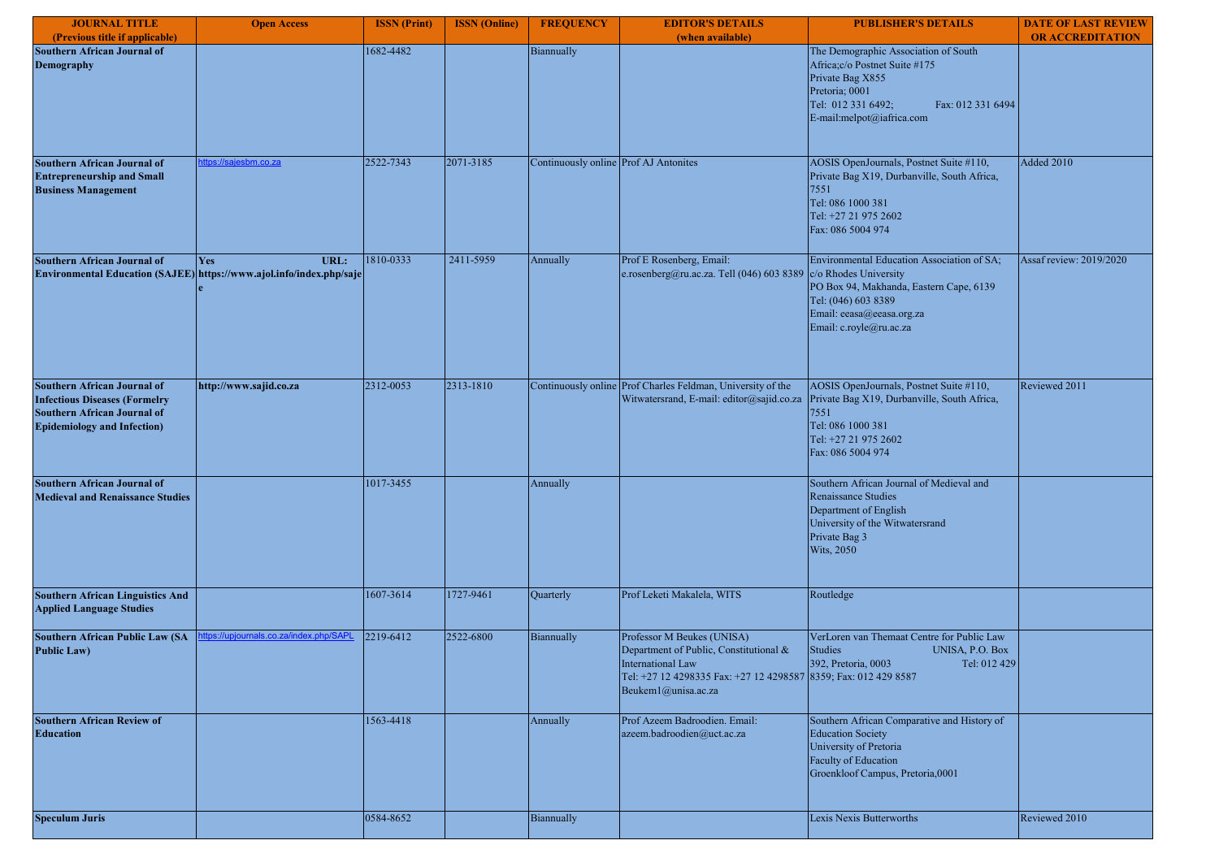| <b>JOURNAL TITLE</b>                                                                                                                                   | <b>Open Access</b>                                                                         | <b>ISSN</b> (Print) | <b>ISSN</b> (Online) | <b>FREQUENCY</b>                      | <b>EDITOR'S DETAILS</b>                                                                                                                                                                    | <b>PUBLISHER'S DETAILS</b>                                                                                                                                                           | <b>DATE OF LAST REVIEW</b> |
|--------------------------------------------------------------------------------------------------------------------------------------------------------|--------------------------------------------------------------------------------------------|---------------------|----------------------|---------------------------------------|--------------------------------------------------------------------------------------------------------------------------------------------------------------------------------------------|--------------------------------------------------------------------------------------------------------------------------------------------------------------------------------------|----------------------------|
| (Previous title if applicable)                                                                                                                         |                                                                                            |                     |                      |                                       | (when available)                                                                                                                                                                           |                                                                                                                                                                                      | <b>OR ACCREDITATION</b>    |
| <b>Southern African Journal of</b><br><b>Demography</b>                                                                                                |                                                                                            | 1682-4482           |                      | Biannually                            |                                                                                                                                                                                            | The Demographic Association of South<br>Africa; c/o Postnet Suite #175<br>Private Bag X855<br>Pretoria; 0001<br>Tel: 012 331 6492;<br>Fax: 012 331 6494<br>E-mail:melpot@iafrica.com |                            |
| <b>Southern African Journal of</b>                                                                                                                     | tps://sajesbm.co.za                                                                        | 2522-7343           | 2071-3185            | Continuously online Prof AJ Antonites |                                                                                                                                                                                            | AOSIS OpenJournals, Postnet Suite #110,                                                                                                                                              | Added 2010                 |
| <b>Entrepreneurship and Small</b><br><b>Business Management</b>                                                                                        |                                                                                            |                     |                      |                                       |                                                                                                                                                                                            | Private Bag X19, Durbanville, South Africa,<br>7551<br>Tel: 086 1000 381<br>Tel: +27 21 975 2602<br>Fax: 086 5004 974                                                                |                            |
| <b>Southern African Journal of</b>                                                                                                                     | URL:<br><b>Yes</b><br>Environmental Education (SAJEE) https://www.ajol.info/index.php/saje | 1810-0333           | 2411-5959            | Annually                              | Prof E Rosenberg, Email:<br>e.rosenberg@ru.ac.za. Tell (046) 603 8389 c/o Rhodes University                                                                                                | Environmental Education Association of SA;<br>PO Box 94, Makhanda, Eastern Cape, 6139<br>Tel: (046) 603 8389<br>Email: eeasa@eeasa.org.za<br>Email: c.royle@ru.ac.za                 | Assaf review: 2019/2020    |
| <b>Southern African Journal of</b><br><b>Infectious Diseases (Formelry</b><br><b>Southern African Journal of</b><br><b>Epidemiology and Infection)</b> | http://www.sajid.co.za                                                                     | 2312-0053           | 2313-1810            |                                       | Continuously online Prof Charles Feldman, University of the<br>Witwatersrand, E-mail: editor@sajid.co.za                                                                                   | AOSIS OpenJournals, Postnet Suite #110,<br>Private Bag X19, Durbanville, South Africa,<br>7551<br>Tel: 086 1000 381<br>Tel: +27 21 975 2602<br>Fax: 086 5004 974                     | Reviewed 2011              |
| <b>Southern African Journal of</b><br><b>Medieval and Renaissance Studies</b>                                                                          |                                                                                            | 1017-3455           |                      | Annually                              |                                                                                                                                                                                            | Southern African Journal of Medieval and<br>Renaissance Studies<br>Department of English<br>University of the Witwatersrand<br>Private Bag 3<br><b>Wits, 2050</b>                    |                            |
| <b>Southern African Linguistics And</b><br><b>Applied Language Studies</b>                                                                             |                                                                                            | 1607-3614           | 1727-9461            | Quarterly                             | Prof Leketi Makalela, WITS                                                                                                                                                                 | Routledge                                                                                                                                                                            |                            |
| <b>Southern African Public Law (SA</b><br><b>Public Law)</b>                                                                                           | tps://upiournals.co.za/index.php/S                                                         | 2219-6412           | 2522-6800            | Biannually                            | Professor M Beukes (UNISA)<br>Department of Public, Constitutional &<br><b>International Law</b><br>Tel: +27 12 4298335 Fax: +27 12 4298587 8359; Fax: 012 429 8587<br>Beukem1@unisa.ac.za | VerLoren van Themaat Centre for Public Law<br><b>Studies</b><br>UNISA, P.O. Box<br>392, Pretoria, 0003<br>Tel: 012 429                                                               |                            |
| <b>Southern African Review of</b><br><b>Education</b>                                                                                                  |                                                                                            | 1563-4418           |                      | Annually                              | Prof Azeem Badroodien. Email:<br>azeem.badroodien@uct.ac.za                                                                                                                                | Southern African Comparative and History of<br><b>Education Society</b><br>University of Pretoria<br>Faculty of Education<br>Groenkloof Campus, Pretoria,0001                        |                            |
| <b>Speculum Juris</b>                                                                                                                                  |                                                                                            | 0584-8652           |                      | Biannually                            |                                                                                                                                                                                            | Lexis Nexis Butterworths                                                                                                                                                             | Reviewed 2010              |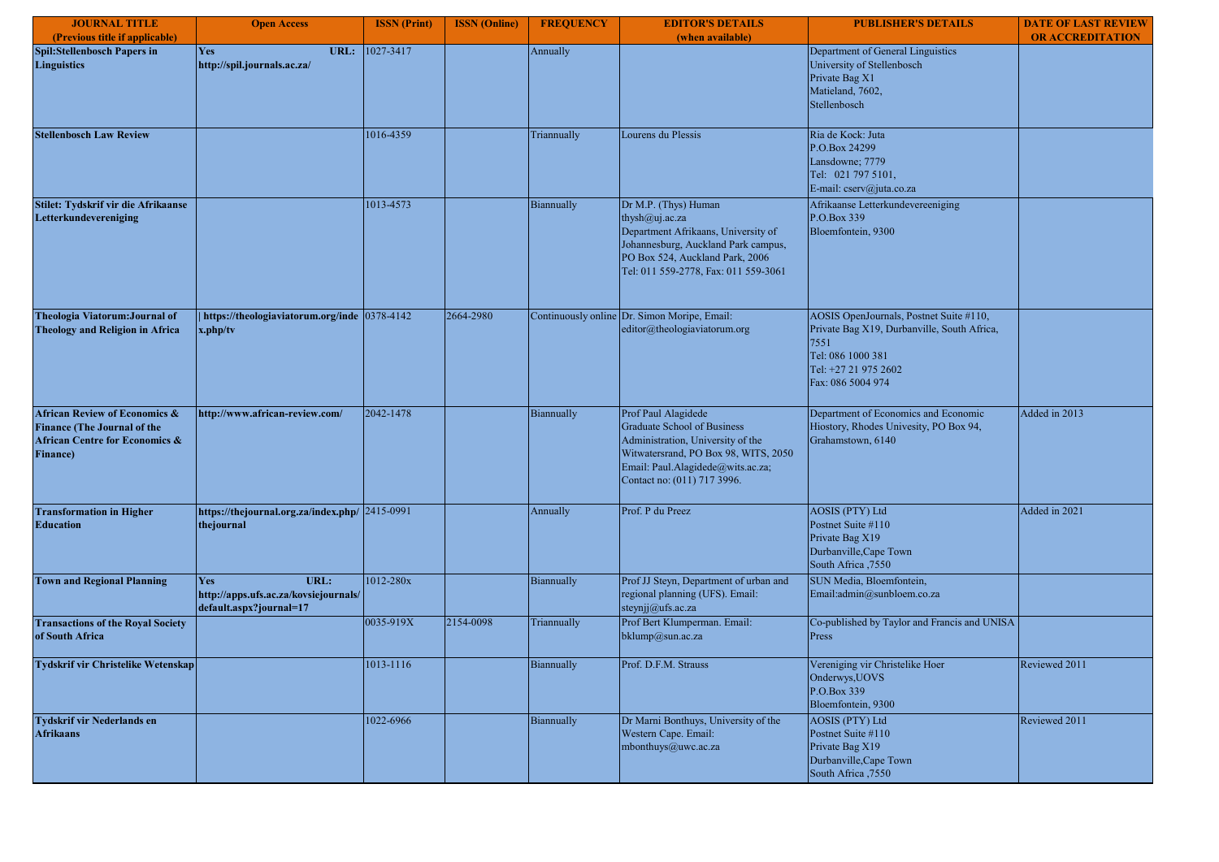| <b>JOURNAL TITLE</b>                                                                                                                            | <b>Open Access</b>                                                              | <b>ISSN</b> (Print) | <b>ISSN</b> (Online) | <b>FREQUENCY</b> | <b>EDITOR'S DETAILS</b>                                                                                                                                                                                    | <b>PUBLISHER'S DETAILS</b>                                                                                                                                       | <b>DATE OF LAST REVIEW</b> |
|-------------------------------------------------------------------------------------------------------------------------------------------------|---------------------------------------------------------------------------------|---------------------|----------------------|------------------|------------------------------------------------------------------------------------------------------------------------------------------------------------------------------------------------------------|------------------------------------------------------------------------------------------------------------------------------------------------------------------|----------------------------|
| (Previous title if applicable)                                                                                                                  |                                                                                 |                     |                      |                  | (when available)                                                                                                                                                                                           |                                                                                                                                                                  | <b>OR ACCREDITATION</b>    |
| <b>Spil:Stellenbosch Papers in</b><br><b>Linguistics</b>                                                                                        | Yes<br>URL:<br>http://spil.journals.ac.za/                                      | 1027-3417           |                      | Annually         |                                                                                                                                                                                                            | Department of General Linguistics<br>University of Stellenbosch<br>Private Bag X1<br>Matieland, 7602,<br>Stellenbosch                                            |                            |
| <b>Stellenbosch Law Review</b>                                                                                                                  |                                                                                 | 1016-4359           |                      | Triannually      | Lourens du Plessis                                                                                                                                                                                         | Ria de Kock: Juta<br>P.O.Box 24299<br>Lansdowne; 7779<br>Tel: 021 797 5101,<br>E-mail: cserv@juta.co.za                                                          |                            |
| Stilet: Tydskrif vir die Afrikaanse<br>Letterkundevereniging                                                                                    |                                                                                 | 1013-4573           |                      | Biannually       | Dr M.P. (Thys) Human<br>thysh@uj.ac.za<br>Department Afrikaans, University of<br>Johannesburg, Auckland Park campus,<br>PO Box 524, Auckland Park, 2006<br>Tel: 011 559-2778, Fax: 011 559-3061            | Afrikaanse Letterkundevereeniging<br>P.O.Box 339<br>Bloemfontein, 9300                                                                                           |                            |
| Theologia Viatorum: Journal of<br><b>Theology and Religion in Africa</b>                                                                        | https://theologiaviatorum.org/inde 0378-4142<br>x.php/tv                        |                     | 2664-2980            |                  | Continuously online Dr. Simon Moripe, Email:<br>editor@theologiaviatorum.org                                                                                                                               | AOSIS OpenJournals, Postnet Suite #110,<br>Private Bag X19, Durbanville, South Africa,<br>7551<br>Tel: 086 1000 381<br>Tel: +27 21 975 2602<br>Fax: 086 5004 974 |                            |
| <b>African Review of Economics &amp;</b><br><b>Finance (The Journal of the</b><br><b>African Centre for Economics &amp;</b><br><b>Finance</b> ) | http://www.african-review.com/                                                  | 2042-1478           |                      | Biannually       | Prof Paul Alagidede<br><b>Graduate School of Business</b><br>Administration, University of the<br>Witwatersrand, PO Box 98, WITS, 2050<br>Email: Paul.Alagidede@wits.ac.za;<br>Contact no: (011) 717 3996. | Department of Economics and Economic<br>Hiostory, Rhodes Univesity, PO Box 94,<br>Grahamstown, 6140                                                              | Added in 2013              |
| <b>Transformation in Higher</b><br><b>Education</b>                                                                                             | https://thejournal.org.za/index.php/ 2415-0991<br>thejournal                    |                     |                      | Annually         | Prof. P du Preez                                                                                                                                                                                           | <b>AOSIS (PTY) Ltd</b><br>Postnet Suite #110<br>Private Bag X19<br>Durbanville, Cape Town<br>South Africa ,7550                                                  | Added in 2021              |
| <b>Town and Regional Planning</b>                                                                                                               | URL:<br>Yes<br>http://apps.ufs.ac.za/kovsiejournals/<br>default.aspx?journal=17 | 1012-280x           |                      | Biannually       | Prof JJ Steyn, Department of urban and<br>regional planning (UFS). Email:<br>steynjj@ufs.ac.za                                                                                                             | SUN Media, Bloemfontein,<br>Email:admin@sunbloem.co.za                                                                                                           |                            |
| <b>Transactions of the Royal Society</b><br>of South Africa                                                                                     |                                                                                 | 0035-919X           | 2154-0098            | Triannually      | Prof Bert Klumperman. Email:<br>bklump@sun.ac.za                                                                                                                                                           | Co-published by Taylor and Francis and UNISA<br>Press                                                                                                            |                            |
| Tydskrif vir Christelike Wetenskap                                                                                                              |                                                                                 | 1013-1116           |                      | Biannually       | Prof. D.F.M. Strauss                                                                                                                                                                                       | Vereniging vir Christelike Hoer<br>Onderwys, UOVS<br>P.O.Box 339<br>Bloemfontein, 9300                                                                           | Reviewed 2011              |
| Tydskrif vir Nederlands en<br><b>Afrikaans</b>                                                                                                  |                                                                                 | 1022-6966           |                      | Biannually       | Dr Marni Bonthuys, University of the<br>Western Cape. Email:<br>mbonthuys@uwc.ac.za                                                                                                                        | <b>AOSIS (PTY) Ltd</b><br>Postnet Suite #110<br>Private Bag X19<br>Durbanville, Cape Town<br>South Africa, 7550                                                  | Reviewed 2011              |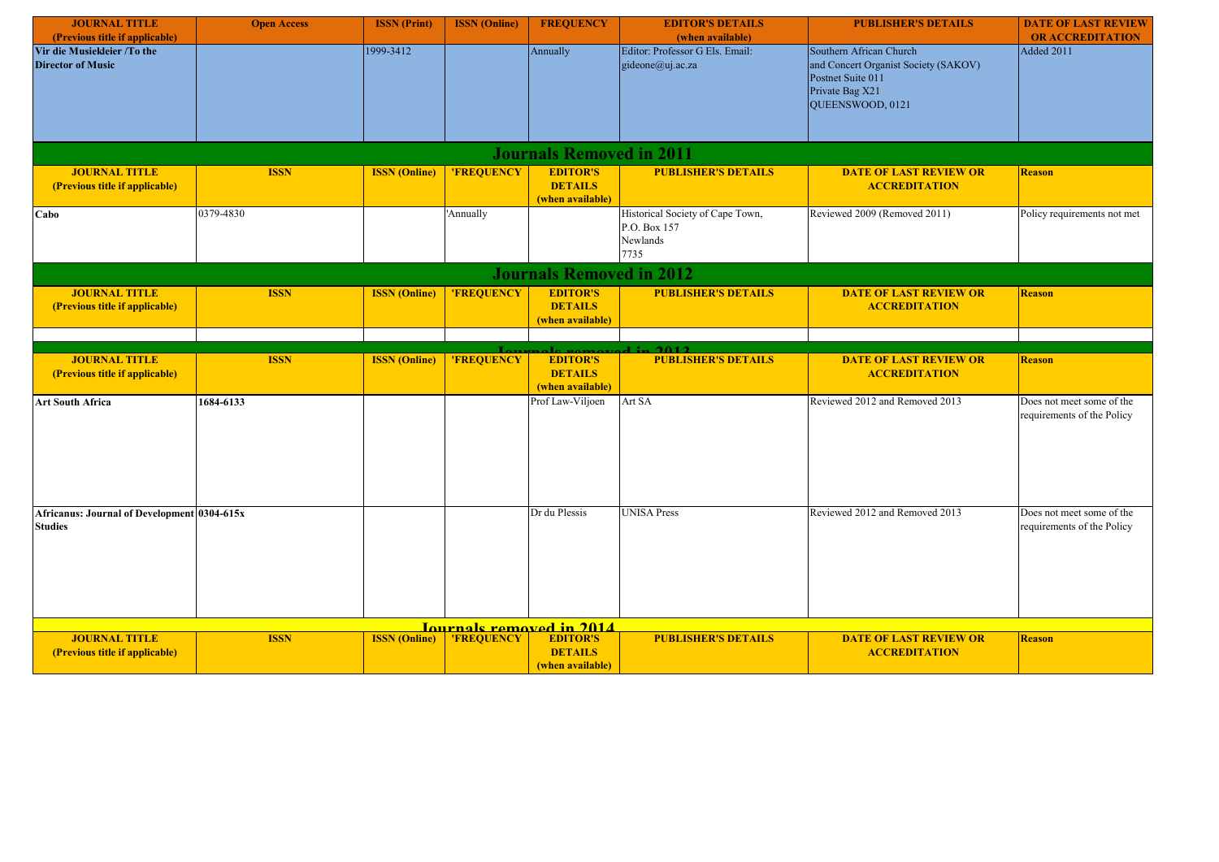| <b>JOURNAL TITLE</b>                                          | <b>Open Access</b> | <b>ISSN</b> (Print)  | <b>ISSN</b> (Online) | <b>FREQUENCY</b>                                      | <b>EDITOR'S DETAILS</b>                                              | <b>PUBLISHER'S DETAILS</b>                                                                                                         | <b>DATE OF LAST REVIEW</b>                              |
|---------------------------------------------------------------|--------------------|----------------------|----------------------|-------------------------------------------------------|----------------------------------------------------------------------|------------------------------------------------------------------------------------------------------------------------------------|---------------------------------------------------------|
| (Previous title if applicable)                                |                    |                      |                      |                                                       | (when available)                                                     |                                                                                                                                    | <b>OR ACCREDITATION</b>                                 |
| Vir die Musiekleier /To the<br><b>Director of Music</b>       |                    | 1999-3412            |                      | Annually                                              | Editor: Professor G Els. Email:<br>gideone@uj.ac.za                  | Southern African Church<br>and Concert Organist Society (SAKOV)<br>Postnet Suite 011<br>Private Bag X21<br><b>QUEENSWOOD, 0121</b> | Added 2011                                              |
|                                                               |                    |                      |                      | <b>Journals Removed in 2011</b>                       |                                                                      |                                                                                                                                    |                                                         |
| <b>JOURNAL TITLE</b>                                          | <b>ISSN</b>        | <b>ISSN</b> (Online) | 'FREQUENCY           | <b>EDITOR'S</b>                                       | <b>PUBLISHER'S DETAILS</b>                                           | <b>DATE OF LAST REVIEW OR</b>                                                                                                      | <b>Reason</b>                                           |
| (Previous title if applicable)                                |                    |                      |                      | <b>DETAILS</b><br>(when available)                    |                                                                      | <b>ACCREDITATION</b>                                                                                                               |                                                         |
| Cabo                                                          | 0379-4830          |                      | 'Annually            |                                                       | Historical Society of Cape Town,<br>P.O. Box 157<br>Newlands<br>7735 | Reviewed 2009 (Removed 2011)                                                                                                       | Policy requirements not met                             |
|                                                               |                    |                      |                      | <b>Journals Removed in 2012</b>                       |                                                                      |                                                                                                                                    |                                                         |
| <b>JOURNAL TITLE</b><br>(Previous title if applicable)        | <b>ISSN</b>        | <b>ISSN</b> (Online) | 'FREQUENCY           | <b>EDITOR'S</b><br><b>DETAILS</b><br>(when available) | <b>PUBLISHER'S DETAILS</b>                                           | <b>DATE OF LAST REVIEW OR</b><br><b>ACCREDITATION</b>                                                                              | <b>Reason</b>                                           |
|                                                               |                    |                      |                      |                                                       |                                                                      |                                                                                                                                    |                                                         |
| <b>JOURNAL TITLE</b>                                          | <b>ISSN</b>        | <b>ISSN</b> (Online) | 'FREQUENCY           | <b>EDITOR'S</b>                                       | 1:2012<br><b>PUBLISHER'S DETAILS</b>                                 | <b>DATE OF LAST REVIEW OR</b>                                                                                                      | <b>Reason</b>                                           |
| (Previous title if applicable)                                |                    |                      |                      | <b>DETAILS</b><br>(when available)                    |                                                                      | <b>ACCREDITATION</b>                                                                                                               |                                                         |
| <b>Art South Africa</b>                                       | 1684-6133          |                      |                      | Prof Law-Viljoen                                      | Art SA                                                               | Reviewed 2012 and Removed 2013                                                                                                     | Does not meet some of the<br>requirements of the Policy |
| Africanus: Journal of Development 0304-615x<br><b>Studies</b> |                    |                      |                      | Dr du Plessis                                         | <b>UNISA Press</b>                                                   | Reviewed 2012 and Removed 2013                                                                                                     | Does not meet some of the<br>requirements of the Policy |
|                                                               |                    |                      |                      | <u>Iournals removed in 2014</u>                       |                                                                      |                                                                                                                                    |                                                         |
| <b>JOURNAL TITLE</b><br>(Previous title if applicable)        | <b>ISSN</b>        | <b>ISSN</b> (Online) | 'FREQUENCY           | <b>EDITOR'S</b><br><b>DETAILS</b><br>(when available) | <b>PUBLISHER'S DETAILS</b>                                           | <b>DATE OF LAST REVIEW OR</b><br><b>ACCREDITATION</b>                                                                              | <b>Reason</b>                                           |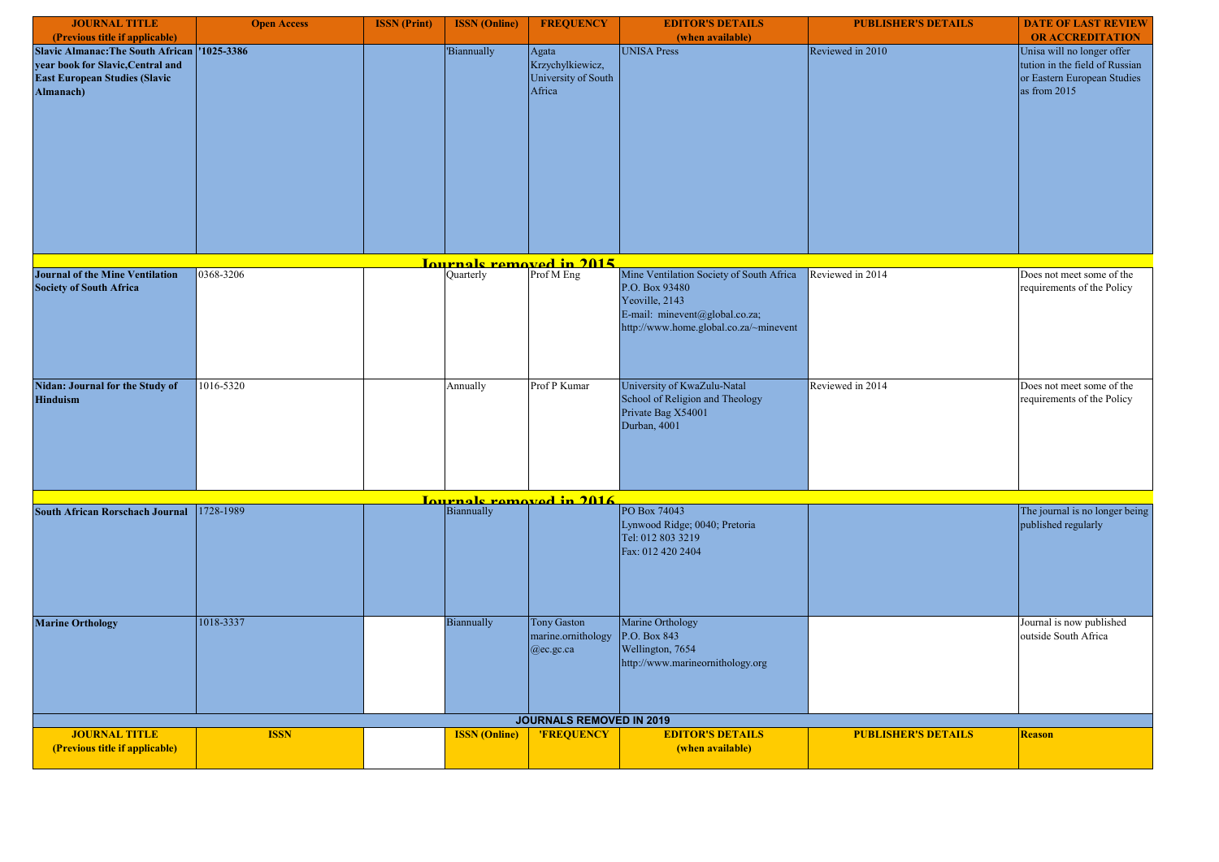| <b>JOURNAL TITLE</b>                                                                                                                     | <b>Open Access</b> | <b>ISSN</b> (Print) | <b>ISSN</b> (Online) | <b>FREQUENCY</b>                                           | <b>EDITOR'S DETAILS</b>                                                                                                                                  | <b>PUBLISHER'S DETAILS</b> | <b>DATE OF LAST REVIEW</b>                                                                                  |
|------------------------------------------------------------------------------------------------------------------------------------------|--------------------|---------------------|----------------------|------------------------------------------------------------|----------------------------------------------------------------------------------------------------------------------------------------------------------|----------------------------|-------------------------------------------------------------------------------------------------------------|
| (Previous title if applicable)                                                                                                           |                    |                     |                      |                                                            | (when available)                                                                                                                                         |                            | <b>OR ACCREDITATION</b>                                                                                     |
| Slavic Almanac: The South African   '1025-3386<br>year book for Slavic, Central and<br><b>East European Studies (Slavic</b><br>Almanach) |                    |                     | <b>Biannually</b>    | Agata<br>Krzychylkiewicz,<br>University of South<br>Africa | UNISA Press                                                                                                                                              | Reviewed in 2010           | Unisa will no longer offer<br>tution in the field of Russian<br>or Eastern European Studies<br>as from 2015 |
|                                                                                                                                          |                    |                     |                      |                                                            |                                                                                                                                                          |                            |                                                                                                             |
|                                                                                                                                          |                    |                     |                      | <u>Iournals removed in 2015</u>                            |                                                                                                                                                          |                            |                                                                                                             |
| <b>Journal of the Mine Ventilation</b><br><b>Society of South Africa</b>                                                                 | 0368-3206          |                     | Quarterly            | Prof M Eng                                                 | Mine Ventilation Society of South Africa<br>P.O. Box 93480<br>Yeoville, 2143<br>E-mail: minevent@global.co.za;<br>http://www.home.global.co.za/~minevent | Reviewed in 2014           | Does not meet some of the<br>requirements of the Policy                                                     |
| Nidan: Journal for the Study of<br><b>Hinduism</b>                                                                                       | 1016-5320          |                     | Annually             | Prof P Kumar                                               | University of KwaZulu-Natal<br>School of Religion and Theology<br>Private Bag X54001<br>Durban, 4001                                                     | Reviewed in 2014           | Does not meet some of the<br>requirements of the Policy                                                     |
|                                                                                                                                          |                    |                     |                      | <u>Journals removed in 2016</u>                            |                                                                                                                                                          |                            |                                                                                                             |
| <b>South African Rorschach Journal</b>                                                                                                   | 1728-1989          |                     | Biannually           |                                                            | PO Box 74043<br>Lynwood Ridge; 0040; Pretoria<br>Tel: 012 803 3219<br>Fax: 012 420 2404                                                                  |                            | The journal is no longer being<br>published regularly                                                       |
| <b>Marine Orthology</b>                                                                                                                  | 1018-3337          |                     | Biannually           | Tony Gaston<br>marine.ornithology<br>@ec.gc.ca             | Marine Orthology<br>P.O. Box 843<br>Wellington, 7654<br>http://www.marineornithology.org                                                                 |                            | Journal is now published<br>outside South Africa                                                            |
|                                                                                                                                          |                    |                     |                      | <b>JOURNALS REMOVED IN 2019</b>                            |                                                                                                                                                          |                            |                                                                                                             |
| <b>JOURNAL TITLE</b><br>(Previous title if applicable)                                                                                   | <b>ISSN</b>        |                     | <b>ISSN</b> (Online) | 'FREQUENCY                                                 | <b>EDITOR'S DETAILS</b><br>(when available)                                                                                                              | <b>PUBLISHER'S DETAILS</b> | <b>Reason</b>                                                                                               |